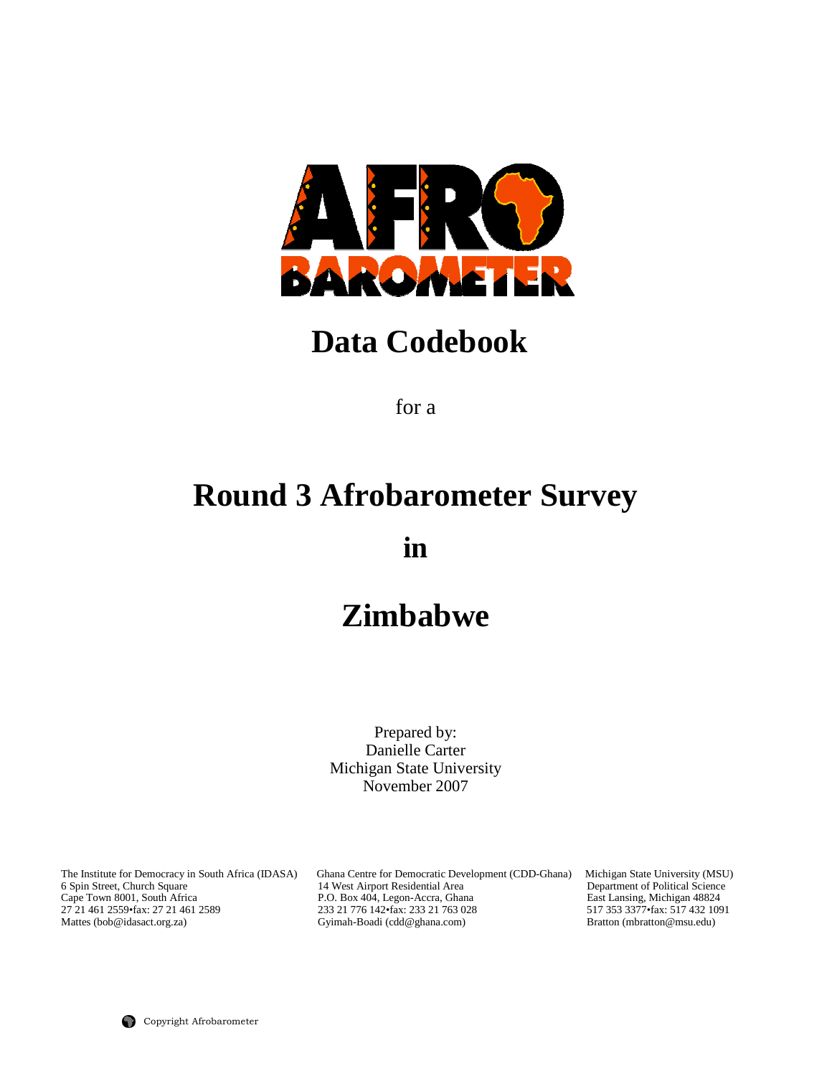

## **Data Codebook**

for a

# **Round 3 Afrobarometer Survey**

**in** 

## **Zimbabwe**

Prepared by: Danielle Carter Michigan State University November 2007

The Institute for Democracy in South Africa (IDASA) Ghana Centre for Democratic Development (CDD-Ghana) Michigan State University (MSU) 6 Spin Street, Church Square 14 West Airport Residential Area Department of Political 6 Spin Street, Church Square 14 West Airport Residential Area Department of Political Science<br>
Cape Town 8001, South Africa P.O. Box 404, Legon-Accra, Ghana East Lansing, Michigan 48824<br>
27 21 461 2559 fax: 27 21 461 2559 Cape Town 8001, South Africa P.O. Box 404, Legon-Accra, Ghana East Lansing, Michigan 48824 27 21 461 2559•fax: 27 21 461 2589 233 21 776 142•fax: 233 21 763 028 517 353 3377•fax: 517 432 1091 Mattes (bob@idasact.org.za) Gyimah-Boadi (cdd@ghana.com) Bratton (mbratton@msu.edu)

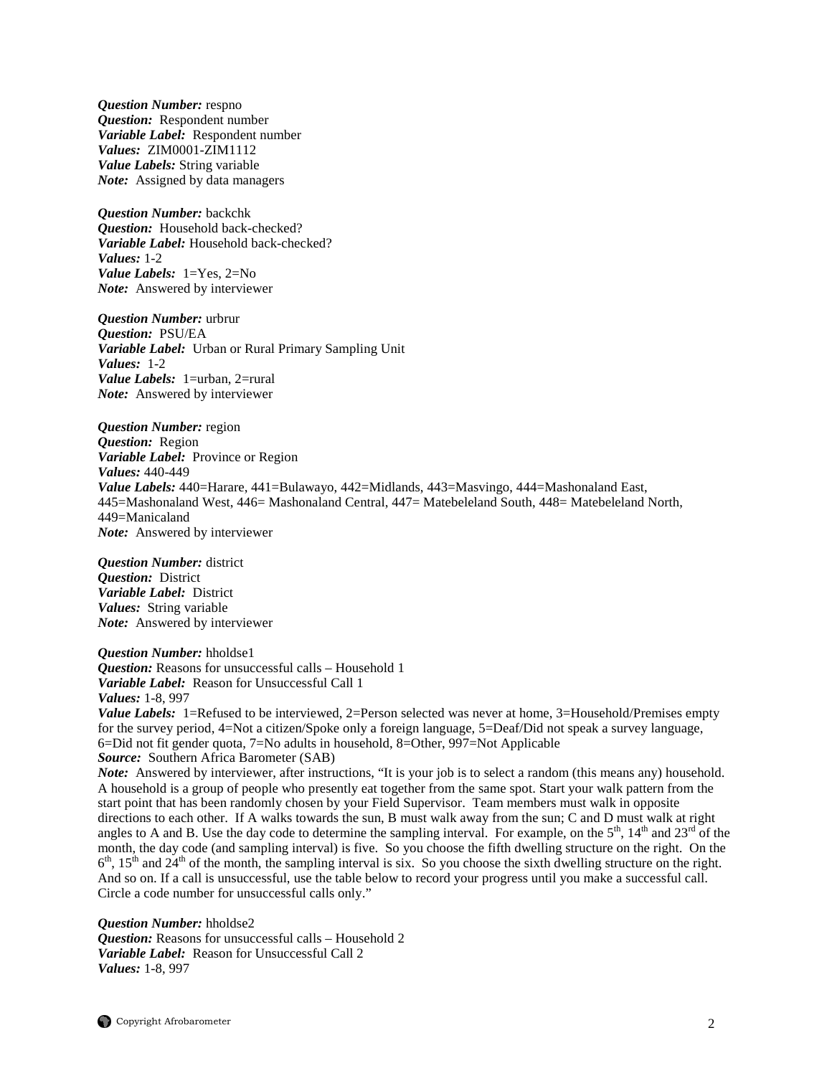*Question Number:* respno *Question:* Respondent number *Variable Label:* Respondent number *Values:* ZIM0001-ZIM1112 *Value Labels:* String variable *Note:* Assigned by data managers

*Question Number:* backchk *Question:* Household back-checked? *Variable Label:* Household back-checked? *Values:* 1-2 *Value Labels:* 1=Yes, 2=No *Note:* Answered by interviewer

*Question Number:* urbrur *Question:* PSU/EA *Variable Label:* Urban or Rural Primary Sampling Unit *Values:* 1-2 *Value Labels:* 1=urban, 2=rural *Note:* Answered by interviewer

*Question Number:* region *Question:* Region *Variable Label:* Province or Region *Values:* 440-449 *Value Labels:* 440=Harare, 441=Bulawayo, 442=Midlands, 443=Masvingo, 444=Mashonaland East, 445=Mashonaland West, 446= Mashonaland Central, 447= Matebeleland South, 448= Matebeleland North, 449=Manicaland *Note:* Answered by interviewer

*Question Number:* district *Question:* District *Variable Label:* District *Values:* String variable *Note:* Answered by interviewer

*Question Number:* hholdse1 *Question:* Reasons for unsuccessful calls – Household 1 *Variable Label:* Reason for Unsuccessful Call 1 *Values:* 1-8, 997

*Value Labels:* 1=Refused to be interviewed, 2=Person selected was never at home, 3=Household/Premises empty for the survey period, 4=Not a citizen/Spoke only a foreign language, 5=Deaf/Did not speak a survey language, 6=Did not fit gender quota, 7=No adults in household, 8=Other, 997=Not Applicable *Source:* Southern Africa Barometer (SAB)

*Note:* Answered by interviewer, after instructions, "It is your job is to select a random (this means any) household. A household is a group of people who presently eat together from the same spot. Start your walk pattern from the start point that has been randomly chosen by your Field Supervisor. Team members must walk in opposite directions to each other. If A walks towards the sun, B must walk away from the sun; C and D must walk at right angles to A and B. Use the day code to determine the sampling interval. For example, on the  $5<sup>th</sup>$ ,  $14<sup>th</sup>$  and  $23<sup>rd</sup>$  of the month, the day code (and sampling interval) is five. So you choose the fifth dwelling structure on the right. On the  $6<sup>th</sup>$ ,  $15<sup>th</sup>$  and  $24<sup>th</sup>$  of the month, the sampling interval is six. So you choose the sixth dwelling structure on the right. And so on. If a call is unsuccessful, use the table below to record your progress until you make a successful call. Circle a code number for unsuccessful calls only."

*Question Number:* hholdse2 *Question:* Reasons for unsuccessful calls – Household 2 *Variable Label:* Reason for Unsuccessful Call 2 *Values:* 1-8, 997

 $\bigcirc$  Copyright Afrobarometer 2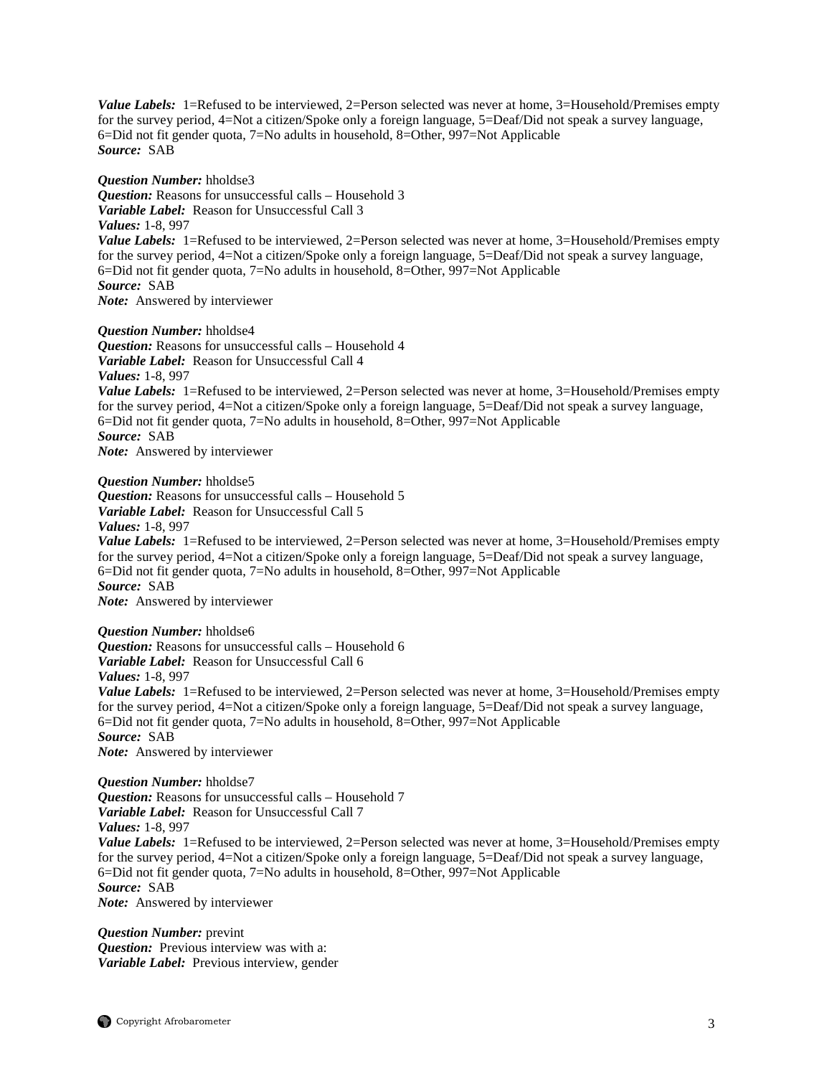Value Labels: 1=Refused to be interviewed, 2=Person selected was never at home, 3=Household/Premises empty for the survey period, 4=Not a citizen/Spoke only a foreign language, 5=Deaf/Did not speak a survey language, 6=Did not fit gender quota, 7=No adults in household, 8=Other, 997=Not Applicable *Source:* SAB

*Question Number:* hholdse3 *Question:* Reasons for unsuccessful calls – Household 3 *Variable Label:* Reason for Unsuccessful Call 3 *Values:* 1-8, 997 *Value Labels:* 1=Refused to be interviewed, 2=Person selected was never at home, 3=Household/Premises empty for the survey period, 4=Not a citizen/Spoke only a foreign language, 5=Deaf/Did not speak a survey language, 6=Did not fit gender quota, 7=No adults in household, 8=Other, 997=Not Applicable *Source:* SAB *Note:* Answered by interviewer

*Question Number:* hholdse4

*Question:* Reasons for unsuccessful calls – Household 4 *Variable Label:* Reason for Unsuccessful Call 4 *Values:* 1-8, 997 *Value Labels:* 1=Refused to be interviewed, 2=Person selected was never at home, 3=Household/Premises empty for the survey period, 4=Not a citizen/Spoke only a foreign language, 5=Deaf/Did not speak a survey language, 6=Did not fit gender quota, 7=No adults in household, 8=Other, 997=Not Applicable *Source:* SAB *Note:* Answered by interviewer

*Question Number:* hholdse5 *Question:* Reasons for unsuccessful calls – Household 5 *Variable Label:* Reason for Unsuccessful Call 5 *Values:* 1-8, 997 *Value Labels:* 1=Refused to be interviewed, 2=Person selected was never at home, 3=Household/Premises empty for the survey period, 4=Not a citizen/Spoke only a foreign language, 5=Deaf/Did not speak a survey language, 6=Did not fit gender quota, 7=No adults in household, 8=Other, 997=Not Applicable *Source:* SAB *Note:* Answered by interviewer

*Question Number:* hholdse6 *Question:* Reasons for unsuccessful calls – Household 6 *Variable Label:* Reason for Unsuccessful Call 6 *Values:* 1-8, 997 *Value Labels:* 1=Refused to be interviewed, 2=Person selected was never at home, 3=Household/Premises empty for the survey period, 4=Not a citizen/Spoke only a foreign language, 5=Deaf/Did not speak a survey language, 6=Did not fit gender quota, 7=No adults in household, 8=Other, 997=Not Applicable *Source:* SAB *Note:* Answered by interviewer

*Question Number:* hholdse7 *Question:* Reasons for unsuccessful calls – Household 7 *Variable Label:* Reason for Unsuccessful Call 7 *Values:* 1-8, 997 *Value Labels:* 1=Refused to be interviewed, 2=Person selected was never at home, 3=Household/Premises empty for the survey period, 4=Not a citizen/Spoke only a foreign language, 5=Deaf/Did not speak a survey language, 6=Did not fit gender quota, 7=No adults in household, 8=Other, 997=Not Applicable *Source:* SAB *Note:* Answered by interviewer

*Question Number:* prevint *Question:* Previous interview was with a: *Variable Label:* Previous interview, gender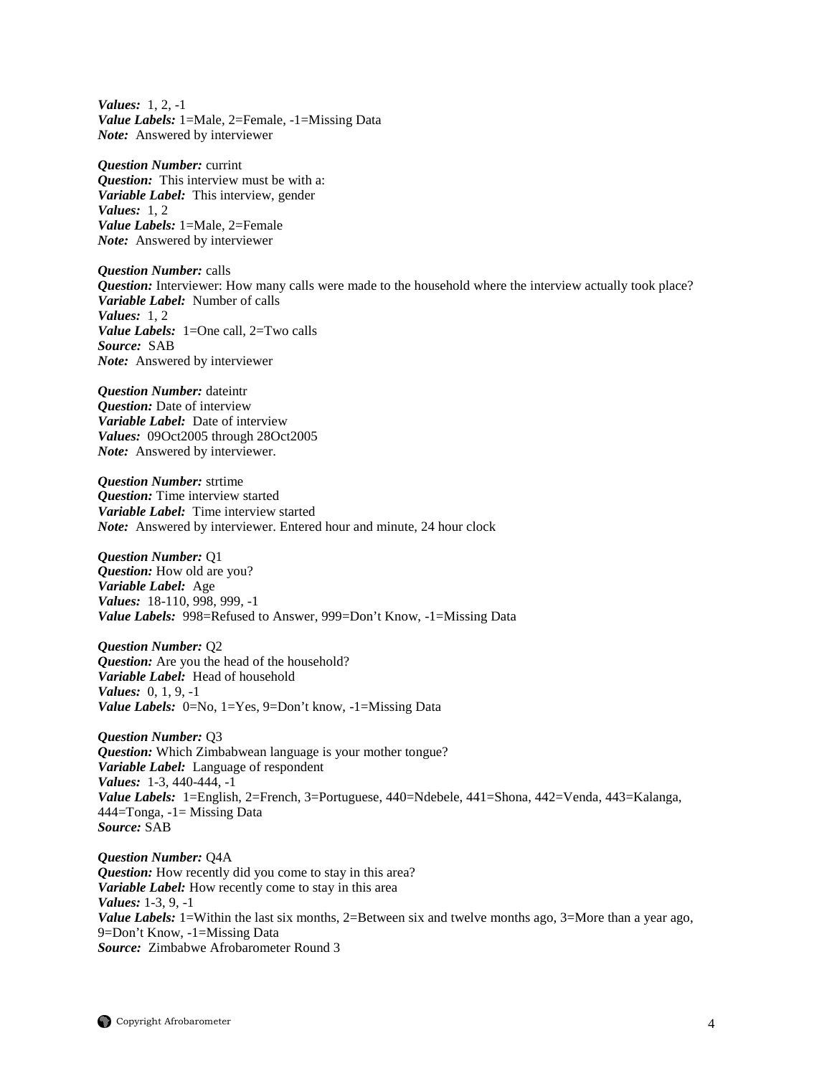*Values:* 1, 2, -1 *Value Labels:* 1=Male, 2=Female, -1=Missing Data *Note:* Answered by interviewer

*Question Number:* currint *Question:* This interview must be with a: *Variable Label:* This interview, gender *Values:* 1, 2 *Value Labels:* 1=Male, 2=Female *Note:* Answered by interviewer

*Question Number:* calls *Question:* Interviewer: How many calls were made to the household where the interview actually took place? *Variable Label:* Number of calls *Values:* 1, 2 *Value Labels:* 1=One call, 2=Two calls *Source:* SAB *Note:* Answered by interviewer

*Question Number:* dateintr *Question:* Date of interview *Variable Label:* Date of interview *Values:* 09Oct2005 through 28Oct2005 *Note:* Answered by interviewer.

*Question Number:* strtime *Question:* Time interview started *Variable Label:* Time interview started *Note:* Answered by interviewer. Entered hour and minute, 24 hour clock

*Question Number:* Q1 *Question:* How old are you? *Variable Label:* Age *Values:* 18-110, 998, 999, -1 *Value Labels:* 998=Refused to Answer, 999=Don't Know, -1=Missing Data

*Question Number:* Q2 *Question:* Are you the head of the household? *Variable Label:* Head of household *Values:* 0, 1, 9, -1 *Value Labels:* 0=No, 1=Yes, 9=Don't know, -1=Missing Data

*Question Number:* Q3 *Question:* Which Zimbabwean language is your mother tongue? *Variable Label:* Language of respondent *Values:* 1-3, 440-444, -1 *Value Labels:* 1=English, 2=French, 3=Portuguese, 440=Ndebele, 441=Shona, 442=Venda, 443=Kalanga, 444=Tonga, -1= Missing Data *Source:* SAB

*Question Number:* Q4A *Question:* How recently did you come to stay in this area? *Variable Label:* How recently come to stay in this area *Values:* 1-3, 9, -1 *Value Labels:* 1=Within the last six months, 2=Between six and twelve months ago, 3=More than a year ago, 9=Don't Know, -1=Missing Data *Source:* Zimbabwe Afrobarometer Round 3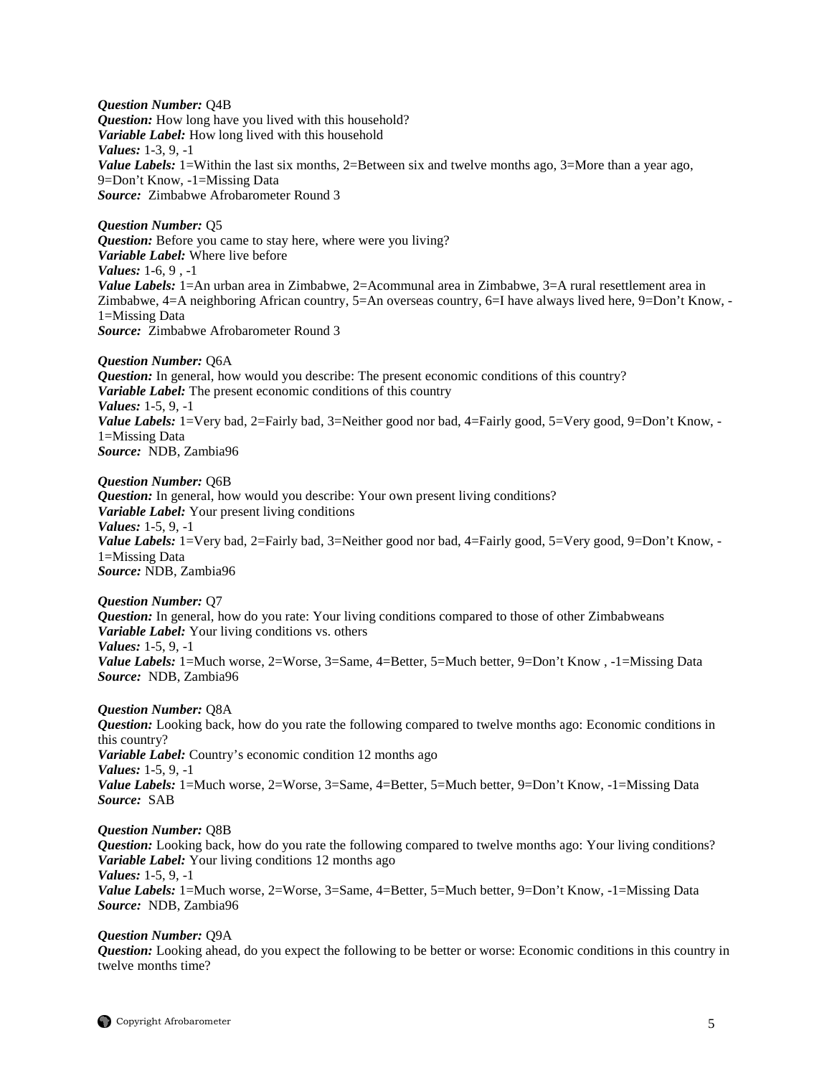*Question Number:* Q4B *Question:* How long have you lived with this household? *Variable Label:* How long lived with this household *Values:* 1-3, 9, -1 *Value Labels:* 1=Within the last six months, 2=Between six and twelve months ago, 3=More than a year ago, 9=Don't Know, -1=Missing Data *Source:* Zimbabwe Afrobarometer Round 3

*Question Number:* Q5 *Question:* Before you came to stay here, where were you living? *Variable Label:* Where live before *Values:* 1-6, 9 , -1 *Value Labels:* 1=An urban area in Zimbabwe, 2=Acommunal area in Zimbabwe, 3=A rural resettlement area in Zimbabwe, 4=A neighboring African country, 5=An overseas country, 6=I have always lived here, 9=Don't Know, - 1=Missing Data *Source:* Zimbabwe Afrobarometer Round 3

*Question Number:* Q6A *Question:* In general, how would you describe: The present economic conditions of this country? *Variable Label:* The present economic conditions of this country *Values:* 1-5, 9, -1 Value Labels: 1=Very bad, 2=Fairly bad, 3=Neither good nor bad, 4=Fairly good, 5=Very good, 9=Don't Know, -1=Missing Data *Source:* NDB, Zambia96

*Question Number:* Q6B *Question:* In general, how would you describe: Your own present living conditions? *Variable Label:* Your present living conditions *Values:* 1-5, 9, -1 *Value Labels:* 1=Very bad, 2=Fairly bad, 3=Neither good nor bad, 4=Fairly good, 5=Very good, 9=Don't Know, -1=Missing Data *Source:* NDB, Zambia96

*Question Number:* Q7 *Question:* In general, how do you rate: Your living conditions compared to those of other Zimbabweans *Variable Label:* Your living conditions vs. others *Values:* 1-5, 9, -1 *Value Labels:* 1=Much worse, 2=Worse, 3=Same, 4=Better, 5=Much better, 9=Don't Know, -1=Missing Data *Source:* NDB, Zambia96

*Question Number:* Q8A

*Question:* Looking back, how do you rate the following compared to twelve months ago: Economic conditions in this country? *Variable Label:* Country's economic condition 12 months ago *Values:* 1-5, 9, -1 *Value Labels:* 1=Much worse, 2=Worse, 3=Same, 4=Better, 5=Much better, 9=Don't Know, -1=Missing Data *Source:* SAB

*Question Number:* Q8B

*Question:* Looking back, how do you rate the following compared to twelve months ago: Your living conditions? *Variable Label:* Your living conditions 12 months ago *Values:* 1-5, 9, -1 *Value Labels:* 1=Much worse, 2=Worse, 3=Same, 4=Better, 5=Much better, 9=Don't Know, -1=Missing Data *Source:* NDB, Zambia96

*Question Number:* Q9A

*Question:* Looking ahead, do you expect the following to be better or worse: Economic conditions in this country in twelve months time?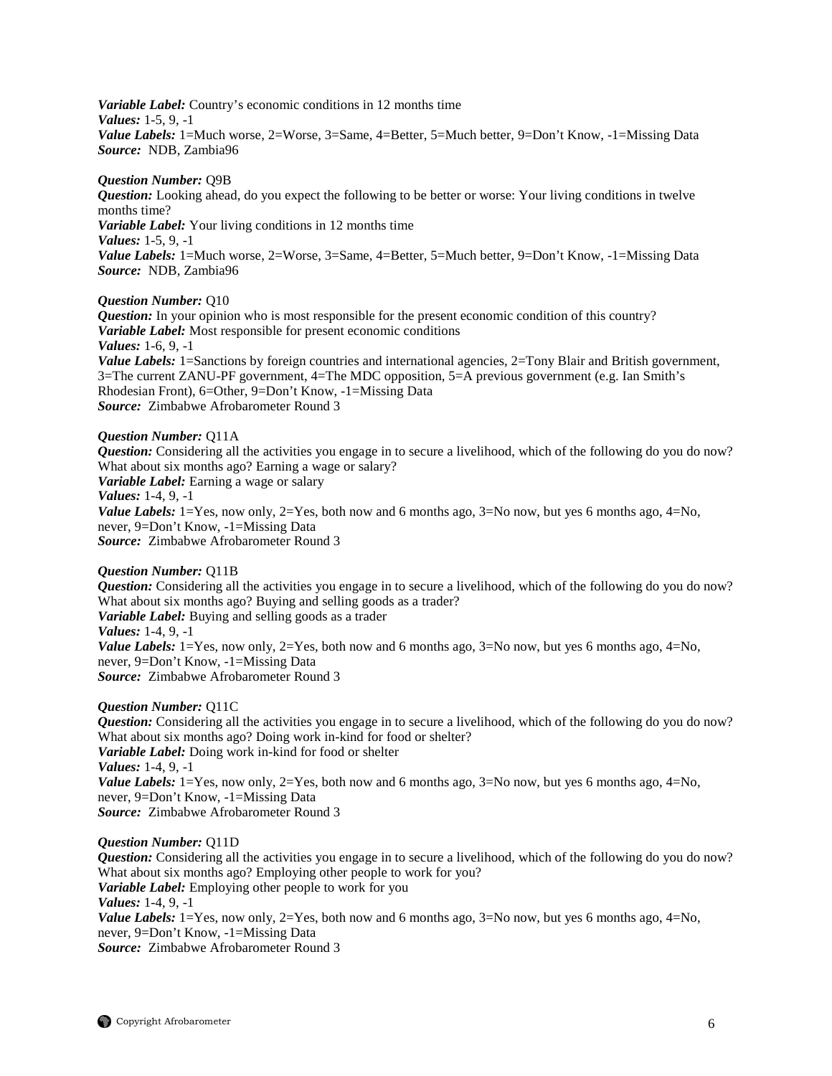*Variable Label:* Country's economic conditions in 12 months time *Values:* 1-5, 9, -1

Value Labels: 1=Much worse, 2=Worse, 3=Same, 4=Better, 5=Much better, 9=Don't Know, -1=Missing Data *Source:* NDB, Zambia96

#### *Question Number:* Q9B

*Question:* Looking ahead, do you expect the following to be better or worse: Your living conditions in twelve months time? *Variable Label:* Your living conditions in 12 months time *Values:* 1-5, 9, -1 *Value Labels:* 1=Much worse, 2=Worse, 3=Same, 4=Better, 5=Much better, 9=Don't Know, -1=Missing Data *Source:* NDB, Zambia96

#### *Question Number:* Q10

*Question:* In your opinion who is most responsible for the present economic condition of this country? *Variable Label:* Most responsible for present economic conditions *Values:* 1-6, 9, -1 *Value Labels:* 1=Sanctions by foreign countries and international agencies, 2=Tony Blair and British government, 3=The current ZANU-PF government, 4=The MDC opposition, 5=A previous government (e.g. Ian Smith's Rhodesian Front), 6=Other, 9=Don't Know, -1=Missing Data

*Source:* Zimbabwe Afrobarometer Round 3

#### *Question Number:* Q11A

*Question:* Considering all the activities you engage in to secure a livelihood, which of the following do you do now? What about six months ago? Earning a wage or salary? *Variable Label:* Earning a wage or salary *Values:* 1-4, 9, -1

*Value Labels:*  $1 = Yes$ , now only,  $2 = Yes$ , both now and 6 months ago,  $3 = No$  now, but yes 6 months ago,  $4 = No$ , never, 9=Don't Know, -1=Missing Data *Source:* Zimbabwe Afrobarometer Round 3

## *Question Number:* Q11B *Question:* Considering all the activities you engage in to secure a livelihood, which of the following do you do now? What about six months ago? Buying and selling goods as a trader? *Variable Label:* Buying and selling goods as a trader *Values:* 1-4, 9, -1 *Value Labels:* 1=Yes, now only, 2=Yes, both now and 6 months ago, 3=No now, but yes 6 months ago, 4=No, never, 9=Don't Know, -1=Missing Data *Source:* Zimbabwe Afrobarometer Round 3

#### *Question Number:* Q11C

*Question:* Considering all the activities you engage in to secure a livelihood, which of the following do you do now? What about six months ago? Doing work in-kind for food or shelter? *Variable Label:* Doing work in-kind for food or shelter *Values:* 1-4, 9, -1 *Value Labels:*  $1 = Yes$ , now only,  $2 = Yes$ , both now and 6 months ago,  $3 = No$  now, but yes 6 months ago,  $4 = No$ , never, 9=Don't Know, -1=Missing Data *Source:* Zimbabwe Afrobarometer Round 3

#### *Question Number:* Q11D

*Question:* Considering all the activities you engage in to secure a livelihood, which of the following do you do now? What about six months ago? Employing other people to work for you? *Variable Label:* Employing other people to work for you *Values:* 1-4, 9, -1 *Value Labels:*  $1 = Yes$ , now only,  $2 = Yes$ , both now and 6 months ago,  $3 = No$  now, but yes 6 months ago,  $4 = No$ , never, 9=Don't Know, -1=Missing Data *Source:* Zimbabwe Afrobarometer Round 3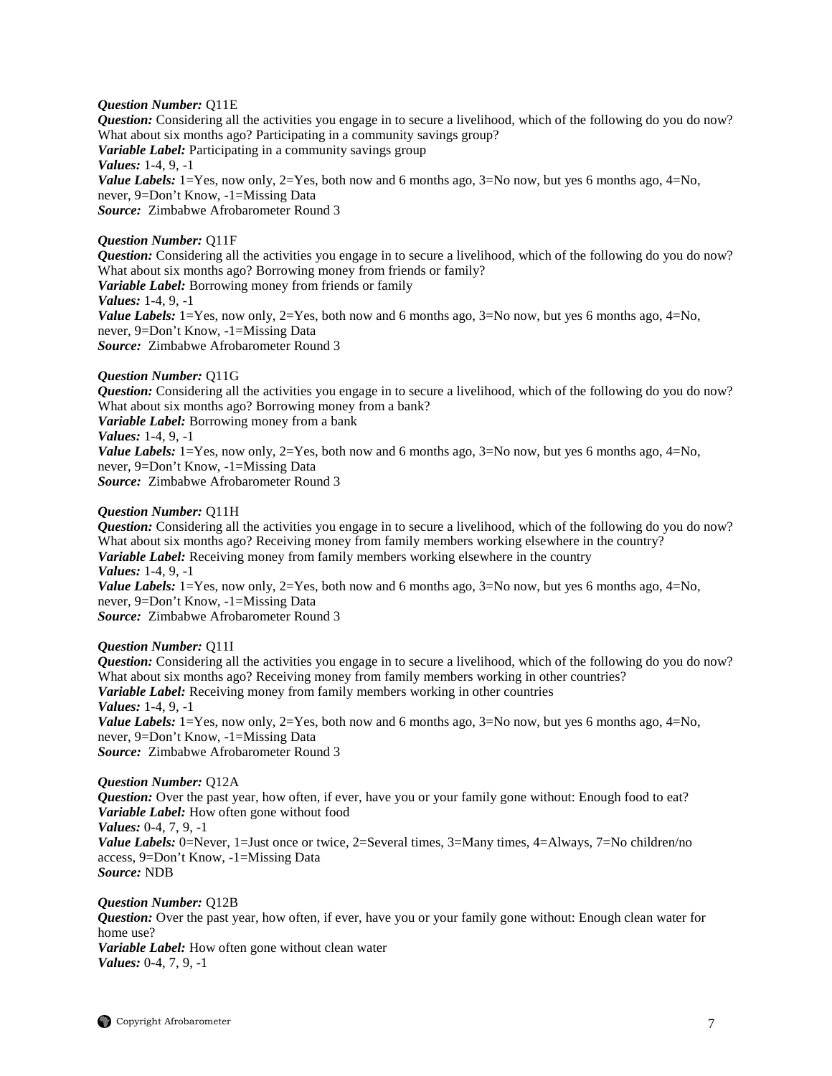*Question Number:* Q11E

*Question:* Considering all the activities you engage in to secure a livelihood, which of the following do you do now? What about six months ago? Participating in a community savings group? *Variable Label:* Participating in a community savings group *Values:* 1-4, 9, -1 *Value Labels:* 1=Yes, now only, 2=Yes, both now and 6 months ago, 3=No now, but yes 6 months ago, 4=No, never, 9=Don't Know, -1=Missing Data *Source:* Zimbabwe Afrobarometer Round 3

*Question Number:* Q11F *Question:* Considering all the activities you engage in to secure a livelihood, which of the following do you do now? What about six months ago? Borrowing money from friends or family? *Variable Label:* Borrowing money from friends or family *Values:* 1-4, 9, -1 *Value Labels:*  $1 = Yes$ , now only,  $2 = Yes$ , both now and 6 months ago,  $3 = No$  now, but yes 6 months ago,  $4 = No$ , never, 9=Don't Know, -1=Missing Data *Source:* Zimbabwe Afrobarometer Round 3

*Question Number:* Q11G

*Question:* Considering all the activities you engage in to secure a livelihood, which of the following do you do now? What about six months ago? Borrowing money from a bank? *Variable Label:* Borrowing money from a bank *Values:* 1-4, 9, -1 *Value Labels:*  $1 = Yes$ , now only,  $2 = Yes$ , both now and 6 months ago,  $3 = No$  now, but yes 6 months ago,  $4 = No$ , never, 9=Don't Know, -1=Missing Data

*Source:* Zimbabwe Afrobarometer Round 3

#### *Question Number:* Q11H

*Question:* Considering all the activities you engage in to secure a livelihood, which of the following do you do now? What about six months ago? Receiving money from family members working elsewhere in the country? *Variable Label:* Receiving money from family members working elsewhere in the country *Values:* 1-4, 9, -1 *Value Labels:* 1=Yes, now only, 2=Yes, both now and 6 months ago, 3=No now, but yes 6 months ago, 4=No, never, 9=Don't Know, -1=Missing Data *Source:* Zimbabwe Afrobarometer Round 3

*Question Number:* Q11I

*Question:* Considering all the activities you engage in to secure a livelihood, which of the following do you do now? What about six months ago? Receiving money from family members working in other countries? *Variable Label:* Receiving money from family members working in other countries *Values:* 1-4, 9, -1 *Value Labels:* 1=Yes, now only, 2=Yes, both now and 6 months ago, 3=No now, but yes 6 months ago, 4=No, never, 9=Don't Know, -1=Missing Data *Source:* Zimbabwe Afrobarometer Round 3

*Question Number:* Q12A *Question:* Over the past year, how often, if ever, have you or your family gone without: Enough food to eat? *Variable Label:* How often gone without food *Values:* 0-4, 7, 9, -1 *Value Labels:* 0=Never, 1=Just once or twice, 2=Several times, 3=Many times, 4=Always, 7=No children/no access, 9=Don't Know, -1=Missing Data *Source:* NDB

*Question Number:* Q12B *Question:* Over the past year, how often, if ever, have you or your family gone without: Enough clean water for home use? *Variable Label:* How often gone without clean water *Values:* 0-4, 7, 9, -1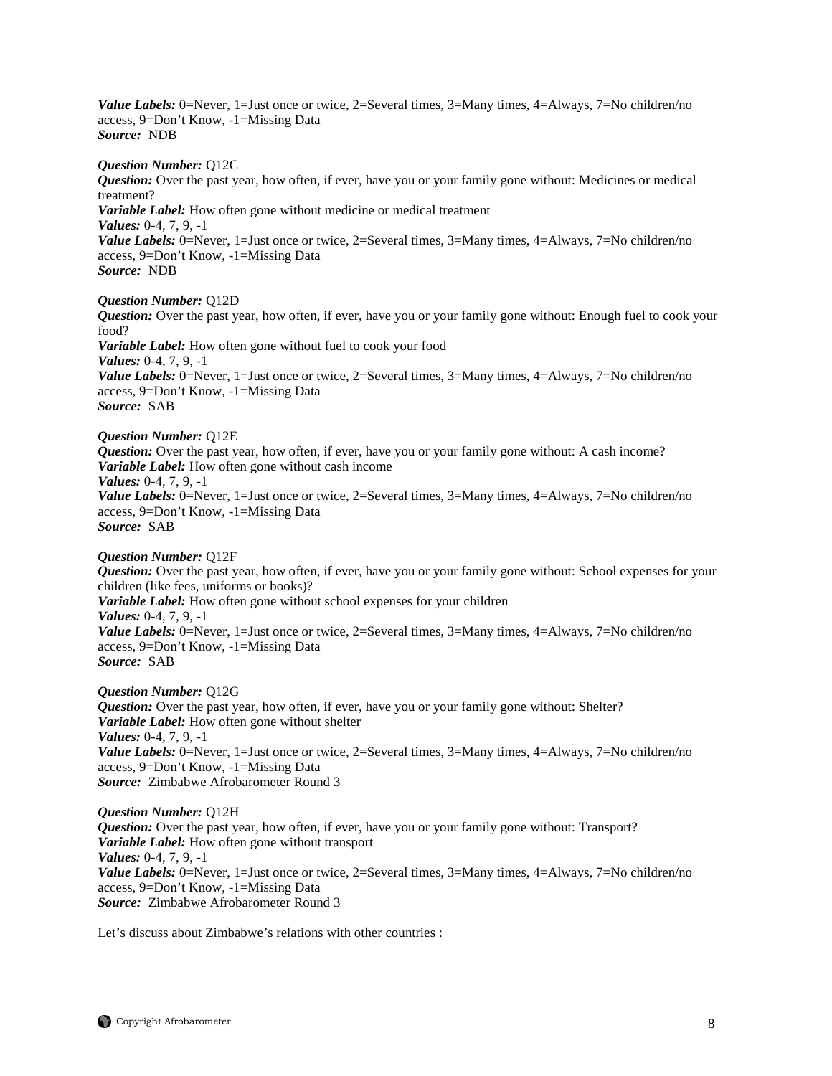*Value Labels:* 0=Never, 1=Just once or twice, 2=Several times, 3=Many times, 4=Always, 7=No children/no access, 9=Don't Know, -1=Missing Data *Source:* NDB

#### *Question Number:* Q12C

*Question:* Over the past year, how often, if ever, have you or your family gone without: Medicines or medical treatment? *Variable Label:* How often gone without medicine or medical treatment

*Values:* 0-4, 7, 9, -1

*Value Labels:* 0=Never, 1=Just once or twice, 2=Several times, 3=Many times, 4=Always, 7=No children/no access, 9=Don't Know, -1=Missing Data *Source:* NDB

#### *Question Number:* Q12D

*Question:* Over the past year, how often, if ever, have you or your family gone without: Enough fuel to cook your food?

*Variable Label:* How often gone without fuel to cook your food *Values:* 0-4, 7, 9, -1 *Value Labels:* 0=Never, 1=Just once or twice, 2=Several times, 3=Many times, 4=Always, 7=No children/no access, 9=Don't Know, -1=Missing Data *Source:* SAB

#### *Question Number:* Q12E

*Question:* Over the past year, how often, if ever, have you or your family gone without: A cash income? *Variable Label:* How often gone without cash income *Values:* 0-4, 7, 9, -1 *Value Labels:* 0=Never, 1=Just once or twice, 2=Several times, 3=Many times, 4=Always, 7=No children/no access, 9=Don't Know, -1=Missing Data *Source:* SAB

#### *Question Number:* Q12F

*Question:* Over the past year, how often, if ever, have you or your family gone without: School expenses for your children (like fees, uniforms or books)? *Variable Label:* How often gone without school expenses for your children *Values:* 0-4, 7, 9, -1 *Value Labels:* 0=Never, 1=Just once or twice, 2=Several times, 3=Many times, 4=Always, 7=No children/no access, 9=Don't Know, -1=Missing Data *Source:* SAB

*Question Number:* Q12G *Question:* Over the past year, how often, if ever, have you or your family gone without: Shelter? *Variable Label:* How often gone without shelter *Values:* 0-4, 7, 9, -1 *Value Labels:* 0=Never, 1=Just once or twice, 2=Several times, 3=Many times, 4=Always, 7=No children/no access, 9=Don't Know, -1=Missing Data *Source:* Zimbabwe Afrobarometer Round 3

*Question Number:* Q12H *Question:* Over the past year, how often, if ever, have you or your family gone without: Transport? *Variable Label:* How often gone without transport *Values:* 0-4, 7, 9, -1 *Value Labels:* 0=Never, 1=Just once or twice, 2=Several times, 3=Many times, 4=Always, 7=No children/no access, 9=Don't Know, -1=Missing Data *Source:* Zimbabwe Afrobarometer Round 3

Let's discuss about Zimbabwe's relations with other countries :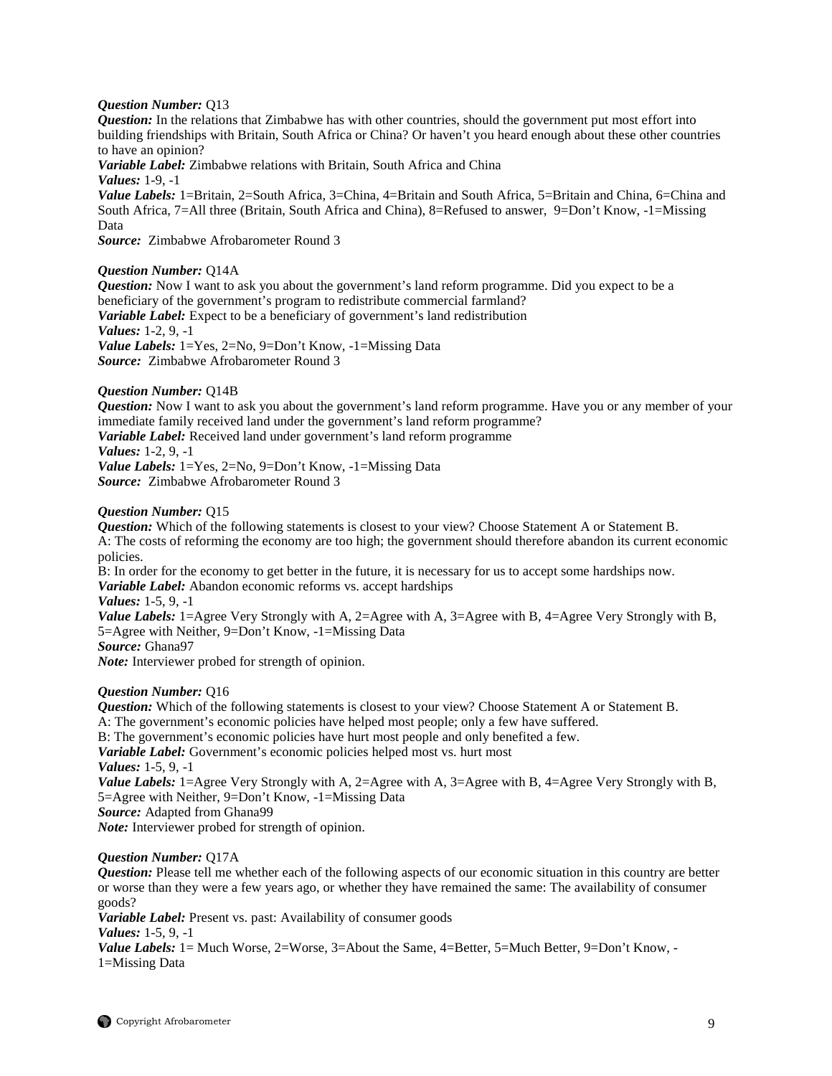## *Question Number:* Q13

*Question:* In the relations that Zimbabwe has with other countries, should the government put most effort into building friendships with Britain, South Africa or China? Or haven't you heard enough about these other countries to have an opinion?

*Variable Label:* Zimbabwe relations with Britain, South Africa and China *Values:* 1-9, -1

*Value Labels:* 1=Britain, 2=South Africa, 3=China, 4=Britain and South Africa, 5=Britain and China, 6=China and South Africa, 7=All three (Britain, South Africa and China), 8=Refused to answer, 9=Don't Know, -1=Missing Data

*Source:* Zimbabwe Afrobarometer Round 3

## *Question Number:* Q14A

*Question:* Now I want to ask you about the government's land reform programme. Did you expect to be a beneficiary of the government's program to redistribute commercial farmland? *Variable Label:* Expect to be a beneficiary of government's land redistribution *Values:* 1-2, 9, -1 *Value Labels:* 1=Yes, 2=No, 9=Don't Know, -1=Missing Data *Source:* Zimbabwe Afrobarometer Round 3

## *Question Number:* Q14B

*Question:* Now I want to ask you about the government's land reform programme. Have you or any member of your immediate family received land under the government's land reform programme?

*Variable Label:* Received land under government's land reform programme

#### *Values:* 1-2, 9, -1

*Value Labels:* 1=Yes, 2=No, 9=Don't Know, -1=Missing Data *Source:* Zimbabwe Afrobarometer Round 3

## *Question Number:* Q15

*Question:* Which of the following statements is closest to your view? Choose Statement A or Statement B. A: The costs of reforming the economy are too high; the government should therefore abandon its current economic policies.

B: In order for the economy to get better in the future, it is necessary for us to accept some hardships now. *Variable Label:* Abandon economic reforms vs. accept hardships *Values:* 1-5, 9, -1 *Value Labels:* 1=Agree Very Strongly with A, 2=Agree with A, 3=Agree with B, 4=Agree Very Strongly with B,

5=Agree with Neither, 9=Don't Know, -1=Missing Data

*Source:* Ghana97

*Note:* Interviewer probed for strength of opinion.

## *Question Number:* Q16

*Question:* Which of the following statements is closest to your view? Choose Statement A or Statement B. A: The government's economic policies have helped most people; only a few have suffered. B: The government's economic policies have hurt most people and only benefited a few. *Variable Label:* Government's economic policies helped most vs. hurt most *Values:* 1-5, 9, -1 *Value Labels:* 1=Agree Very Strongly with A, 2=Agree with A, 3=Agree with B, 4=Agree Very Strongly with B, 5=Agree with Neither, 9=Don't Know, -1=Missing Data

*Source:* Adapted from Ghana99

*Note:* Interviewer probed for strength of opinion.

#### *Question Number:* Q17A

*Question:* Please tell me whether each of the following aspects of our economic situation in this country are better or worse than they were a few years ago, or whether they have remained the same: The availability of consumer goods?

*Variable Label:* Present vs. past: Availability of consumer goods

*Values:* 1-5, 9, -1

*Value Labels:* 1 = Much Worse, 2=Worse, 3=About the Same, 4=Better, 5=Much Better, 9=Don't Know, -1=Missing Data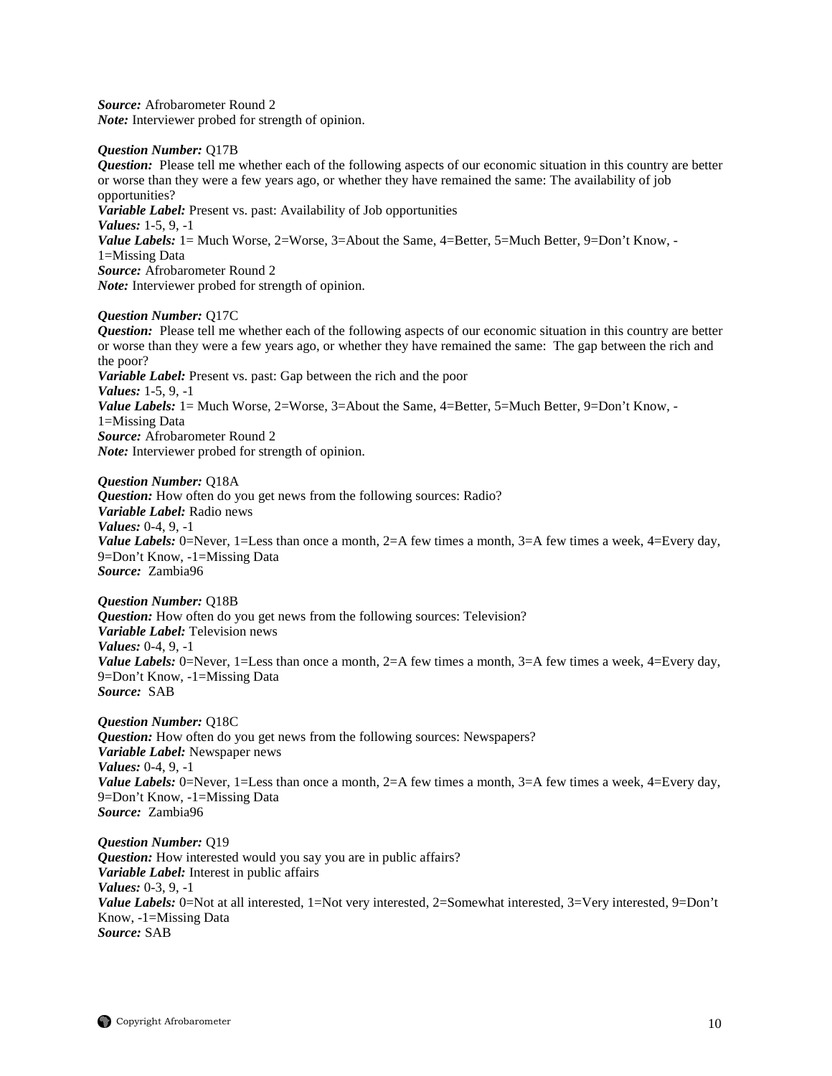*Source:* Afrobarometer Round 2 *Note:* Interviewer probed for strength of opinion.

#### *Question Number:* Q17B

*Question:* Please tell me whether each of the following aspects of our economic situation in this country are better or worse than they were a few years ago, or whether they have remained the same: The availability of job opportunities? *Variable Label:* Present vs. past: Availability of Job opportunities *Values:* 1-5, 9, -1 *Value Labels:* 1 = Much Worse, 2=Worse, 3=About the Same, 4=Better, 5=Much Better, 9=Don't Know, -1=Missing Data *Source:* Afrobarometer Round 2 *Note:* Interviewer probed for strength of opinion.

## *Question Number:* Q17C

*Question:* Please tell me whether each of the following aspects of our economic situation in this country are better or worse than they were a few years ago, or whether they have remained the same: The gap between the rich and the poor? *Variable Label:* Present vs. past: Gap between the rich and the poor *Values:* 1-5, 9, -1 *Value Labels:* 1 = Much Worse, 2=Worse, 3=About the Same, 4=Better, 5=Much Better, 9=Don't Know, -1=Missing Data *Source:* Afrobarometer Round 2 *Note:* Interviewer probed for strength of opinion.

*Question Number:* Q18A *Question:* How often do you get news from the following sources: Radio? *Variable Label:* Radio news *Values:* 0-4, 9, -1 *Value Labels:* 0=Never, 1=Less than once a month, 2=A few times a month, 3=A few times a week, 4=Every day, 9=Don't Know, -1=Missing Data *Source:* Zambia96

*Question Number:* Q18B *Question:* How often do you get news from the following sources: Television? *Variable Label:* Television news *Values:* 0-4, 9, -1 *Value Labels:* 0=Never, 1=Less than once a month, 2=A few times a month, 3=A few times a week, 4=Every day, 9=Don't Know, -1=Missing Data *Source:* SAB

*Question Number:* Q18C **Question:** How often do you get news from the following sources: Newspapers? *Variable Label:* Newspaper news *Values:* 0-4, 9, -1 *Value Labels:* 0=Never, 1=Less than once a month, 2=A few times a month, 3=A few times a week, 4=Every day, 9=Don't Know, -1=Missing Data *Source:* Zambia96

*Question Number:* Q19 *Question:* How interested would you say you are in public affairs? *Variable Label:* Interest in public affairs *Values:* 0-3, 9, -1 *Value Labels:* 0=Not at all interested, 1=Not very interested, 2=Somewhat interested, 3=Very interested, 9=Don't Know, -1=Missing Data *Source:* SAB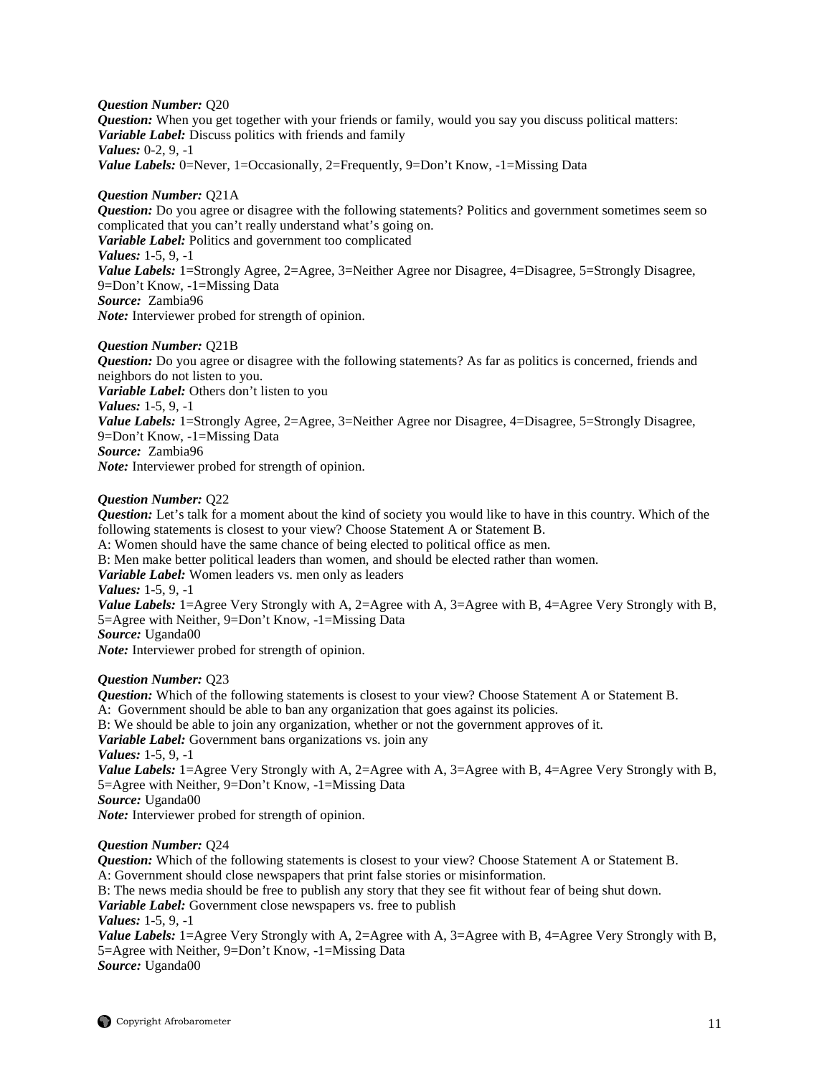*Question Number:* Q20 *Question:* When you get together with your friends or family, would you say you discuss political matters: *Variable Label:* Discuss politics with friends and family *Values:* 0-2, 9, -1 *Value Labels:* 0=Never, 1=Occasionally, 2=Frequently, 9=Don't Know, -1=Missing Data

*Question Number:* Q21A *Question:* Do you agree or disagree with the following statements? Politics and government sometimes seem so complicated that you can't really understand what's going on. *Variable Label:* Politics and government too complicated *Values:* 1-5, 9, -1 *Value Labels:* 1=Strongly Agree, 2=Agree, 3=Neither Agree nor Disagree, 4=Disagree, 5=Strongly Disagree, 9=Don't Know, -1=Missing Data *Source:* Zambia96 *Note:* Interviewer probed for strength of opinion.

#### *Question Number:* Q21B

*Question:* Do you agree or disagree with the following statements? As far as politics is concerned, friends and neighbors do not listen to you. *Variable Label:* Others don't listen to you *Values:* 1-5, 9, -1 *Value Labels:* 1=Strongly Agree, 2=Agree, 3=Neither Agree nor Disagree, 4=Disagree, 5=Strongly Disagree, 9=Don't Know, -1=Missing Data *Source:* Zambia96 *Note:* Interviewer probed for strength of opinion.

#### *Question Number:* Q22

*Question:* Let's talk for a moment about the kind of society you would like to have in this country. Which of the following statements is closest to your view? Choose Statement A or Statement B.

A: Women should have the same chance of being elected to political office as men.

B: Men make better political leaders than women, and should be elected rather than women.

*Variable Label:* Women leaders vs. men only as leaders

*Values:* 1-5, 9, -1

*Value Labels:* 1=Agree Very Strongly with A, 2=Agree with A, 3=Agree with B, 4=Agree Very Strongly with B, 5=Agree with Neither, 9=Don't Know, -1=Missing Data

*Source:* Uganda00

*Note:* Interviewer probed for strength of opinion.

#### *Question Number:* Q23

*Question:* Which of the following statements is closest to your view? Choose Statement A or Statement B. A: Government should be able to ban any organization that goes against its policies. B: We should be able to join any organization, whether or not the government approves of it. *Variable Label:* Government bans organizations vs. join any *Values:* 1-5, 9, -1 *Value Labels:* 1=Agree Very Strongly with A, 2=Agree with A, 3=Agree with B, 4=Agree Very Strongly with B, 5=Agree with Neither, 9=Don't Know, -1=Missing Data *Source:* Uganda00 *Note:* Interviewer probed for strength of opinion.

#### *Question Number:* Q24

*Question:* Which of the following statements is closest to your view? Choose Statement A or Statement B. A: Government should close newspapers that print false stories or misinformation. B: The news media should be free to publish any story that they see fit without fear of being shut down. *Variable Label:* Government close newspapers vs. free to publish *Values:* 1-5, 9, -1 *Value Labels:* 1=Agree Very Strongly with A, 2=Agree with A, 3=Agree with B, 4=Agree Very Strongly with B, 5=Agree with Neither, 9=Don't Know, -1=Missing Data *Source:* Uganda00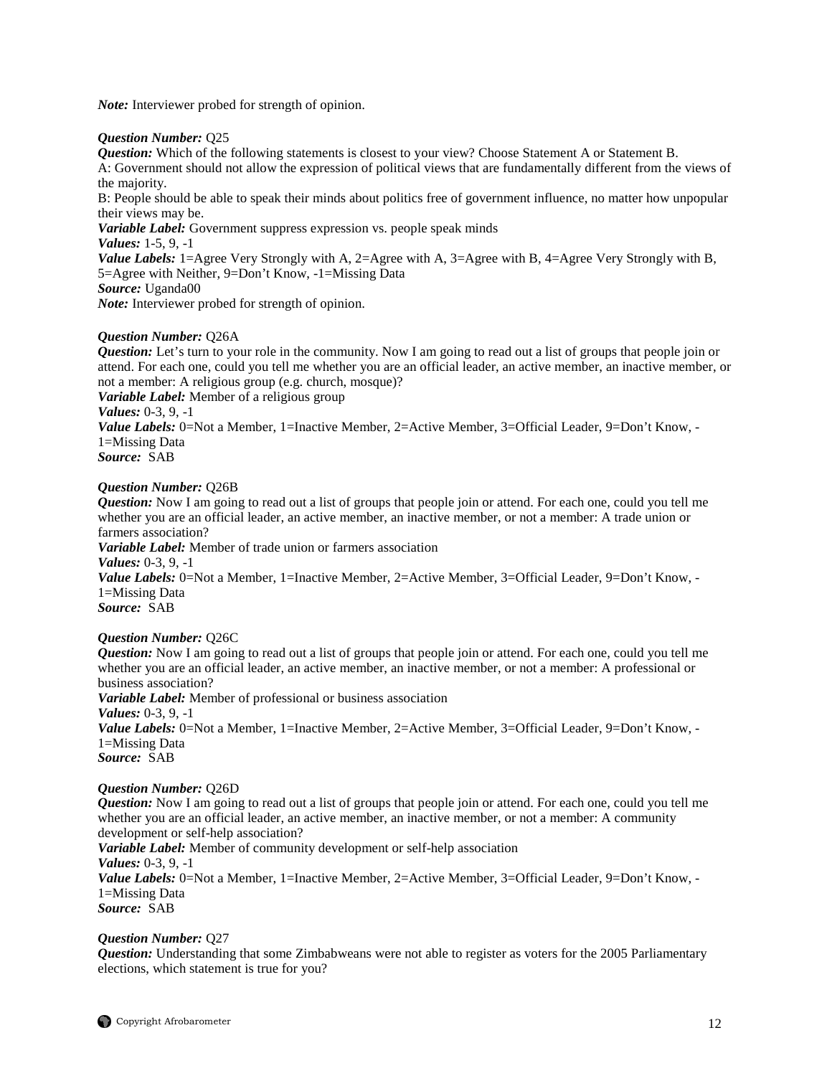*Note:* Interviewer probed for strength of opinion.

## *Question Number:* Q25

*Question:* Which of the following statements is closest to your view? Choose Statement A or Statement B. A: Government should not allow the expression of political views that are fundamentally different from the views of the majority.

B: People should be able to speak their minds about politics free of government influence, no matter how unpopular their views may be.

*Variable Label:* Government suppress expression vs. people speak minds

*Values:* 1-5, 9, -1

*Value Labels:* 1=Agree Very Strongly with A, 2=Agree with A, 3=Agree with B, 4=Agree Very Strongly with B, 5=Agree with Neither, 9=Don't Know, -1=Missing Data *Source:* Uganda00

*Note:* Interviewer probed for strength of opinion.

## *Question Number:* Q26A

*Question:* Let's turn to your role in the community. Now I am going to read out a list of groups that people join or attend. For each one, could you tell me whether you are an official leader, an active member, an inactive member, or not a member: A religious group (e.g. church, mosque)?

*Variable Label:* Member of a religious group

## *Values:* 0-3, 9, -1

*Value Labels:* 0=Not a Member, 1=Inactive Member, 2=Active Member, 3=Official Leader, 9=Don't Know, - 1=Missing Data

*Source:* SAB

## *Question Number:* Q26B

*Question:* Now I am going to read out a list of groups that people join or attend. For each one, could you tell me whether you are an official leader, an active member, an inactive member, or not a member: A trade union or farmers association?

*Variable Label:* Member of trade union or farmers association

*Values:* 0-3, 9, -1

*Value Labels:* 0=Not a Member, 1=Inactive Member, 2=Active Member, 3=Official Leader, 9=Don't Know, -1=Missing Data *Source:* SAB

## *Question Number:* Q26C

*Question:* Now I am going to read out a list of groups that people join or attend. For each one, could you tell me whether you are an official leader, an active member, an inactive member, or not a member: A professional or business association?

*Variable Label:* Member of professional or business association *Values:* 0-3, 9, -1 *Value Labels:* 0=Not a Member, 1=Inactive Member, 2=Active Member, 3=Official Leader, 9=Don't Know, -1=Missing Data *Source:* SAB

## *Question Number:* Q26D

*Question:* Now I am going to read out a list of groups that people join or attend. For each one, could you tell me whether you are an official leader, an active member, an inactive member, or not a member: A community development or self-help association?

*Variable Label:* Member of community development or self-help association *Values:* 0-3, 9, -1

*Value Labels:* 0=Not a Member, 1=Inactive Member, 2=Active Member, 3=Official Leader, 9=Don't Know, -1=Missing Data

*Source:* SAB

## *Question Number:* Q27

*Question:* Understanding that some Zimbabweans were not able to register as voters for the 2005 Parliamentary elections, which statement is true for you?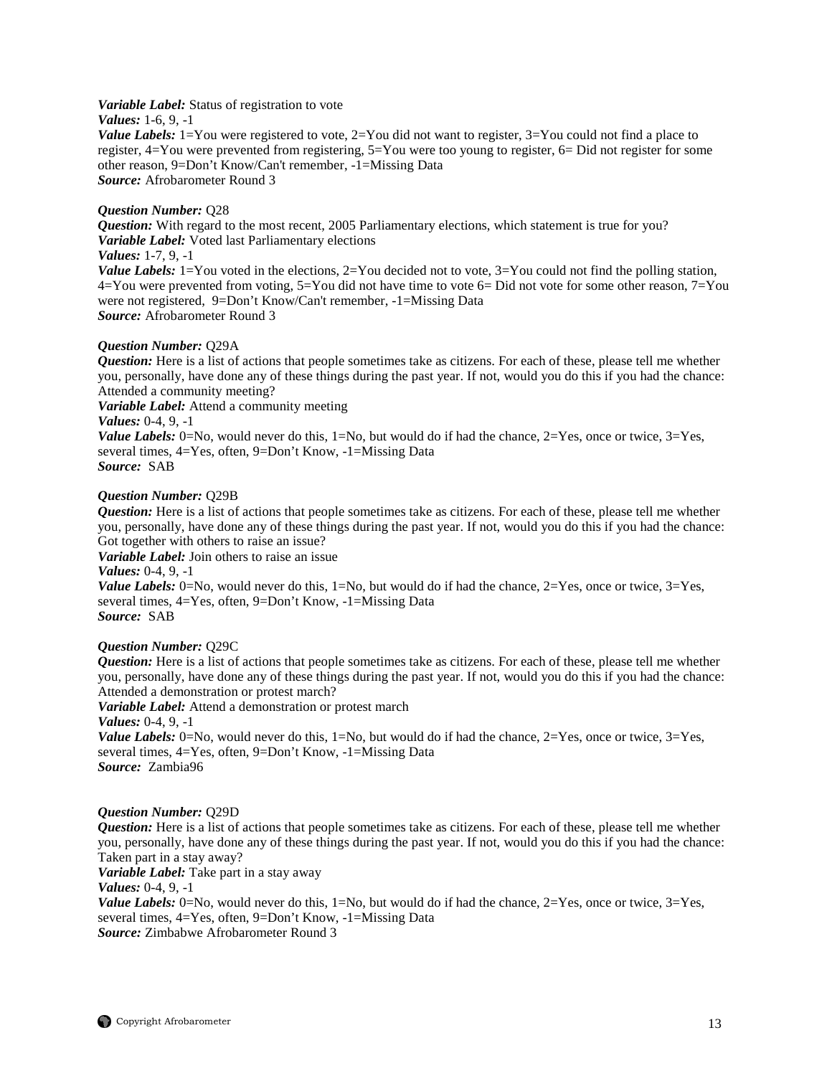#### *Variable Label:* Status of registration to vote

## *Values:* 1-6, 9, -1

*Value Labels:* 1=You were registered to vote, 2=You did not want to register, 3=You could not find a place to register, 4=You were prevented from registering, 5=You were too young to register, 6= Did not register for some other reason, 9=Don't Know/Can't remember, -1=Missing Data *Source:* Afrobarometer Round 3

## *Question Number:* Q28

*Question:* With regard to the most recent, 2005 Parliamentary elections, which statement is true for you? *Variable Label:* Voted last Parliamentary elections

## *Values:* 1-7, 9, -1

*Value Labels:*  $1 = You$  voted in the elections,  $2 = You$  decided not to vote,  $3 = You$  could not find the polling station, 4=You were prevented from voting, 5=You did not have time to vote 6= Did not vote for some other reason, 7=You were not registered, 9=Don't Know/Can't remember, -1=Missing Data *Source:* Afrobarometer Round 3

#### *Question Number:* Q29A

*Question:* Here is a list of actions that people sometimes take as citizens. For each of these, please tell me whether you, personally, have done any of these things during the past year. If not, would you do this if you had the chance: Attended a community meeting?

*Variable Label:* Attend a community meeting

## *Values:* 0-4, 9, -1

*Value Labels:* 0=No, would never do this, 1=No, but would do if had the chance,  $2=Yes$ , once or twice,  $3=Yes$ , several times, 4=Yes, often, 9=Don't Know, -1=Missing Data *Source:* SAB

#### *Question Number:* Q29B

*Question:* Here is a list of actions that people sometimes take as citizens. For each of these, please tell me whether you, personally, have done any of these things during the past year. If not, would you do this if you had the chance: Got together with others to raise an issue?

*Variable Label:* Join others to raise an issue

*Values:*  $0-4$ , 9,  $-1$ 

*Value Labels:* 0=No, would never do this,  $1=N_0$ , but would do if had the chance,  $2=Y$ es, once or twice,  $3=Yes$ , several times, 4=Yes, often, 9=Don't Know, -1=Missing Data *Source:* SAB

#### *Question Number:* Q29C

*Question:* Here is a list of actions that people sometimes take as citizens. For each of these, please tell me whether you, personally, have done any of these things during the past year. If not, would you do this if you had the chance: Attended a demonstration or protest march?

*Variable Label:* Attend a demonstration or protest march

*Values:* 0-4, 9, -1

*Value Labels:* 0=No, would never do this, 1=No, but would do if had the chance, 2=Yes, once or twice, 3=Yes, several times, 4=Yes, often, 9=Don't Know, -1=Missing Data *Source:* Zambia96

## *Question Number:* Q29D

*Question:* Here is a list of actions that people sometimes take as citizens. For each of these, please tell me whether you, personally, have done any of these things during the past year. If not, would you do this if you had the chance: Taken part in a stay away?

*Variable Label:* Take part in a stay away

*Values:*  $0-4$ , 9,  $-1$ 

*Value Labels:* 0=No, would never do this, 1=No, but would do if had the chance, 2=Yes, once or twice, 3=Yes, several times, 4=Yes, often, 9=Don't Know, -1=Missing Data *Source:* Zimbabwe Afrobarometer Round 3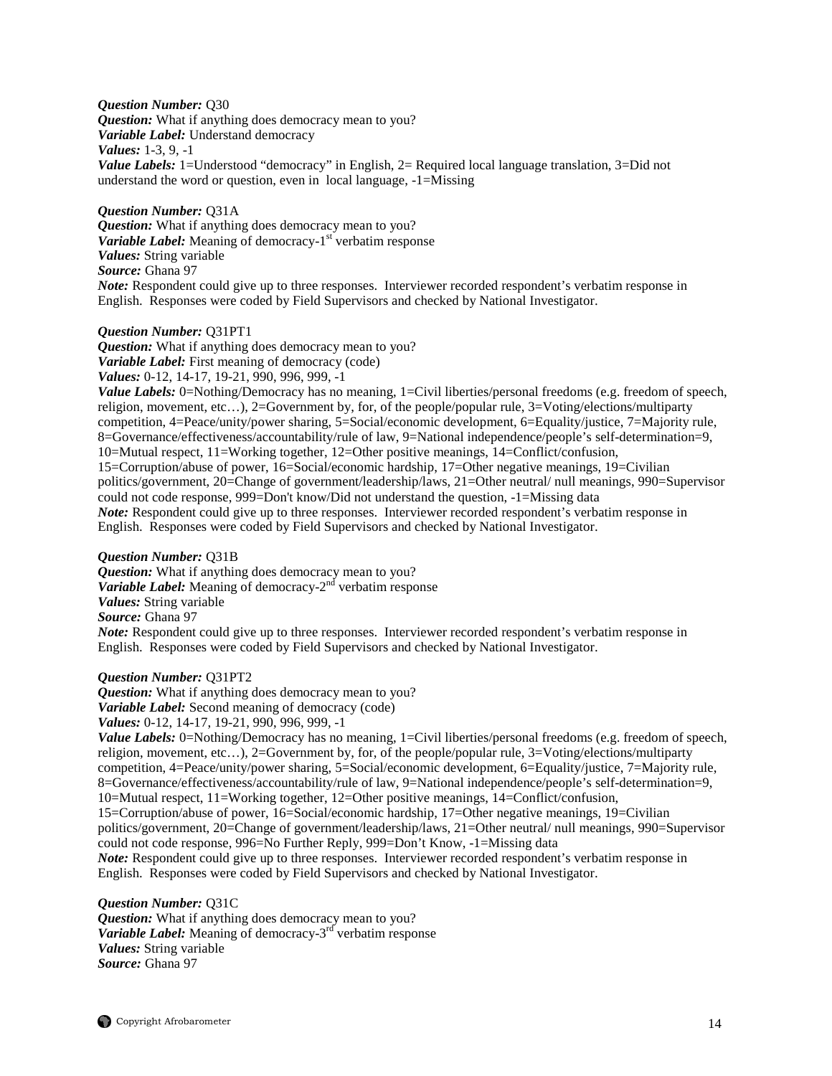#### *Question Number:* Q30

*Question:* What if anything does democracy mean to you?

*Variable Label:* Understand democracy

*Values:* 1-3, 9, -1

*Value Labels:* 1=Understood "democracy" in English, 2= Required local language translation, 3=Did not understand the word or question, even in local language, -1=Missing

## *Question Number:* Q31A

*Question:* What if anything does democracy mean to you? *Variable Label:* Meaning of democracy-1<sup>st</sup> verbatim response *Values:* String variable *Source:* Ghana 97 *Note:* Respondent could give up to three responses. Interviewer recorded respondent's verbatim response in English. Responses were coded by Field Supervisors and checked by National Investigator.

## *Question Number:* Q31PT1

*Question:* What if anything does democracy mean to you? *Variable Label:* First meaning of democracy (code) *Values:* 0-12, 14-17, 19-21, 990, 996, 999, -1

*Value Labels:* 0=Nothing/Democracy has no meaning, 1=Civil liberties/personal freedoms (e.g. freedom of speech, religion, movement, etc…), 2=Government by, for, of the people/popular rule, 3=Voting/elections/multiparty competition, 4=Peace/unity/power sharing, 5=Social/economic development, 6=Equality/justice, 7=Majority rule, 8=Governance/effectiveness/accountability/rule of law, 9=National independence/people's self-determination=9, 10=Mutual respect, 11=Working together, 12=Other positive meanings, 14=Conflict/confusion, 15=Corruption/abuse of power, 16=Social/economic hardship, 17=Other negative meanings, 19=Civilian politics/government, 20=Change of government/leadership/laws, 21=Other neutral/ null meanings, 990=Supervisor could not code response, 999=Don't know/Did not understand the question, -1=Missing data *Note:* Respondent could give up to three responses. Interviewer recorded respondent's verbatim response in English. Responses were coded by Field Supervisors and checked by National Investigator.

#### *Question Number:* Q31B

*Question:* What if anything does democracy mean to you? *Variable Label:* Meaning of democracy-2<sup>nd</sup> verbatim response *Values:* String variable *Source:* Ghana 97 *Note:* Respondent could give up to three responses. Interviewer recorded respondent's verbatim response in English. Responses were coded by Field Supervisors and checked by National Investigator.

#### *Question Number:* Q31PT2

*Question:* What if anything does democracy mean to you? *Variable Label:* Second meaning of democracy (code) *Values:* 0-12, 14-17, 19-21, 990, 996, 999, -1

*Value Labels:* 0=Nothing/Democracy has no meaning, 1=Civil liberties/personal freedoms (e.g. freedom of speech, religion, movement, etc…), 2=Government by, for, of the people/popular rule, 3=Voting/elections/multiparty competition, 4=Peace/unity/power sharing, 5=Social/economic development, 6=Equality/justice, 7=Majority rule, 8=Governance/effectiveness/accountability/rule of law, 9=National independence/people's self-determination=9, 10=Mutual respect, 11=Working together, 12=Other positive meanings, 14=Conflict/confusion, 15=Corruption/abuse of power, 16=Social/economic hardship, 17=Other negative meanings, 19=Civilian politics/government, 20=Change of government/leadership/laws, 21=Other neutral/ null meanings, 990=Supervisor could not code response, 996=No Further Reply, 999=Don't Know, -1=Missing data *Note:* Respondent could give up to three responses. Interviewer recorded respondent's verbatim response in English. Responses were coded by Field Supervisors and checked by National Investigator.

*Question Number:* Q31C *Question:* What if anything does democracy mean to you? *Variable Label:* Meaning of democracy-3<sup>rd</sup> verbatim response *Values:* String variable *Source:* Ghana 97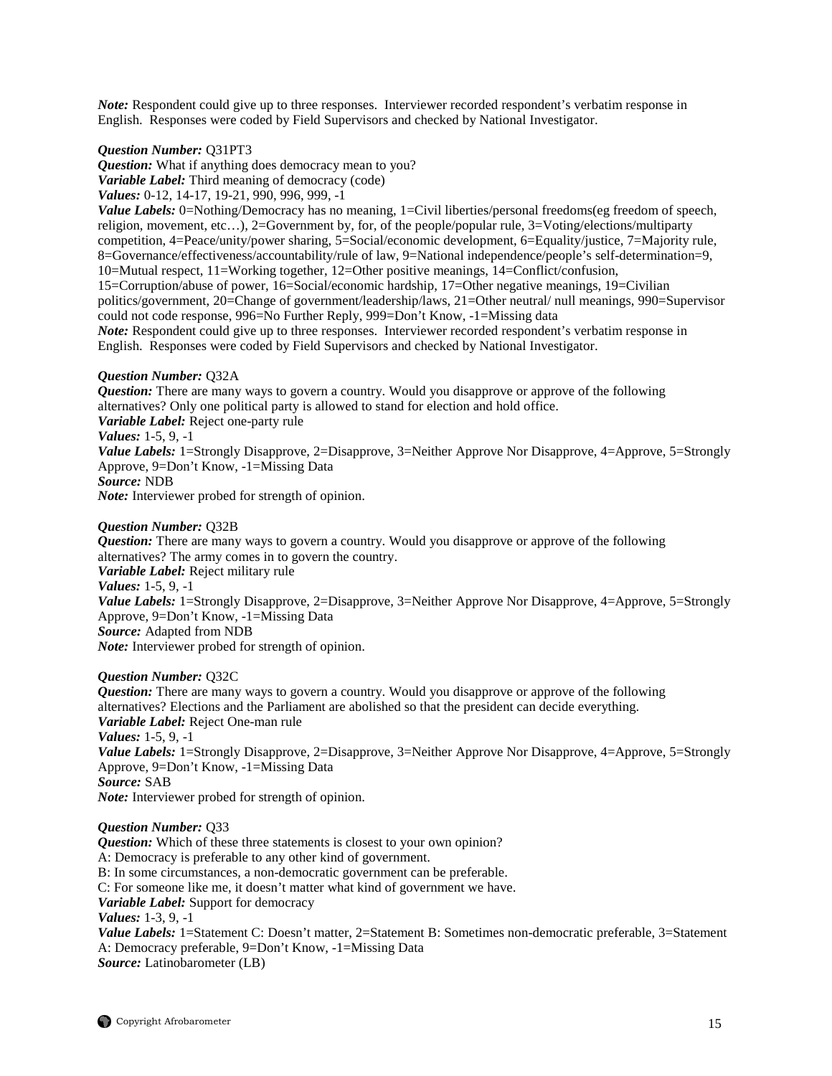*Note:* Respondent could give up to three responses. Interviewer recorded respondent's verbatim response in English. Responses were coded by Field Supervisors and checked by National Investigator.

## *Question Number:* Q31PT3

*Question:* What if anything does democracy mean to you? *Variable Label:* Third meaning of democracy (code) *Values:* 0-12, 14-17, 19-21, 990, 996, 999, -1

*Value Labels:* 0=Nothing/Democracy has no meaning, 1=Civil liberties/personal freedoms(eg freedom of speech, religion, movement, etc…), 2=Government by, for, of the people/popular rule, 3=Voting/elections/multiparty competition, 4=Peace/unity/power sharing, 5=Social/economic development, 6=Equality/justice, 7=Majority rule, 8=Governance/effectiveness/accountability/rule of law, 9=National independence/people's self-determination=9, 10=Mutual respect, 11=Working together, 12=Other positive meanings, 14=Conflict/confusion, 15=Corruption/abuse of power, 16=Social/economic hardship, 17=Other negative meanings, 19=Civilian politics/government, 20=Change of government/leadership/laws, 21=Other neutral/ null meanings, 990=Supervisor could not code response, 996=No Further Reply, 999=Don't Know, -1=Missing data *Note:* Respondent could give up to three responses. Interviewer recorded respondent's verbatim response in English. Responses were coded by Field Supervisors and checked by National Investigator.

## *Question Number:* Q32A

*Question:* There are many ways to govern a country. Would you disapprove or approve of the following alternatives? Only one political party is allowed to stand for election and hold office. *Variable Label:* Reject one-party rule *Values:* 1-5, 9, -1 *Value Labels:* 1=Strongly Disapprove, 2=Disapprove, 3=Neither Approve Nor Disapprove, 4=Approve, 5=Strongly Approve, 9=Don't Know, -1=Missing Data *Source:* NDB *Note:* Interviewer probed for strength of opinion.

## *Question Number:* Q32B

*Question:* There are many ways to govern a country. Would you disapprove or approve of the following alternatives? The army comes in to govern the country. *Variable Label:* Reject military rule *Values:* 1-5, 9, -1 *Value Labels:* 1=Strongly Disapprove, 2=Disapprove, 3=Neither Approve Nor Disapprove, 4=Approve, 5=Strongly Approve, 9=Don't Know, -1=Missing Data *Source:* Adapted from NDB *Note:* Interviewer probed for strength of opinion.

#### *Question Number:* Q32C

*Question:* There are many ways to govern a country. Would you disapprove or approve of the following alternatives? Elections and the Parliament are abolished so that the president can decide everything. *Variable Label:* Reject One-man rule *Values:* 1-5, 9, -1 *Value Labels:* 1=Strongly Disapprove, 2=Disapprove, 3=Neither Approve Nor Disapprove, 4=Approve, 5=Strongly Approve, 9=Don't Know, -1=Missing Data *Source:* SAB *Note:* Interviewer probed for strength of opinion.

#### *Question Number:* Q33

*Question:* Which of these three statements is closest to your own opinion? A: Democracy is preferable to any other kind of government.

B: In some circumstances, a non-democratic government can be preferable.

C: For someone like me, it doesn't matter what kind of government we have.

*Variable Label:* Support for democracy

*Values:* 1-3, 9, -1

*Value Labels:* 1=Statement C: Doesn't matter, 2=Statement B: Sometimes non-democratic preferable, 3=Statement A: Democracy preferable, 9=Don't Know, -1=Missing Data *Source:* Latinobarometer (LB)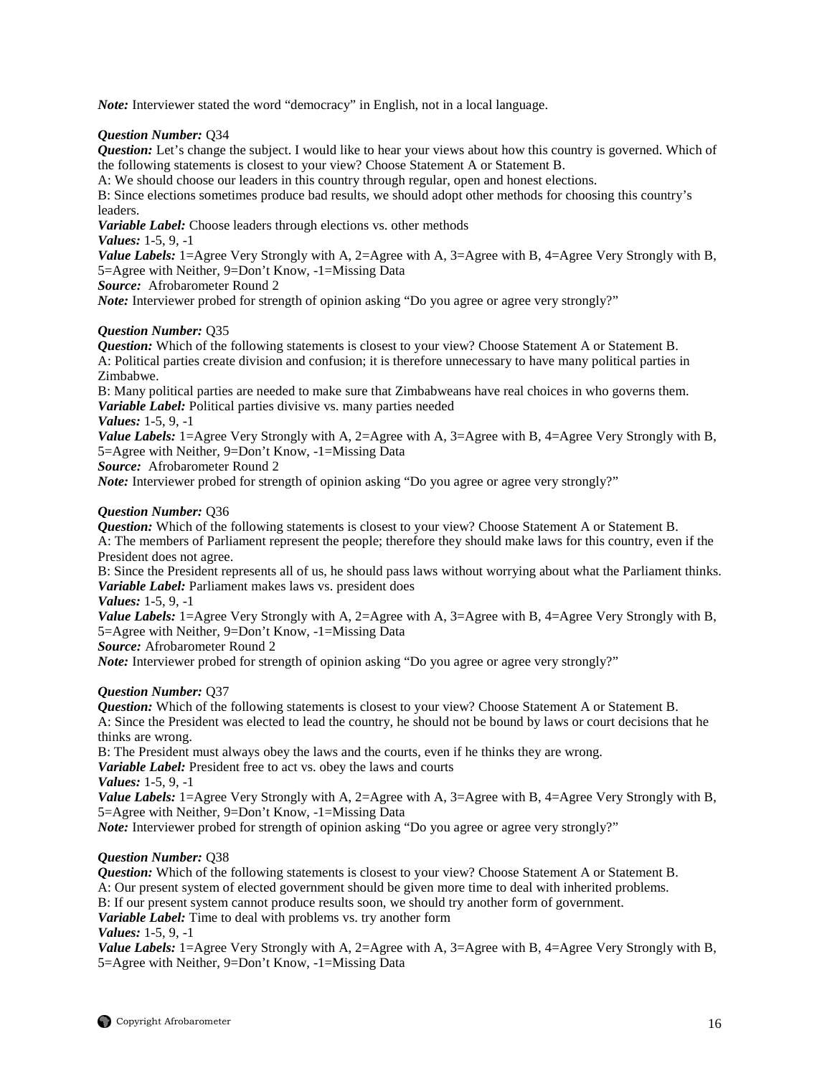*Note:* Interviewer stated the word "democracy" in English, not in a local language.

## *Question Number:* Q34

*Question:* Let's change the subject. I would like to hear your views about how this country is governed. Which of the following statements is closest to your view? Choose Statement A or Statement B.

A: We should choose our leaders in this country through regular, open and honest elections.

B: Since elections sometimes produce bad results, we should adopt other methods for choosing this country's leaders.

*Variable Label:* Choose leaders through elections vs. other methods

*Values:* 1-5, 9, -1

*Value Labels:* 1=Agree Very Strongly with A, 2=Agree with A, 3=Agree with B, 4=Agree Very Strongly with B, 5=Agree with Neither, 9=Don't Know, -1=Missing Data

*Source:* Afrobarometer Round 2

*Note:* Interviewer probed for strength of opinion asking "Do you agree or agree very strongly?"

## *Question Number:* Q35

*Question:* Which of the following statements is closest to your view? Choose Statement A or Statement B. A: Political parties create division and confusion; it is therefore unnecessary to have many political parties in Zimbabwe.

B: Many political parties are needed to make sure that Zimbabweans have real choices in who governs them. *Variable Label:* Political parties divisive vs. many parties needed

*Values:* 1-5, 9, -1

*Value Labels:* 1=Agree Very Strongly with A, 2=Agree with A, 3=Agree with B, 4=Agree Very Strongly with B, 5=Agree with Neither, 9=Don't Know, -1=Missing Data

*Source:* Afrobarometer Round 2

*Note:* Interviewer probed for strength of opinion asking "Do you agree or agree very strongly?"

## *Question Number:* Q36

*Question:* Which of the following statements is closest to your view? Choose Statement A or Statement B. A: The members of Parliament represent the people; therefore they should make laws for this country, even if the President does not agree.

B: Since the President represents all of us, he should pass laws without worrying about what the Parliament thinks. *Variable Label:* Parliament makes laws vs. president does

*Values:* 1-5, 9, -1

*Value Labels:* 1=Agree Very Strongly with A, 2=Agree with A, 3=Agree with B, 4=Agree Very Strongly with B, 5=Agree with Neither, 9=Don't Know, -1=Missing Data

*Source:* Afrobarometer Round 2

*Note:* Interviewer probed for strength of opinion asking "Do you agree or agree very strongly?"

## *Question Number:* Q37

*Question:* Which of the following statements is closest to your view? Choose Statement A or Statement B. A: Since the President was elected to lead the country, he should not be bound by laws or court decisions that he thinks are wrong.

B: The President must always obey the laws and the courts, even if he thinks they are wrong.

*Variable Label:* President free to act vs. obey the laws and courts

*Values:* 1-5, 9, -1

*Value Labels:* 1=Agree Very Strongly with A, 2=Agree with A, 3=Agree with B, 4=Agree Very Strongly with B, 5=Agree with Neither, 9=Don't Know, -1=Missing Data

*Note:* Interviewer probed for strength of opinion asking "Do you agree or agree very strongly?"

#### *Question Number:* Q38

*Question:* Which of the following statements is closest to your view? Choose Statement A or Statement B.

A: Our present system of elected government should be given more time to deal with inherited problems.

B: If our present system cannot produce results soon, we should try another form of government.

*Variable Label:* Time to deal with problems vs. try another form

*Values:* 1-5, 9, -1

*Value Labels:* 1=Agree Very Strongly with A, 2=Agree with A, 3=Agree with B, 4=Agree Very Strongly with B, 5=Agree with Neither, 9=Don't Know, -1=Missing Data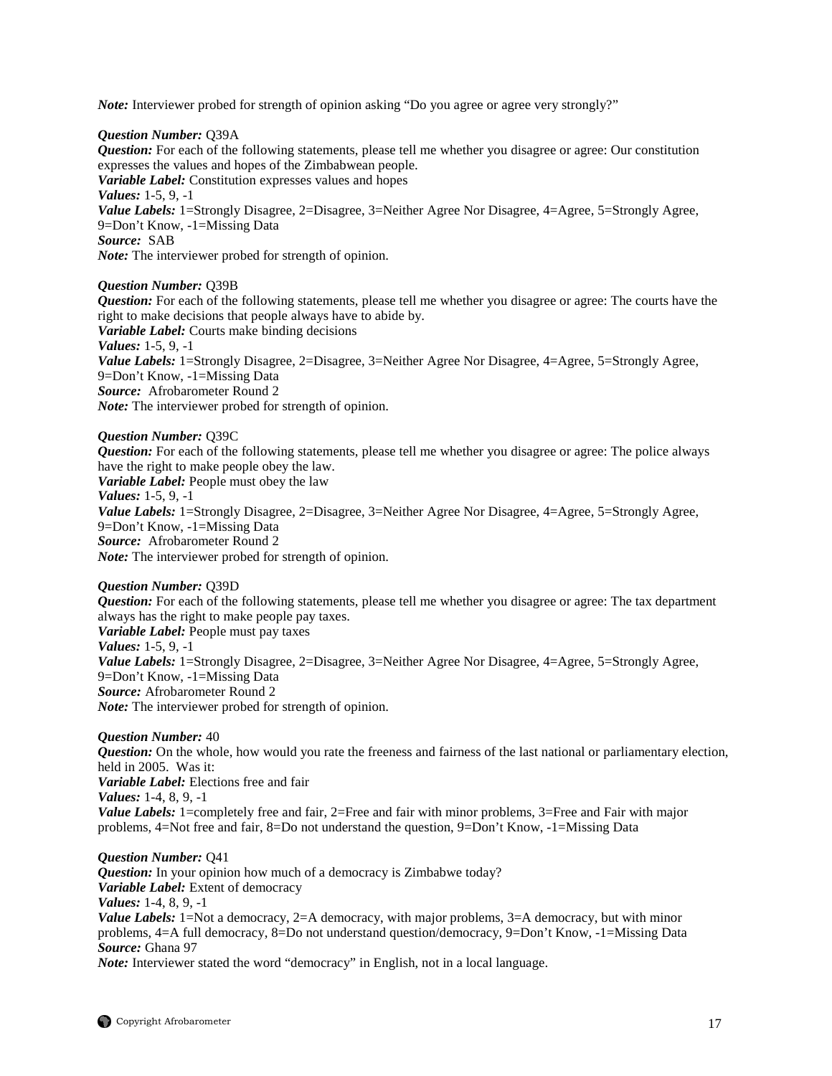*Note:* Interviewer probed for strength of opinion asking "Do you agree or agree very strongly?"

#### *Question Number:* Q39A

*Question:* For each of the following statements, please tell me whether you disagree or agree: Our constitution expresses the values and hopes of the Zimbabwean people. *Variable Label:* Constitution expresses values and hopes *Values:* 1-5, 9, -1 *Value Labels:* 1=Strongly Disagree, 2=Disagree, 3=Neither Agree Nor Disagree, 4=Agree, 5=Strongly Agree, 9=Don't Know, -1=Missing Data *Source:* SAB *Note:* The interviewer probed for strength of opinion.

*Question Number:* Q39B

*Question:* For each of the following statements, please tell me whether you disagree or agree: The courts have the right to make decisions that people always have to abide by. *Variable Label:* Courts make binding decisions *Values:* 1-5, 9, -1 *Value Labels:* 1=Strongly Disagree, 2=Disagree, 3=Neither Agree Nor Disagree, 4=Agree, 5=Strongly Agree, 9=Don't Know, -1=Missing Data *Source:* Afrobarometer Round 2 *Note:* The interviewer probed for strength of opinion.

*Question Number:* Q39C *Question:* For each of the following statements, please tell me whether you disagree or agree: The police always have the right to make people obey the law. *Variable Label:* People must obey the law *Values:* 1-5, 9, -1 *Value Labels:* 1=Strongly Disagree, 2=Disagree, 3=Neither Agree Nor Disagree, 4=Agree, 5=Strongly Agree, 9=Don't Know, -1=Missing Data *Source:* Afrobarometer Round 2 *Note:* The interviewer probed for strength of opinion.

*Question Number:* Q39D *Question:* For each of the following statements, please tell me whether you disagree or agree: The tax department always has the right to make people pay taxes. *Variable Label:* People must pay taxes *Values:* 1-5, 9, -1 *Value Labels:* 1=Strongly Disagree, 2=Disagree, 3=Neither Agree Nor Disagree, 4=Agree, 5=Strongly Agree, 9=Don't Know, -1=Missing Data *Source:* Afrobarometer Round 2 *Note:* The interviewer probed for strength of opinion.

*Question Number:* 40 *Question:* On the whole, how would you rate the freeness and fairness of the last national or parliamentary election, held in 2005. Was it: *Variable Label:* Elections free and fair *Values:* 1-4, 8, 9, -1 *Value Labels:* 1=completely free and fair, 2=Free and fair with minor problems, 3=Free and Fair with major problems, 4=Not free and fair, 8=Do not understand the question, 9=Don't Know, -1=Missing Data

*Question Number:* Q41 *Question:* In your opinion how much of a democracy is Zimbabwe today? *Variable Label:* Extent of democracy *Values:* 1-4, 8, 9, -1 *Value Labels:* 1=Not a democracy, 2=A democracy, with major problems, 3=A democracy, but with minor problems, 4=A full democracy, 8=Do not understand question/democracy, 9=Don't Know, -1=Missing Data *Source:* Ghana 97

*Note:* Interviewer stated the word "democracy" in English, not in a local language.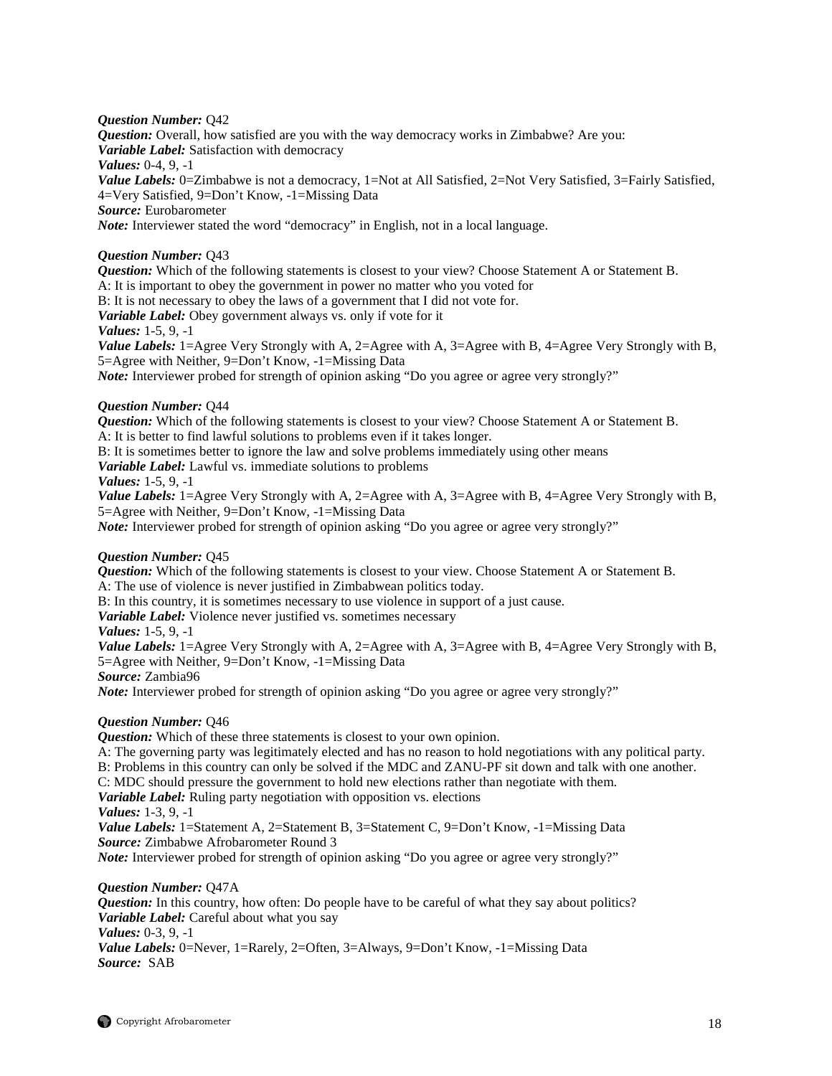## *Question Number:* Q42

*Question:* Overall, how satisfied are you with the way democracy works in Zimbabwe? Are you: *Variable Label:* Satisfaction with democracy *Values:* 0-4, 9, -1 *Value Labels:* 0=Zimbabwe is not a democracy, 1=Not at All Satisfied, 2=Not Very Satisfied, 3=Fairly Satisfied, 4=Very Satisfied, 9=Don't Know, -1=Missing Data *Source:* Eurobarometer *Note:* Interviewer stated the word "democracy" in English, not in a local language.

## *Question Number:* Q43

*Question:* Which of the following statements is closest to your view? Choose Statement A or Statement B. A: It is important to obey the government in power no matter who you voted for

B: It is not necessary to obey the laws of a government that I did not vote for.

*Variable Label:* Obey government always vs. only if vote for it

## *Values:* 1-5, 9, -1

*Value Labels:* 1=Agree Very Strongly with A, 2=Agree with A, 3=Agree with B, 4=Agree Very Strongly with B, 5=Agree with Neither, 9=Don't Know, -1=Missing Data

*Note:* Interviewer probed for strength of opinion asking "Do you agree or agree very strongly?"

## *Question Number:* Q44

*Question:* Which of the following statements is closest to your view? Choose Statement A or Statement B. A: It is better to find lawful solutions to problems even if it takes longer.

B: It is sometimes better to ignore the law and solve problems immediately using other means

*Variable Label:* Lawful vs. immediate solutions to problems

## *Values:* 1-5, 9, -1

*Value Labels:* 1=Agree Very Strongly with A, 2=Agree with A, 3=Agree with B, 4=Agree Very Strongly with B, 5=Agree with Neither, 9=Don't Know, -1=Missing Data

*Note:* Interviewer probed for strength of opinion asking "Do you agree or agree very strongly?"

## *Question Number:* Q45

*Question:* Which of the following statements is closest to your view. Choose Statement A or Statement B. A: The use of violence is never justified in Zimbabwean politics today.

B: In this country, it is sometimes necessary to use violence in support of a just cause.

*Variable Label:* Violence never justified vs. sometimes necessary

## *Values:* 1-5, 9, -1

*Value Labels:* 1=Agree Very Strongly with A, 2=Agree with A, 3=Agree with B, 4=Agree Very Strongly with B, 5=Agree with Neither, 9=Don't Know, -1=Missing Data

*Source:* Zambia96

*Note:* Interviewer probed for strength of opinion asking "Do you agree or agree very strongly?"

## *Question Number:* Q46

*Question:* Which of these three statements is closest to your own opinion.

A: The governing party was legitimately elected and has no reason to hold negotiations with any political party.

B: Problems in this country can only be solved if the MDC and ZANU-PF sit down and talk with one another.

C: MDC should pressure the government to hold new elections rather than negotiate with them.

*Variable Label:* Ruling party negotiation with opposition vs. elections

*Values:* 1-3, 9, -1

*Value Labels:* 1=Statement A, 2=Statement B, 3=Statement C, 9=Don't Know, -1=Missing Data *Source:* Zimbabwe Afrobarometer Round 3

*Note:* Interviewer probed for strength of opinion asking "Do you agree or agree very strongly?"

#### *Question Number:* Q47A

*Question:* In this country, how often: Do people have to be careful of what they say about politics? *Variable Label:* Careful about what you say *Values:* 0-3, 9, -1 *Value Labels:* 0=Never, 1=Rarely, 2=Often, 3=Always, 9=Don't Know, -1=Missing Data *Source:* SAB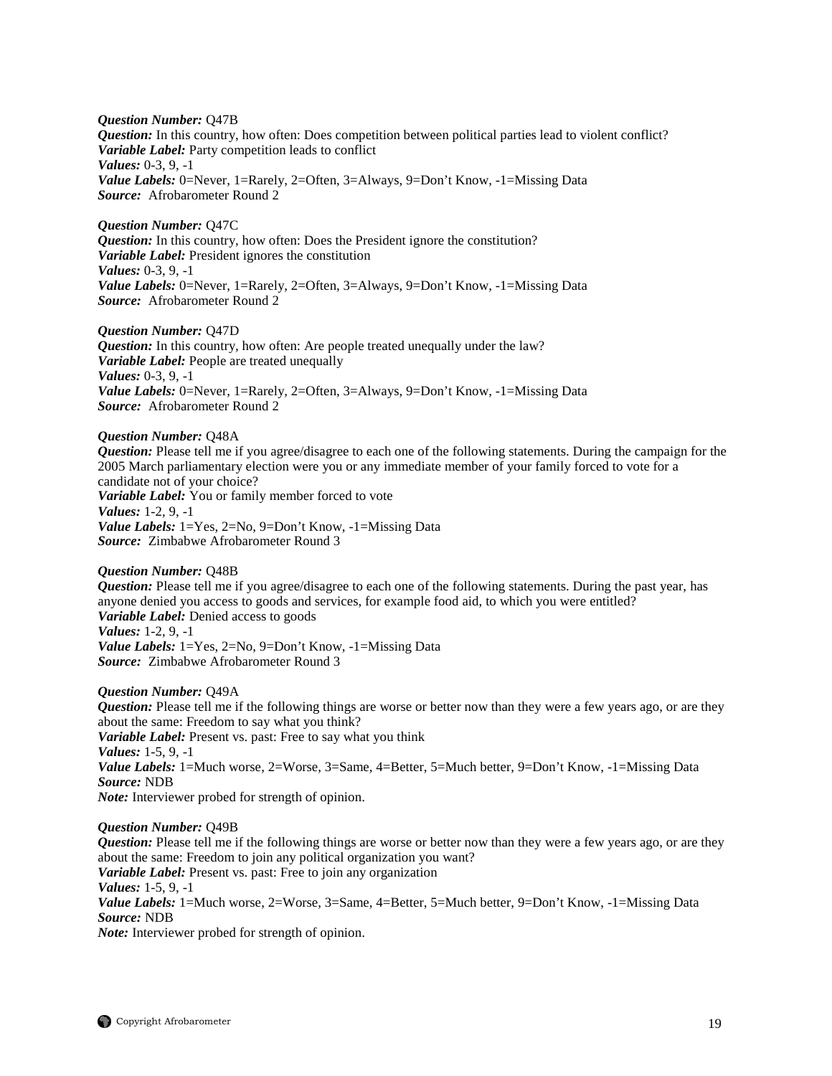*Question Number:* Q47B *Question:* In this country, how often: Does competition between political parties lead to violent conflict? *Variable Label:* Party competition leads to conflict *Values:* 0-3, 9, -1 *Value Labels:* 0=Never, 1=Rarely, 2=Often, 3=Always, 9=Don't Know, -1=Missing Data *Source:* Afrobarometer Round 2

*Question Number:* Q47C *Question:* In this country, how often: Does the President ignore the constitution? *Variable Label:* President ignores the constitution *Values:* 0-3, 9, -1 *Value Labels:* 0=Never, 1=Rarely, 2=Often, 3=Always, 9=Don't Know, -1=Missing Data *Source:* Afrobarometer Round 2

## *Question Number:* Q47D

*Question:* In this country, how often: Are people treated unequally under the law? *Variable Label:* People are treated unequally *Values:* 0-3, 9, -1 *Value Labels:* 0=Never, 1=Rarely, 2=Often, 3=Always, 9=Don't Know, -1=Missing Data *Source:* Afrobarometer Round 2

#### *Question Number:* Q48A

*Question:* Please tell me if you agree/disagree to each one of the following statements. During the campaign for the 2005 March parliamentary election were you or any immediate member of your family forced to vote for a candidate not of your choice? *Variable Label:* You or family member forced to vote *Values:* 1-2, 9, -1 *Value Labels:* 1=Yes, 2=No, 9=Don't Know, -1=Missing Data *Source:* Zimbabwe Afrobarometer Round 3

#### *Question Number:* Q48B

*Question:* Please tell me if you agree/disagree to each one of the following statements. During the past year, has anyone denied you access to goods and services, for example food aid, to which you were entitled? *Variable Label:* Denied access to goods *Values:* 1-2, 9, -1 *Value Labels:* 1=Yes, 2=No, 9=Don't Know, -1=Missing Data *Source:* Zimbabwe Afrobarometer Round 3

#### *Question Number:* Q49A

*Question:* Please tell me if the following things are worse or better now than they were a few years ago, or are they about the same: Freedom to say what you think? *Variable Label:* Present vs. past: Free to say what you think *Values:* 1-5, 9, -1 *Value Labels:* 1=Much worse, 2=Worse, 3=Same, 4=Better, 5=Much better, 9=Don't Know, -1=Missing Data *Source:* NDB *Note:* Interviewer probed for strength of opinion.

#### *Question Number:* Q49B

*Question:* Please tell me if the following things are worse or better now than they were a few years ago, or are they about the same: Freedom to join any political organization you want? *Variable Label:* Present vs. past: Free to join any organization *Values:* 1-5, 9, -1 *Value Labels:* 1=Much worse, 2=Worse, 3=Same, 4=Better, 5=Much better, 9=Don't Know, -1=Missing Data *Source:* NDB *Note:* Interviewer probed for strength of opinion.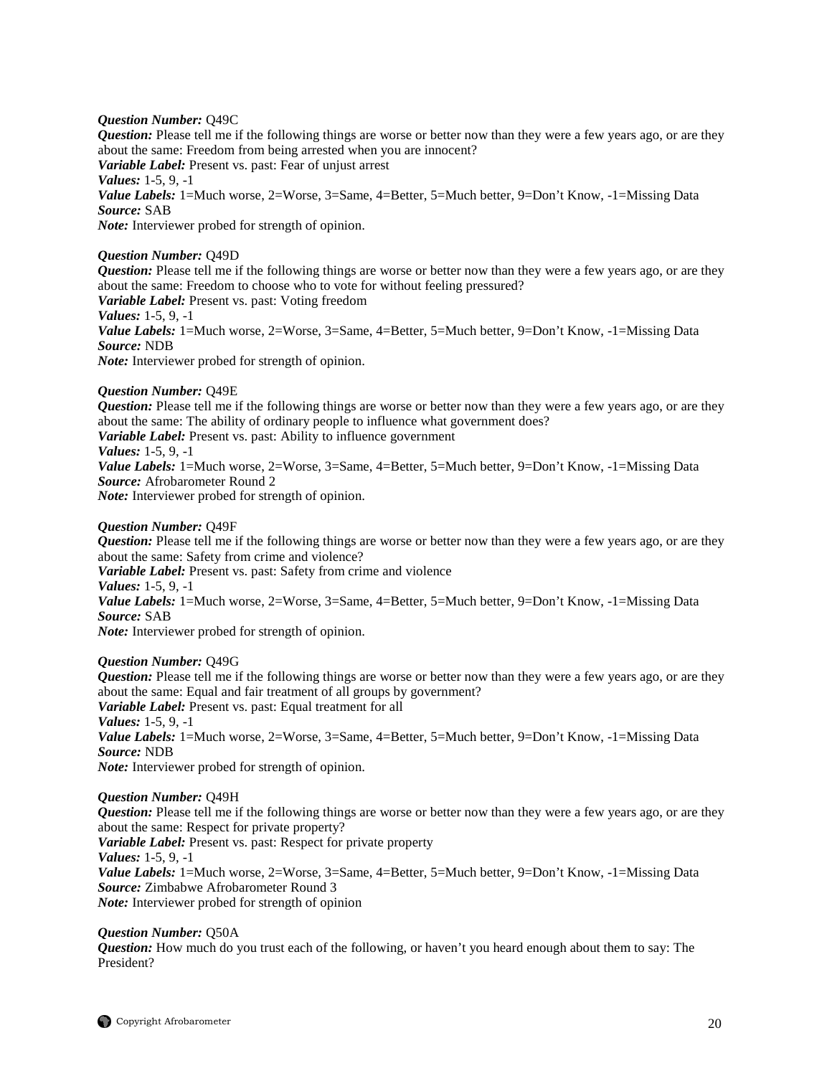#### *Question Number:* Q49C

*Question:* Please tell me if the following things are worse or better now than they were a few years ago, or are they about the same: Freedom from being arrested when you are innocent? *Variable Label:* Present vs. past: Fear of unjust arrest *Values:* 1-5, 9, -1 Value Labels: 1=Much worse, 2=Worse, 3=Same, 4=Better, 5=Much better, 9=Don't Know, -1=Missing Data *Source:* SAB *Note:* Interviewer probed for strength of opinion.

## *Question Number:* Q49D

*Question:* Please tell me if the following things are worse or better now than they were a few years ago, or are they about the same: Freedom to choose who to vote for without feeling pressured? *Variable Label:* Present vs. past: Voting freedom *Values:* 1-5, 9, -1 *Value Labels:* 1=Much worse, 2=Worse, 3=Same, 4=Better, 5=Much better, 9=Don't Know, -1=Missing Data *Source:* NDB

*Note:* Interviewer probed for strength of opinion.

## *Question Number:* Q49E

*Question:* Please tell me if the following things are worse or better now than they were a few years ago, or are they about the same: The ability of ordinary people to influence what government does? *Variable Label:* Present vs. past: Ability to influence government

*Values:* 1-5, 9, -1

*Value Labels:* 1=Much worse, 2=Worse, 3=Same, 4=Better, 5=Much better, 9=Don't Know, -1=Missing Data *Source:* Afrobarometer Round 2

*Note:* Interviewer probed for strength of opinion.

#### *Question Number:* Q49F

*Question:* Please tell me if the following things are worse or better now than they were a few years ago, or are they about the same: Safety from crime and violence?

*Variable Label:* Present vs. past: Safety from crime and violence

*Values:* 1-5, 9, -1

*Value Labels:* 1=Much worse, 2=Worse, 3=Same, 4=Better, 5=Much better, 9=Don't Know, -1=Missing Data *Source:* SAB

*Note:* Interviewer probed for strength of opinion.

#### *Question Number:* Q49G

*Question:* Please tell me if the following things are worse or better now than they were a few years ago, or are they about the same: Equal and fair treatment of all groups by government? *Variable Label:* Present vs. past: Equal treatment for all *Values:* 1-5, 9, -1 *Value Labels:* 1=Much worse, 2=Worse, 3=Same, 4=Better, 5=Much better, 9=Don't Know, -1=Missing Data *Source:* NDB

*Note:* Interviewer probed for strength of opinion.

## *Question Number:* Q49H

*Question:* Please tell me if the following things are worse or better now than they were a few years ago, or are they about the same: Respect for private property? *Variable Label:* Present vs. past: Respect for private property *Values:* 1-5, 9, -1

*Value Labels:* 1=Much worse, 2=Worse, 3=Same, 4=Better, 5=Much better, 9=Don't Know, -1=Missing Data *Source:* Zimbabwe Afrobarometer Round 3 *Note:* Interviewer probed for strength of opinion

*Question Number:* Q50A

*Question:* How much do you trust each of the following, or haven't you heard enough about them to say: The President?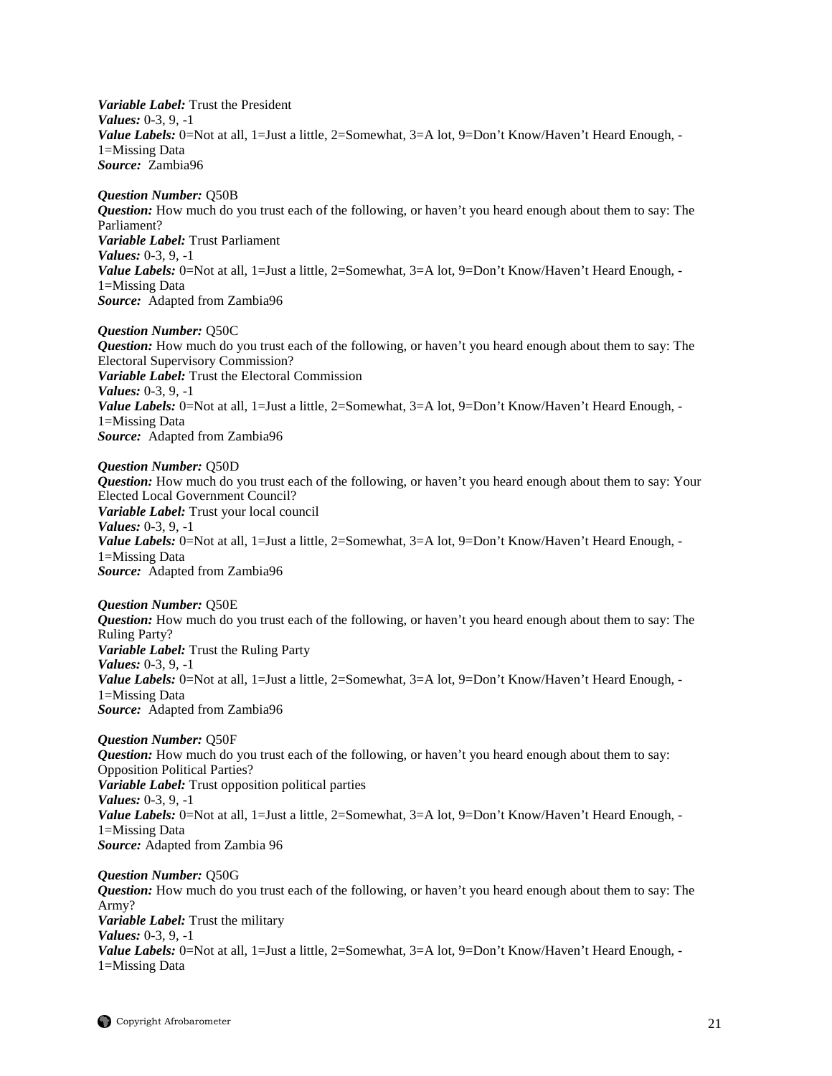*Variable Label:* Trust the President *Values:* 0-3, 9, -1 Value Labels: 0=Not at all, 1=Just a little, 2=Somewhat, 3=A lot, 9=Don't Know/Haven't Heard Enough, -1=Missing Data *Source:* Zambia96

*Question Number:* Q50B *Question:* How much do you trust each of the following, or haven't you heard enough about them to say: The Parliament? *Variable Label:* Trust Parliament *Values:* 0-3, 9, -1 Value Labels: 0=Not at all, 1=Just a little, 2=Somewhat, 3=A lot, 9=Don't Know/Haven't Heard Enough, -1=Missing Data *Source:* Adapted from Zambia96

*Question Number:* Q50C *Question:* How much do you trust each of the following, or haven't you heard enough about them to say: The Electoral Supervisory Commission? *Variable Label:* Trust the Electoral Commission *Values:* 0-3, 9, -1 *Value Labels:* 0=Not at all, 1=Just a little, 2=Somewhat, 3=A lot, 9=Don't Know/Haven't Heard Enough, -1=Missing Data *Source:* Adapted from Zambia96

*Question Number:* Q50D *Question:* How much do you trust each of the following, or haven't you heard enough about them to say: Your Elected Local Government Council? *Variable Label:* Trust your local council *Values:* 0-3, 9, -1 *Value Labels:* 0=Not at all, 1=Just a little, 2=Somewhat, 3=A lot, 9=Don't Know/Haven't Heard Enough, -1=Missing Data *Source:* Adapted from Zambia96

*Question Number:* Q50E *Question:* How much do you trust each of the following, or haven't you heard enough about them to say: The Ruling Party? *Variable Label:* Trust the Ruling Party *Values:* 0-3, 9, -1 Value Labels: 0=Not at all, 1=Just a little, 2=Somewhat, 3=A lot, 9=Don't Know/Haven't Heard Enough, -1=Missing Data *Source:* Adapted from Zambia96

*Question Number:* Q50F *Question:* How much do you trust each of the following, or haven't you heard enough about them to say: Opposition Political Parties? *Variable Label:* Trust opposition political parties *Values:* 0-3, 9, -1 Value Labels: 0=Not at all, 1=Just a little, 2=Somewhat, 3=A lot, 9=Don't Know/Haven't Heard Enough, -1=Missing Data *Source:* Adapted from Zambia 96

*Question Number:* Q50G *Question:* How much do you trust each of the following, or haven't you heard enough about them to say: The Army? *Variable Label:* Trust the military *Values:* 0-3, 9, -1 *Value Labels:* 0=Not at all, 1=Just a little, 2=Somewhat, 3=A lot, 9=Don't Know/Haven't Heard Enough, -1=Missing Data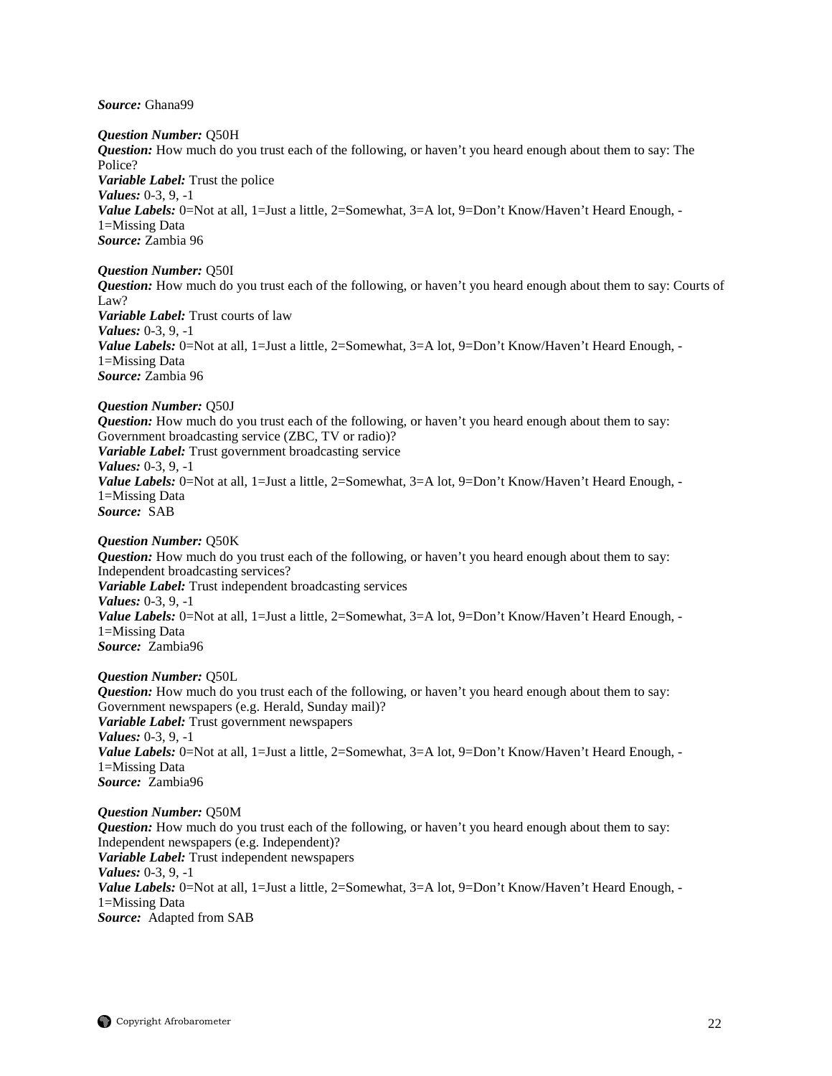*Source:* Ghana99

*Question Number:* Q50H *Question:* How much do you trust each of the following, or haven't you heard enough about them to say: The Police? *Variable Label:* Trust the police *Values:* 0-3, 9, -1 *Value Labels:* 0=Not at all, 1=Just a little, 2=Somewhat, 3=A lot, 9=Don't Know/Haven't Heard Enough, -1=Missing Data *Source:* Zambia 96

#### *Question Number:* Q50I

*Question:* How much do you trust each of the following, or haven't you heard enough about them to say: Courts of Law? *Variable Label:* Trust courts of law *Values:* 0-3, 9, -1 *Value Labels:* 0=Not at all, 1=Just a little, 2=Somewhat, 3=A lot, 9=Don't Know/Haven't Heard Enough, -1=Missing Data *Source:* Zambia 96

## *Question Number:* Q50J

*Question:* How much do you trust each of the following, or haven't you heard enough about them to say: Government broadcasting service (ZBC, TV or radio)? *Variable Label:* Trust government broadcasting service *Values:* 0-3, 9, -1 Value Labels: 0=Not at all, 1=Just a little, 2=Somewhat, 3=A lot, 9=Don't Know/Haven't Heard Enough, -1=Missing Data *Source:* SAB

## *Question Number:* Q50K

*Question:* How much do you trust each of the following, or haven't you heard enough about them to say: Independent broadcasting services? *Variable Label:* Trust independent broadcasting services *Values:* 0-3, 9, -1 *Value Labels:* 0=Not at all, 1=Just a little, 2=Somewhat, 3=A lot, 9=Don't Know/Haven't Heard Enough, -1=Missing Data *Source:* Zambia96

#### *Question Number:* Q50L

*Question:* How much do you trust each of the following, or haven't you heard enough about them to say: Government newspapers (e.g. Herald, Sunday mail)? *Variable Label:* Trust government newspapers *Values:* 0-3, 9, -1 Value Labels: 0=Not at all, 1=Just a little, 2=Somewhat, 3=A lot, 9=Don't Know/Haven't Heard Enough, -1=Missing Data *Source:* Zambia96

#### *Question Number:* Q50M

*Question:* How much do you trust each of the following, or haven't you heard enough about them to say: Independent newspapers (e.g. Independent)? *Variable Label:* Trust independent newspapers *Values:* 0-3, 9, -1 *Value Labels:* 0=Not at all, 1=Just a little, 2=Somewhat, 3=A lot, 9=Don't Know/Haven't Heard Enough, -1=Missing Data *Source:* Adapted from SAB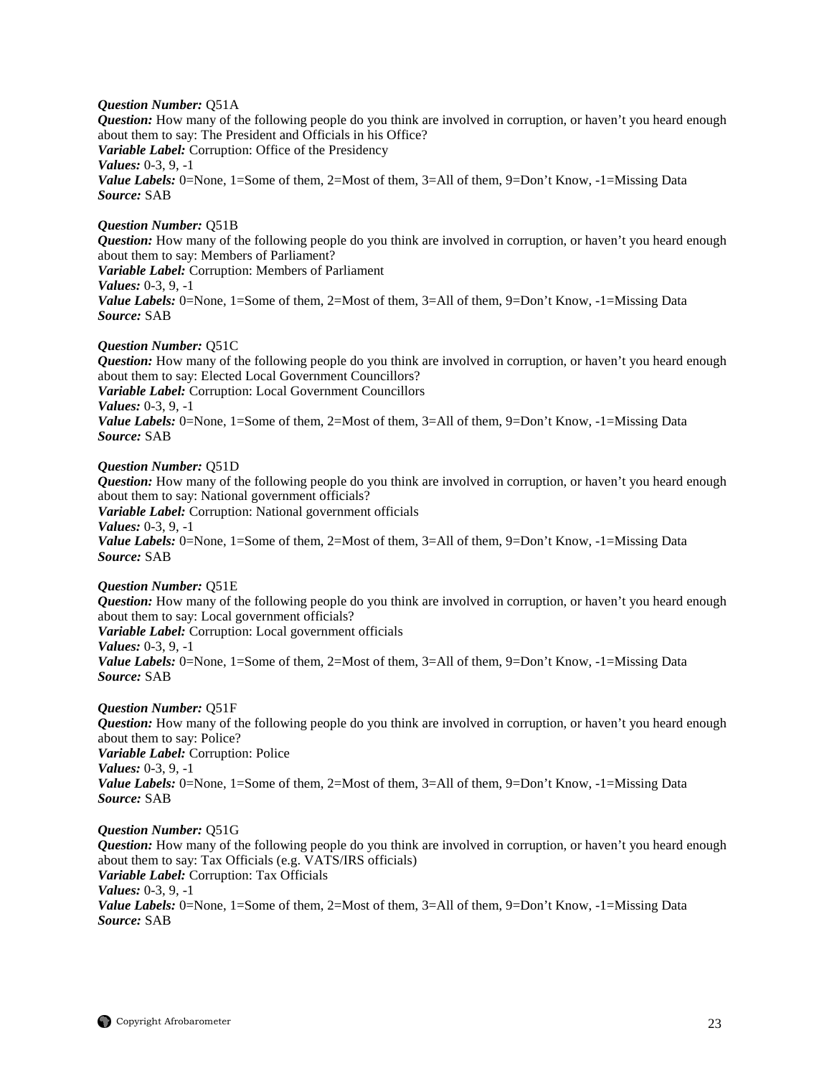#### *Question Number:* Q51A

*Question:* How many of the following people do you think are involved in corruption, or haven't you heard enough about them to say: The President and Officials in his Office? *Variable Label:* Corruption: Office of the Presidency *Values:* 0-3, 9, -1 *Value Labels:* 0=None, 1=Some of them, 2=Most of them, 3=All of them, 9=Don't Know, -1=Missing Data *Source:* SAB

## *Question Number:* Q51B

*Question:* How many of the following people do you think are involved in corruption, or haven't you heard enough about them to say: Members of Parliament? *Variable Label:* Corruption: Members of Parliament

*Values:* 0-3, 9, -1

*Value Labels:* 0=None, 1=Some of them, 2=Most of them, 3=All of them, 9=Don't Know, -1=Missing Data *Source:* SAB

## *Question Number:* Q51C

*Question:* How many of the following people do you think are involved in corruption, or haven't you heard enough about them to say: Elected Local Government Councillors? *Variable Label:* Corruption: Local Government Councillors *Values:* 0-3, 9, -1 *Value Labels:* 0=None, 1=Some of them, 2=Most of them, 3=All of them, 9=Don't Know, -1=Missing Data *Source:* SAB

## *Question Number:* Q51D

*Question:* How many of the following people do you think are involved in corruption, or haven't you heard enough about them to say: National government officials? *Variable Label:* Corruption: National government officials *Values:* 0-3, 9, -1 *Value Labels:* 0=None, 1=Some of them, 2=Most of them, 3=All of them, 9=Don't Know, -1=Missing Data *Source:* SAB

#### *Question Number:* Q51E

*Question:* How many of the following people do you think are involved in corruption, or haven't you heard enough about them to say: Local government officials? *Variable Label:* Corruption: Local government officials *Values:* 0-3, 9, -1 *Value Labels:* 0=None, 1=Some of them, 2=Most of them, 3=All of them, 9=Don't Know, -1=Missing Data *Source:* SAB

#### *Question Number:* Q51F

*Question:* How many of the following people do you think are involved in corruption, or haven't you heard enough about them to say: Police? *Variable Label:* Corruption: Police *Values:* 0-3, 9, -1 *Value Labels:* 0=None, 1=Some of them, 2=Most of them, 3=All of them, 9=Don't Know, -1=Missing Data *Source:* SAB

#### *Question Number:* Q51G

*Question:* How many of the following people do you think are involved in corruption, or haven't you heard enough about them to say: Tax Officials (e.g. VATS/IRS officials) *Variable Label:* Corruption: Tax Officials *Values:* 0-3, 9, -1 *Value Labels:* 0=None, 1=Some of them, 2=Most of them, 3=All of them, 9=Don't Know, -1=Missing Data *Source:* SAB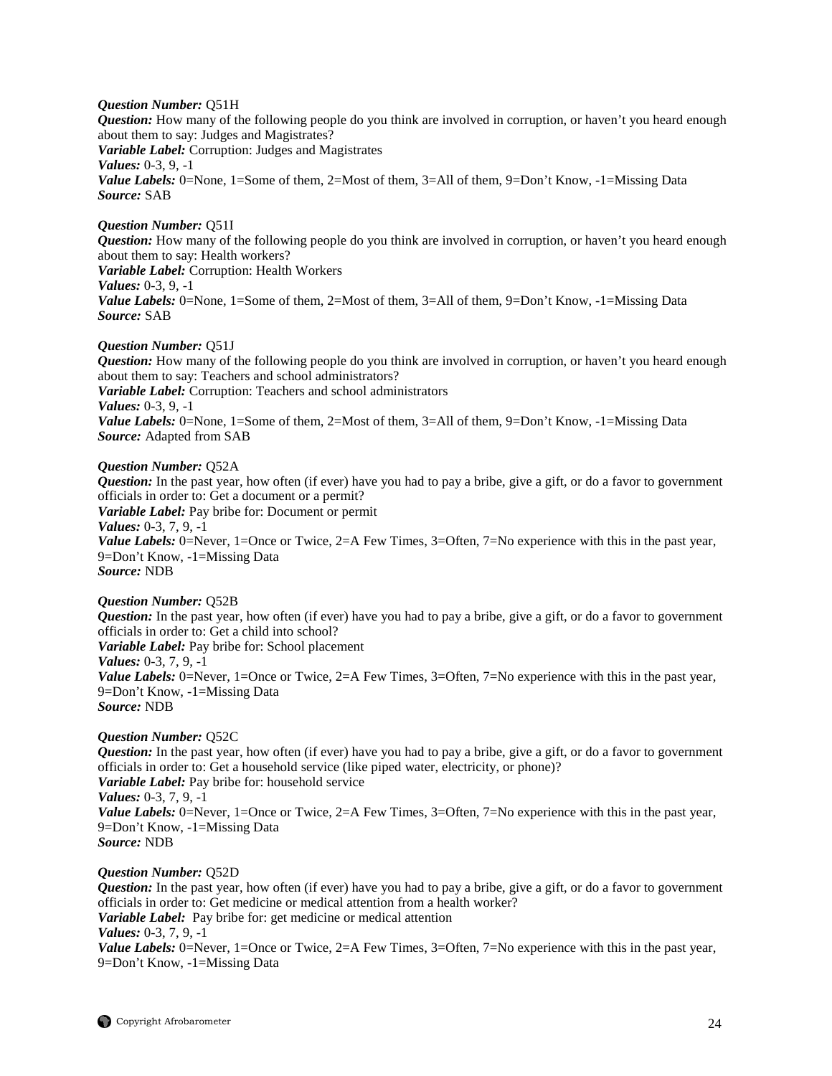#### *Question Number:* Q51H

*Question:* How many of the following people do you think are involved in corruption, or haven't you heard enough about them to say: Judges and Magistrates? *Variable Label:* Corruption: Judges and Magistrates *Values:* 0-3, 9, -1 *Value Labels:* 0=None, 1=Some of them, 2=Most of them, 3=All of them, 9=Don't Know, -1=Missing Data *Source:* SAB

## *Question Number:* Q51I

*Question:* How many of the following people do you think are involved in corruption, or haven't you heard enough about them to say: Health workers? *Variable Label:* Corruption: Health Workers *Values:* 0-3, 9, -1 *Value Labels:* 0=None, 1=Some of them, 2=Most of them, 3=All of them, 9=Don't Know, -1=Missing Data *Source:* SAB

## *Question Number:* Q51J

*Question:* How many of the following people do you think are involved in corruption, or haven't you heard enough about them to say: Teachers and school administrators? *Variable Label:* Corruption: Teachers and school administrators *Values:* 0-3, 9, -1 *Value Labels:* 0=None, 1=Some of them, 2=Most of them, 3=All of them, 9=Don't Know, -1=Missing Data *Source:* Adapted from SAB

## *Question Number:* Q52A

*Question:* In the past year, how often (if ever) have you had to pay a bribe, give a gift, or do a favor to government officials in order to: Get a document or a permit? *Variable Label:* Pay bribe for: Document or permit *Values:* 0-3, 7, 9, -1 *Value Labels:* 0=Never, 1=Once or Twice, 2=A Few Times, 3=Often, 7=No experience with this in the past year, 9=Don't Know, -1=Missing Data *Source:* NDB

#### *Question Number:* Q52B

*Question:* In the past year, how often (if ever) have you had to pay a bribe, give a gift, or do a favor to government officials in order to: Get a child into school? *Variable Label:* Pay bribe for: School placement *Values:* 0-3, 7, 9, -1 *Value Labels:* 0=Never, 1=Once or Twice, 2=A Few Times, 3=Often, 7=No experience with this in the past year, 9=Don't Know, -1=Missing Data *Source:* NDB

#### *Question Number:* Q52C

*Question:* In the past year, how often (if ever) have you had to pay a bribe, give a gift, or do a favor to government officials in order to: Get a household service (like piped water, electricity, or phone)? *Variable Label:* Pay bribe for: household service *Values:* 0-3, 7, 9, -1 *Value Labels:* 0=Never, 1=Once or Twice, 2=A Few Times, 3=Often, 7=No experience with this in the past year, 9=Don't Know, -1=Missing Data *Source:* NDB

#### *Question Number:* Q52D

*Question:* In the past year, how often (if ever) have you had to pay a bribe, give a gift, or do a favor to government officials in order to: Get medicine or medical attention from a health worker? *Variable Label:* Pay bribe for: get medicine or medical attention *Values:* 0-3, 7, 9, -1 *Value Labels:* 0=Never, 1=Once or Twice, 2=A Few Times, 3=Often, 7=No experience with this in the past year, 9=Don't Know, -1=Missing Data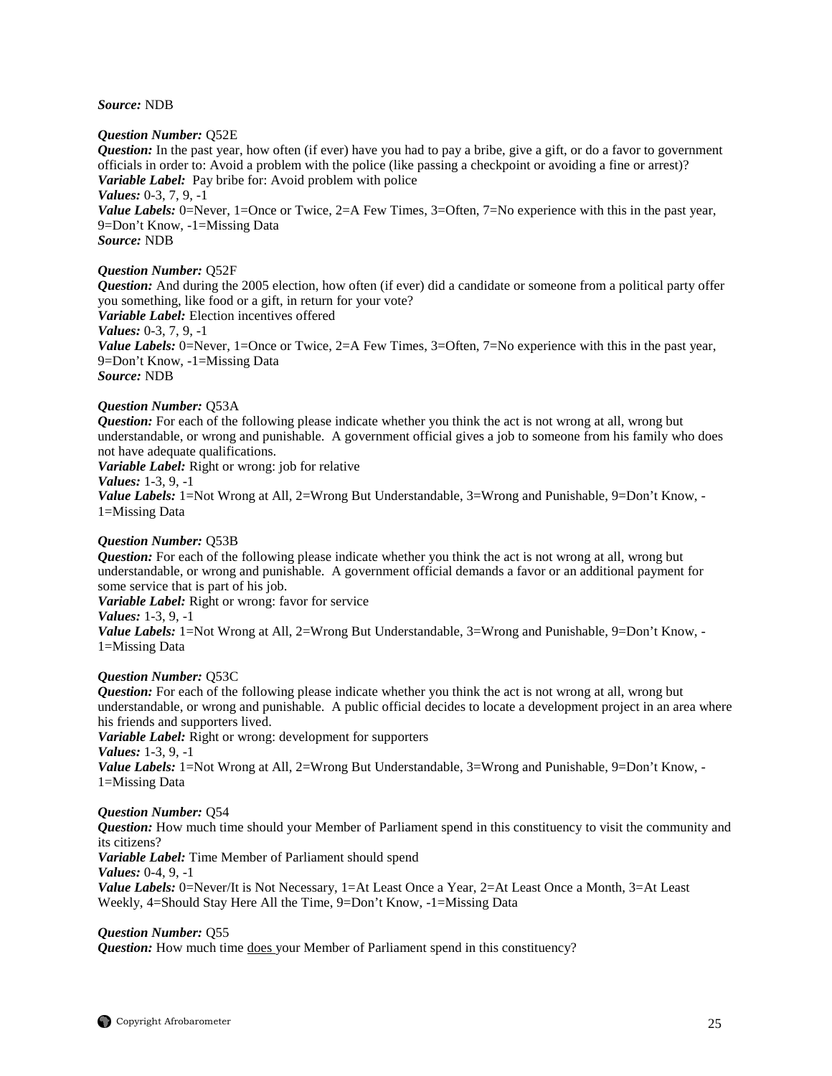#### *Source:* NDB

#### *Question Number:* Q52E

*Question:* In the past year, how often (if ever) have you had to pay a bribe, give a gift, or do a favor to government officials in order to: Avoid a problem with the police (like passing a checkpoint or avoiding a fine or arrest)? *Variable Label:* Pay bribe for: Avoid problem with police *Values:* 0-3, 7, 9, -1 *Value Labels:* 0=Never, 1=Once or Twice, 2=A Few Times, 3=Often, 7=No experience with this in the past year,

9=Don't Know, -1=Missing Data *Source:* NDB

#### *Question Number:* Q52F

*Question:* And during the 2005 election, how often (if ever) did a candidate or someone from a political party offer you something, like food or a gift, in return for your vote? *Variable Label:* Election incentives offered *Values:* 0-3, 7, 9, -1

*Value Labels:* 0=Never, 1=Once or Twice, 2=A Few Times, 3=Often, 7=No experience with this in the past year, 9=Don't Know, -1=Missing Data *Source:* NDB

#### *Question Number:* Q53A

*Question:* For each of the following please indicate whether you think the act is not wrong at all, wrong but understandable, or wrong and punishable. A government official gives a job to someone from his family who does not have adequate qualifications.

*Variable Label:* Right or wrong: job for relative

#### *Values:* 1-3, 9, -1

*Value Labels:* 1=Not Wrong at All, 2=Wrong But Understandable, 3=Wrong and Punishable, 9=Don't Know, -1=Missing Data

## *Question Number:* Q53B

*Question:* For each of the following please indicate whether you think the act is not wrong at all, wrong but understandable, or wrong and punishable. A government official demands a favor or an additional payment for some service that is part of his job.

*Variable Label:* Right or wrong: favor for service

#### *Values:* 1-3, 9, -1

*Value Labels:* 1=Not Wrong at All, 2=Wrong But Understandable, 3=Wrong and Punishable, 9=Don't Know, -1=Missing Data

#### *Question Number:* Q53C

*Question:* For each of the following please indicate whether you think the act is not wrong at all, wrong but understandable, or wrong and punishable. A public official decides to locate a development project in an area where his friends and supporters lived.

*Variable Label:* Right or wrong: development for supporters *Values:* 1-3, 9, -1

*Value Labels:* 1=Not Wrong at All, 2=Wrong But Understandable, 3=Wrong and Punishable, 9=Don't Know, -1=Missing Data

## *Question Number:* Q54

*Question:* How much time should your Member of Parliament spend in this constituency to visit the community and its citizens?

*Variable Label:* Time Member of Parliament should spend

*Values:* 0-4, 9, -1

*Value Labels:* 0=Never/It is Not Necessary, 1=At Least Once a Year, 2=At Least Once a Month, 3=At Least Weekly, 4=Should Stay Here All the Time, 9=Don't Know, -1=Missing Data

## *Question Number:* Q55

*Question:* How much time does your Member of Parliament spend in this constituency?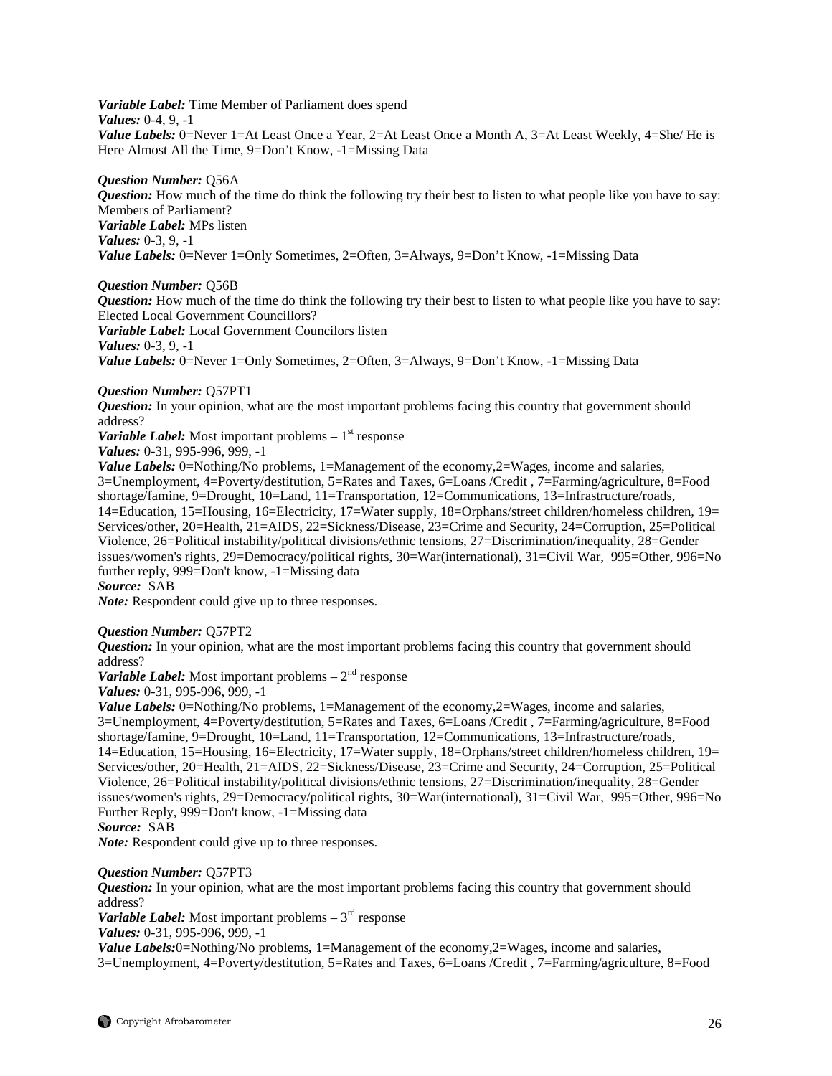*Variable Label:* Time Member of Parliament does spend *Values:* 0-4, 9, -1 *Value Labels:* 0=Never 1=At Least Once a Year, 2=At Least Once a Month A, 3=At Least Weekly, 4=She/ He is Here Almost All the Time, 9=Don't Know, -1=Missing Data

*Question Number:* Q56A *Question:* How much of the time do think the following try their best to listen to what people like you have to say: Members of Parliament? *Variable Label:* MPs listen *Values:* 0-3, 9, -1 *Value Labels:* 0=Never 1=Only Sometimes, 2=Often, 3=Always, 9=Don't Know, -1=Missing Data

#### *Question Number:* Q56B

*Question:* How much of the time do think the following try their best to listen to what people like you have to say: Elected Local Government Councillors?

*Variable Label:* Local Government Councilors listen

*Values:* 0-3, 9, -1

*Value Labels:* 0=Never 1=Only Sometimes, 2=Often, 3=Always, 9=Don't Know, -1=Missing Data

## *Question Number:* Q57PT1

*Question:* In your opinion, what are the most important problems facing this country that government should address?

*Variable Label:* Most important problems  $-1$ <sup>st</sup> response

*Values:* 0-31, 995-996, 999, -1

*Value Labels:* 0=Nothing/No problems, 1=Management of the economy, 2=Wages, income and salaries, 3=Unemployment, 4=Poverty/destitution, 5=Rates and Taxes, 6=Loans /Credit , 7=Farming/agriculture, 8=Food shortage/famine, 9=Drought, 10=Land, 11=Transportation, 12=Communications, 13=Infrastructure/roads, 14=Education, 15=Housing, 16=Electricity, 17=Water supply, 18=Orphans/street children/homeless children, 19= Services/other, 20=Health, 21=AIDS, 22=Sickness/Disease, 23=Crime and Security, 24=Corruption, 25=Political Violence, 26=Political instability/political divisions/ethnic tensions, 27=Discrimination/inequality, 28=Gender issues/women's rights, 29=Democracy/political rights, 30=War(international), 31=Civil War, 995=Other, 996=No further reply, 999=Don't know, -1=Missing data

*Source:* SAB

*Note:* Respondent could give up to three responses.

## *Question Number:* Q57PT2

*Question:* In your opinion, what are the most important problems facing this country that government should address?

*Variable Label:* Most important problems  $-2^{nd}$  response

*Values:* 0-31, 995-996, 999, -1

*Value Labels:* 0=Nothing/No problems, 1=Management of the economy, 2=Wages, income and salaries, 3=Unemployment, 4=Poverty/destitution, 5=Rates and Taxes, 6=Loans /Credit , 7=Farming/agriculture, 8=Food shortage/famine, 9=Drought, 10=Land, 11=Transportation, 12=Communications, 13=Infrastructure/roads, 14=Education, 15=Housing, 16=Electricity, 17=Water supply, 18=Orphans/street children/homeless children, 19= Services/other, 20=Health, 21=AIDS, 22=Sickness/Disease, 23=Crime and Security, 24=Corruption, 25=Political Violence, 26=Political instability/political divisions/ethnic tensions, 27=Discrimination/inequality, 28=Gender issues/women's rights, 29=Democracy/political rights, 30=War(international), 31=Civil War, 995=Other, 996=No Further Reply, 999=Don't know, -1=Missing data

## *Source:* SAB

*Note:* Respondent could give up to three responses.

#### *Question Number:* Q57PT3

*Question:* In your opinion, what are the most important problems facing this country that government should address?

*Variable Label:* Most important problems  $-3<sup>rd</sup>$  response

*Values:* 0-31, 995-996, 999, -1

*Value Labels:*0=Nothing/No problems, 1=Management of the economy,2=Wages, income and salaries, 3=Unemployment, 4=Poverty/destitution, 5=Rates and Taxes, 6=Loans /Credit , 7=Farming/agriculture, 8=Food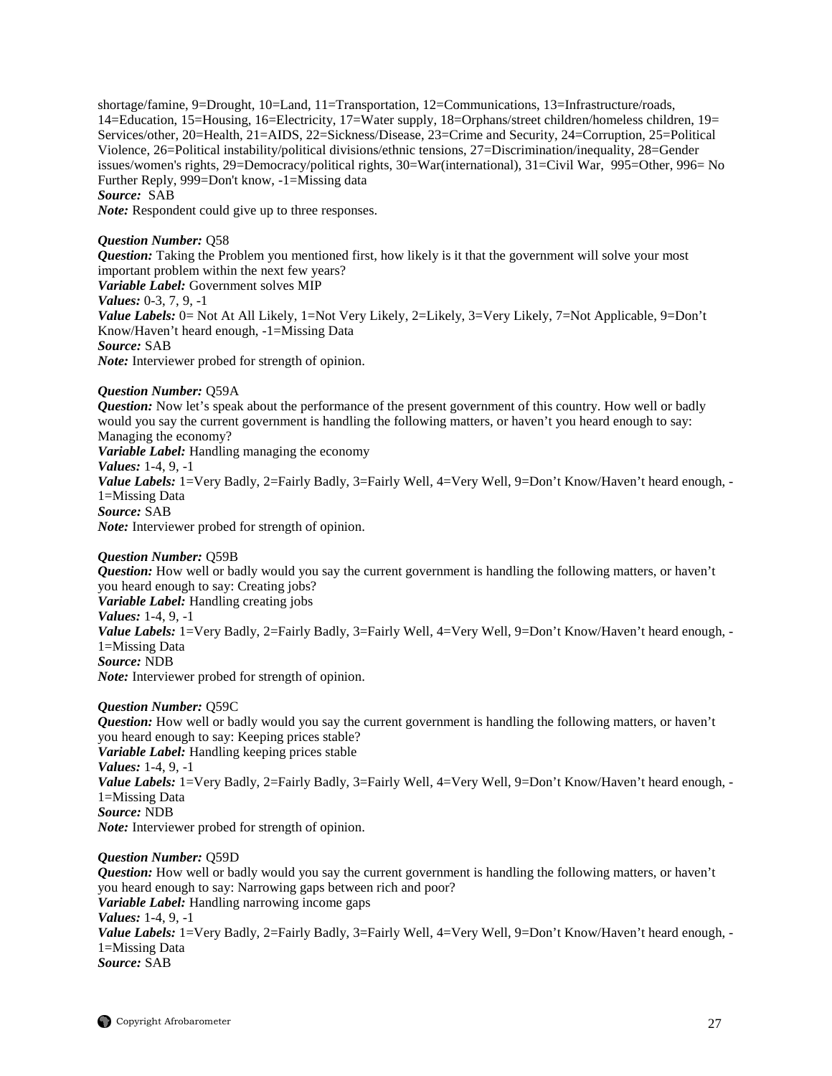shortage/famine, 9=Drought, 10=Land, 11=Transportation, 12=Communications, 13=Infrastructure/roads, 14=Education, 15=Housing, 16=Electricity, 17=Water supply, 18=Orphans/street children/homeless children, 19= Services/other, 20=Health, 21=AIDS, 22=Sickness/Disease, 23=Crime and Security, 24=Corruption, 25=Political Violence, 26=Political instability/political divisions/ethnic tensions, 27=Discrimination/inequality, 28=Gender issues/women's rights, 29=Democracy/political rights, 30=War(international), 31=Civil War, 995=Other, 996= No Further Reply, 999=Don't know, -1=Missing data *Source:* SAB

*Note:* Respondent could give up to three responses.

## *Question Number:* Q58

*Question:* Taking the Problem you mentioned first, how likely is it that the government will solve your most important problem within the next few years? *Variable Label:* Government solves MIP *Values:* 0-3, 7, 9, -1 *Value Labels:* 0= Not At All Likely, 1=Not Very Likely, 2=Likely, 3=Very Likely, 7=Not Applicable, 9=Don't Know/Haven't heard enough, -1=Missing Data *Source:* SAB *Note:* Interviewer probed for strength of opinion.

#### *Question Number:* Q59A

*Question:* Now let's speak about the performance of the present government of this country. How well or badly would you say the current government is handling the following matters, or haven't you heard enough to say: Managing the economy? *Variable Label:* Handling managing the economy *Values:* 1-4, 9, -1 *Value Labels:* 1=Very Badly, 2=Fairly Badly, 3=Fairly Well, 4=Very Well, 9=Don't Know/Haven't heard enough, -1=Missing Data *Source:* SAB *Note:* Interviewer probed for strength of opinion.

*Question Number:* Q59B

*Question:* How well or badly would you say the current government is handling the following matters, or haven't you heard enough to say: Creating jobs? *Variable Label:* Handling creating jobs

*Values:* 1-4, 9, -1

*Value Labels:* 1=Very Badly, 2=Fairly Badly, 3=Fairly Well, 4=Very Well, 9=Don't Know/Haven't heard enough, -1=Missing Data

*Source:* NDB

*Note:* Interviewer probed for strength of opinion.

## *Question Number:* Q59C

*Question:* How well or badly would you say the current government is handling the following matters, or haven't you heard enough to say: Keeping prices stable? *Variable Label:* Handling keeping prices stable *Values:* 1-4, 9, -1 *Value Labels:* 1=Very Badly, 2=Fairly Badly, 3=Fairly Well, 4=Very Well, 9=Don't Know/Haven't heard enough, -1=Missing Data *Source:* NDB *Note:* Interviewer probed for strength of opinion.

*Question Number:* Q59D *Question:* How well or badly would you say the current government is handling the following matters, or haven't you heard enough to say: Narrowing gaps between rich and poor? *Variable Label:* Handling narrowing income gaps *Values:* 1-4, 9, -1 Value Labels: 1=Very Badly, 2=Fairly Badly, 3=Fairly Well, 4=Very Well, 9=Don't Know/Haven't heard enough, -1=Missing Data *Source:* SAB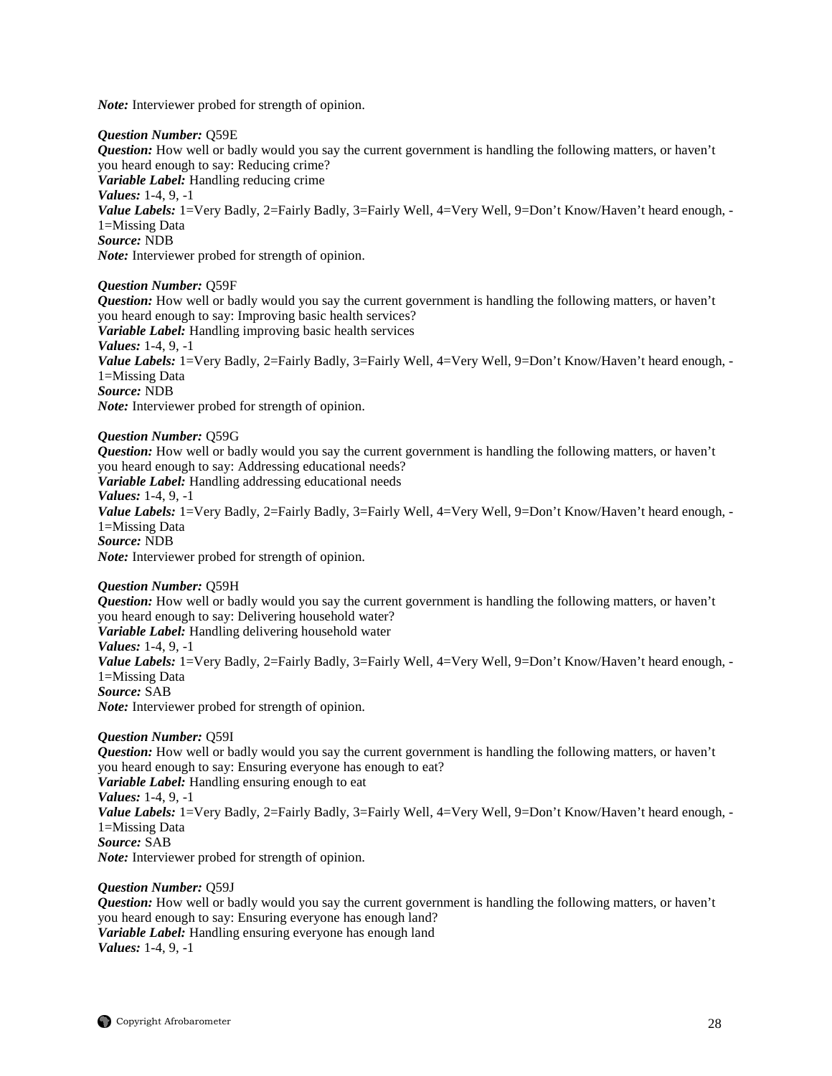*Note:* Interviewer probed for strength of opinion.

#### *Question Number:* Q59E

*Question:* How well or badly would you say the current government is handling the following matters, or haven't you heard enough to say: Reducing crime? *Variable Label:* Handling reducing crime

*Values:* 1-4, 9, -1

*Value Labels:* 1=Very Badly, 2=Fairly Badly, 3=Fairly Well, 4=Very Well, 9=Don't Know/Haven't heard enough, -1=Missing Data

*Source:* NDB

*Note:* Interviewer probed for strength of opinion.

#### *Question Number:* Q59F

*Question:* How well or badly would you say the current government is handling the following matters, or haven't you heard enough to say: Improving basic health services? *Variable Label:* Handling improving basic health services *Values:* 1-4, 9, -1 *Value Labels:* 1=Very Badly, 2=Fairly Badly, 3=Fairly Well, 4=Very Well, 9=Don't Know/Haven't heard enough, -1=Missing Data *Source:* NDB *Note:* Interviewer probed for strength of opinion.

#### *Question Number:* Q59G

*Question:* How well or badly would you say the current government is handling the following matters, or haven't you heard enough to say: Addressing educational needs? *Variable Label:* Handling addressing educational needs *Values:* 1-4, 9, -1 *Value Labels:* 1=Very Badly, 2=Fairly Badly, 3=Fairly Well, 4=Very Well, 9=Don't Know/Haven't heard enough, -1=Missing Data *Source:* NDB *Note:* Interviewer probed for strength of opinion.

*Question Number:* Q59H *Question:* How well or badly would you say the current government is handling the following matters, or haven't you heard enough to say: Delivering household water? *Variable Label:* Handling delivering household water *Values:* 1-4, 9, -1 *Value Labels:* 1=Very Badly, 2=Fairly Badly, 3=Fairly Well, 4=Very Well, 9=Don't Know/Haven't heard enough, -1=Missing Data *Source:* SAB *Note:* Interviewer probed for strength of opinion.

*Question Number:* Q59I *Question:* How well or badly would you say the current government is handling the following matters, or haven't you heard enough to say: Ensuring everyone has enough to eat? *Variable Label:* Handling ensuring enough to eat *Values:* 1-4, 9, -1 *Value Labels:* 1=Very Badly, 2=Fairly Badly, 3=Fairly Well, 4=Very Well, 9=Don't Know/Haven't heard enough, -1=Missing Data *Source:* SAB *Note:* Interviewer probed for strength of opinion.

#### *Question Number:* Q59J

*Question:* How well or badly would you say the current government is handling the following matters, or haven't you heard enough to say: Ensuring everyone has enough land? *Variable Label:* Handling ensuring everyone has enough land *Values:* 1-4, 9, -1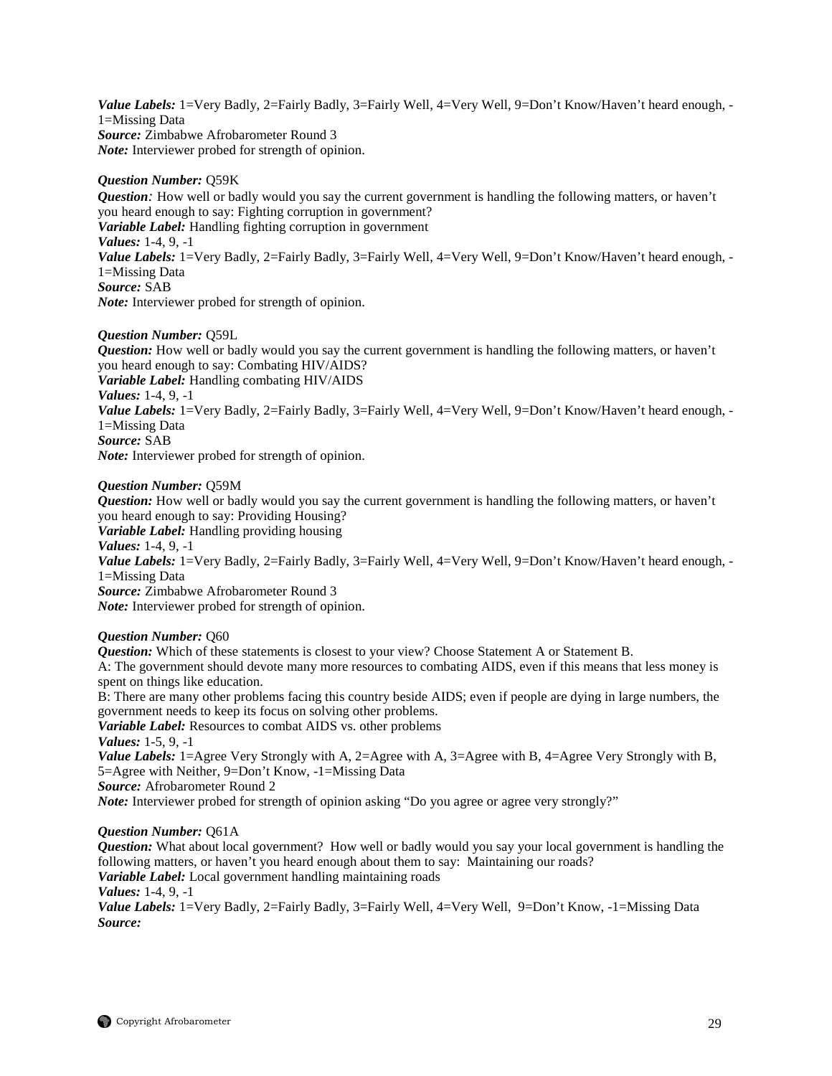Value Labels: 1=Very Badly, 2=Fairly Badly, 3=Fairly Well, 4=Very Well, 9=Don't Know/Haven't heard enough, -1=Missing Data *Source:* Zimbabwe Afrobarometer Round 3 *Note:* Interviewer probed for strength of opinion.

## *Question Number:* Q59K

*Question*: How well or badly would you say the current government is handling the following matters, or haven't you heard enough to say: Fighting corruption in government? *Variable Label:* Handling fighting corruption in government *Values:* 1-4, 9, -1 *Value Labels:* 1=Very Badly, 2=Fairly Badly, 3=Fairly Well, 4=Very Well, 9=Don't Know/Haven't heard enough, -1=Missing Data *Source:* SAB *Note:* Interviewer probed for strength of opinion.

## *Question Number:* Q59L

*Question:* How well or badly would you say the current government is handling the following matters, or haven't you heard enough to say: Combating HIV/AIDS? *Variable Label:* Handling combating HIV/AIDS *Values:* 1-4, 9, -1 Value Labels: 1=Very Badly, 2=Fairly Badly, 3=Fairly Well, 4=Very Well, 9=Don't Know/Haven't heard enough, -1=Missing Data *Source:* SAB *Note:* Interviewer probed for strength of opinion.

## *Question Number:* Q59M

*Question:* How well or badly would you say the current government is handling the following matters, or haven't you heard enough to say: Providing Housing? *Variable Label:* Handling providing housing *Values:* 1-4, 9, -1 Value Labels: 1=Very Badly, 2=Fairly Badly, 3=Fairly Well, 4=Very Well, 9=Don't Know/Haven't heard enough, -1=Missing Data *Source:* Zimbabwe Afrobarometer Round 3 *Note:* Interviewer probed for strength of opinion.

## *Question Number:* Q60

*Question:* Which of these statements is closest to your view? Choose Statement A or Statement B. A: The government should devote many more resources to combating AIDS, even if this means that less money is spent on things like education. B: There are many other problems facing this country beside AIDS; even if people are dying in large numbers, the government needs to keep its focus on solving other problems. *Variable Label:* Resources to combat AIDS vs. other problems *Values:* 1-5, 9, -1 *Value Labels:* 1=Agree Very Strongly with A, 2=Agree with A, 3=Agree with B, 4=Agree Very Strongly with B, 5=Agree with Neither, 9=Don't Know, -1=Missing Data *Source:* Afrobarometer Round 2

*Note:* Interviewer probed for strength of opinion asking "Do you agree or agree very strongly?"

## *Question Number:* Q61A

*Question:* What about local government? How well or badly would you say your local government is handling the following matters, or haven't you heard enough about them to say: Maintaining our roads?

*Variable Label:* Local government handling maintaining roads

*Values:* 1-4, 9, -1

*Value Labels:* 1=Very Badly, 2=Fairly Badly, 3=Fairly Well, 4=Very Well, 9=Don't Know, -1=Missing Data *Source:*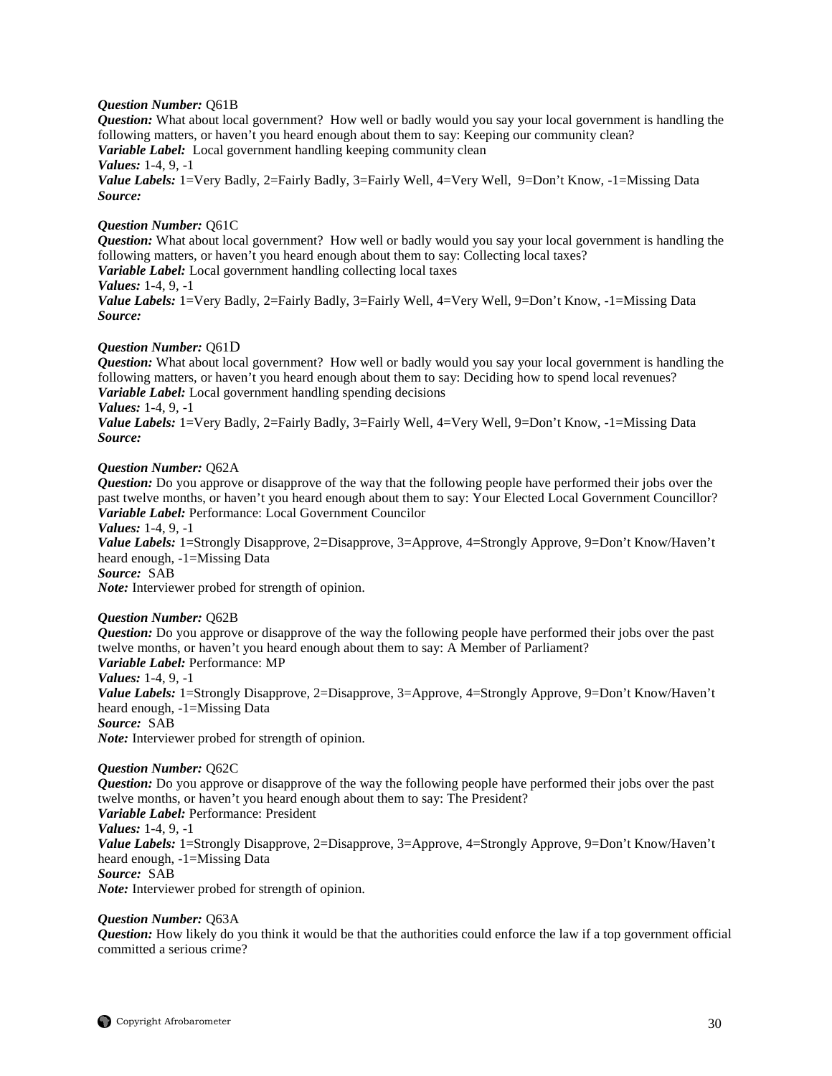## *Question Number:* Q61B

*Question:* What about local government? How well or badly would you say your local government is handling the following matters, or haven't you heard enough about them to say: Keeping our community clean?

*Variable Label:* Local government handling keeping community clean

*Values:* 1-4, 9, -1

Value Labels: 1=Very Badly, 2=Fairly Badly, 3=Fairly Well, 4=Very Well, 9=Don't Know, -1=Missing Data *Source:*

## *Question Number:* Q61C

*Question:* What about local government? How well or badly would you say your local government is handling the following matters, or haven't you heard enough about them to say: Collecting local taxes?

*Variable Label:* Local government handling collecting local taxes

*Values:* 1-4, 9, -1

*Value Labels:* 1=Very Badly, 2=Fairly Badly, 3=Fairly Well, 4=Very Well, 9=Don't Know, -1=Missing Data *Source:*

## *Question Number:* Q61D

*Question:* What about local government? How well or badly would you say your local government is handling the following matters, or haven't you heard enough about them to say: Deciding how to spend local revenues? *Variable Label:* Local government handling spending decisions *Values:* 1-4, 9, -1

*Value Labels:* 1=Very Badly, 2=Fairly Badly, 3=Fairly Well, 4=Very Well, 9=Don't Know, -1=Missing Data *Source:*

## *Question Number:* Q62A

*Question:* Do you approve or disapprove of the way that the following people have performed their jobs over the past twelve months, or haven't you heard enough about them to say: Your Elected Local Government Councillor? *Variable Label:* Performance: Local Government Councilor

*Values:* 1-4, 9, -1

*Value Labels:* 1=Strongly Disapprove, 2=Disapprove, 3=Approve, 4=Strongly Approve, 9=Don't Know/Haven't heard enough, -1=Missing Data

*Source:* SAB

*Note:* Interviewer probed for strength of opinion.

## *Question Number:* Q62B

*Question:* Do you approve or disapprove of the way the following people have performed their jobs over the past twelve months, or haven't you heard enough about them to say: A Member of Parliament?

*Variable Label:* Performance: MP

*Values:* 1-4, 9, -1

*Value Labels:* 1=Strongly Disapprove, 2=Disapprove, 3=Approve, 4=Strongly Approve, 9=Don't Know/Haven't heard enough, -1=Missing Data

*Source:* SAB

*Note:* Interviewer probed for strength of opinion.

## *Question Number:* Q62C

*Question:* Do you approve or disapprove of the way the following people have performed their jobs over the past twelve months, or haven't you heard enough about them to say: The President?

*Variable Label:* Performance: President *Values:* 1-4, 9, -1 *Value Labels:* 1=Strongly Disapprove, 2=Disapprove, 3=Approve, 4=Strongly Approve, 9=Don't Know/Haven't heard enough, -1=Missing Data *Source:* SAB

*Note:* Interviewer probed for strength of opinion.

## *Question Number:* Q63A

*Question:* How likely do you think it would be that the authorities could enforce the law if a top government official committed a serious crime?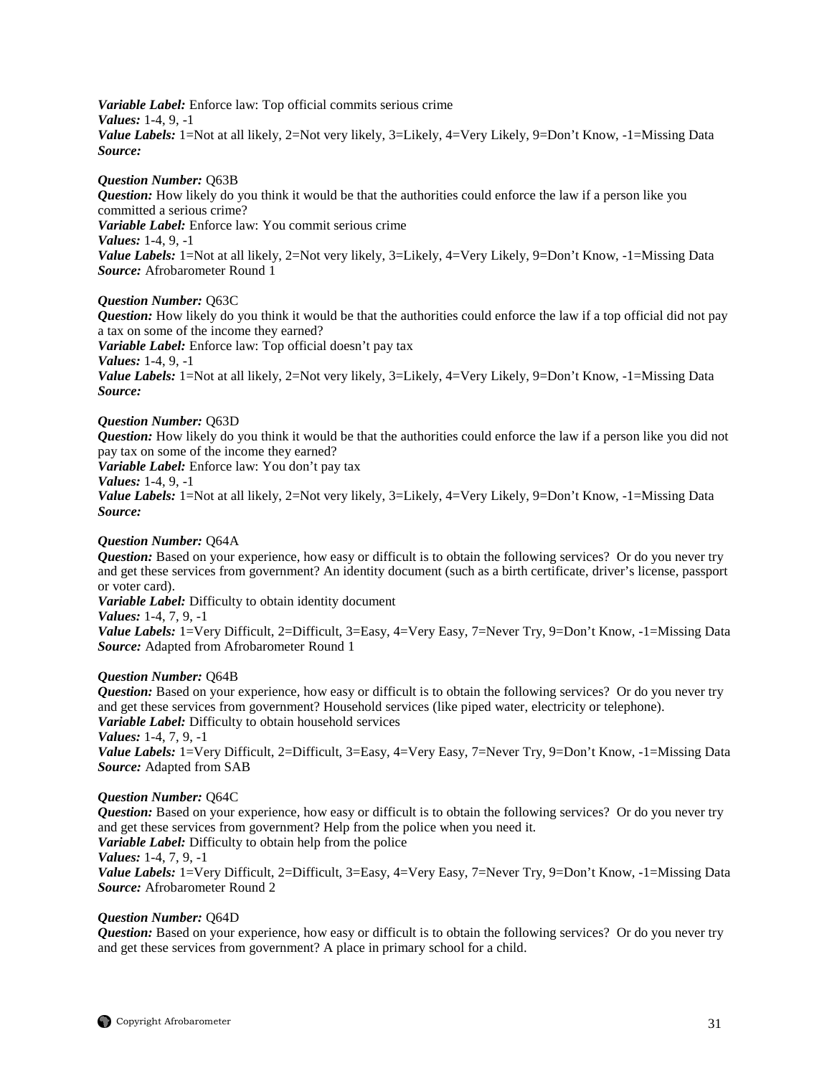*Variable Label:* Enforce law: Top official commits serious crime *Values:* 1-4, 9, -1 *Value Labels:* 1=Not at all likely, 2=Not very likely, 3=Likely, 4=Very Likely, 9=Don't Know, -1=Missing Data *Source:*

#### *Question Number:* Q63B

*Question:* How likely do you think it would be that the authorities could enforce the law if a person like you committed a serious crime? *Variable Label:* Enforce law: You commit serious crime *Values:* 1-4, 9, -1

*Value Labels:* 1=Not at all likely, 2=Not very likely, 3=Likely, 4=Very Likely, 9=Don't Know, -1=Missing Data *Source:* Afrobarometer Round 1

### *Question Number:* Q63C

*Question:* How likely do you think it would be that the authorities could enforce the law if a top official did not pay a tax on some of the income they earned?

*Variable Label:* Enforce law: Top official doesn't pay tax *Values:* 1-4, 9, -1

*Value Labels:* 1=Not at all likely, 2=Not very likely, 3=Likely, 4=Very Likely, 9=Don't Know, -1=Missing Data *Source:*

#### *Question Number:* Q63D

*Question:* How likely do you think it would be that the authorities could enforce the law if a person like you did not pay tax on some of the income they earned?

*Variable Label:* Enforce law: You don't pay tax

*Values:* 1-4, 9, -1

*Value Labels:* 1=Not at all likely, 2=Not very likely, 3=Likely, 4=Very Likely, 9=Don't Know, -1=Missing Data *Source:*

## *Question Number:* Q64A

*Question:* Based on your experience, how easy or difficult is to obtain the following services? Or do you never try and get these services from government? An identity document (such as a birth certificate, driver's license, passport or voter card).

*Variable Label:* Difficulty to obtain identity document

*Values:* 1-4, 7, 9, -1

*Value Labels:* 1=Very Difficult, 2=Difficult, 3=Easy, 4=Very Easy, 7=Never Try, 9=Don't Know, -1=Missing Data *Source:* Adapted from Afrobarometer Round 1

#### *Question Number:* Q64B

*Question:* Based on your experience, how easy or difficult is to obtain the following services? Or do you never try and get these services from government? Household services (like piped water, electricity or telephone). *Variable Label:* Difficulty to obtain household services

*Values:* 1-4, 7, 9, -1

*Value Labels:* 1=Very Difficult, 2=Difficult, 3=Easy, 4=Very Easy, 7=Never Try, 9=Don't Know, -1=Missing Data *Source:* Adapted from SAB

#### *Question Number:* Q64C

*Question:* Based on your experience, how easy or difficult is to obtain the following services? Or do you never try and get these services from government? Help from the police when you need it.

*Variable Label:* Difficulty to obtain help from the police

*Values:* 1-4, 7, 9, -1

*Value Labels:* 1=Very Difficult, 2=Difficult, 3=Easy, 4=Very Easy, 7=Never Try, 9=Don't Know, -1=Missing Data *Source:* Afrobarometer Round 2

#### *Question Number:* Q64D

*Question:* Based on your experience, how easy or difficult is to obtain the following services? Or do you never try and get these services from government? A place in primary school for a child.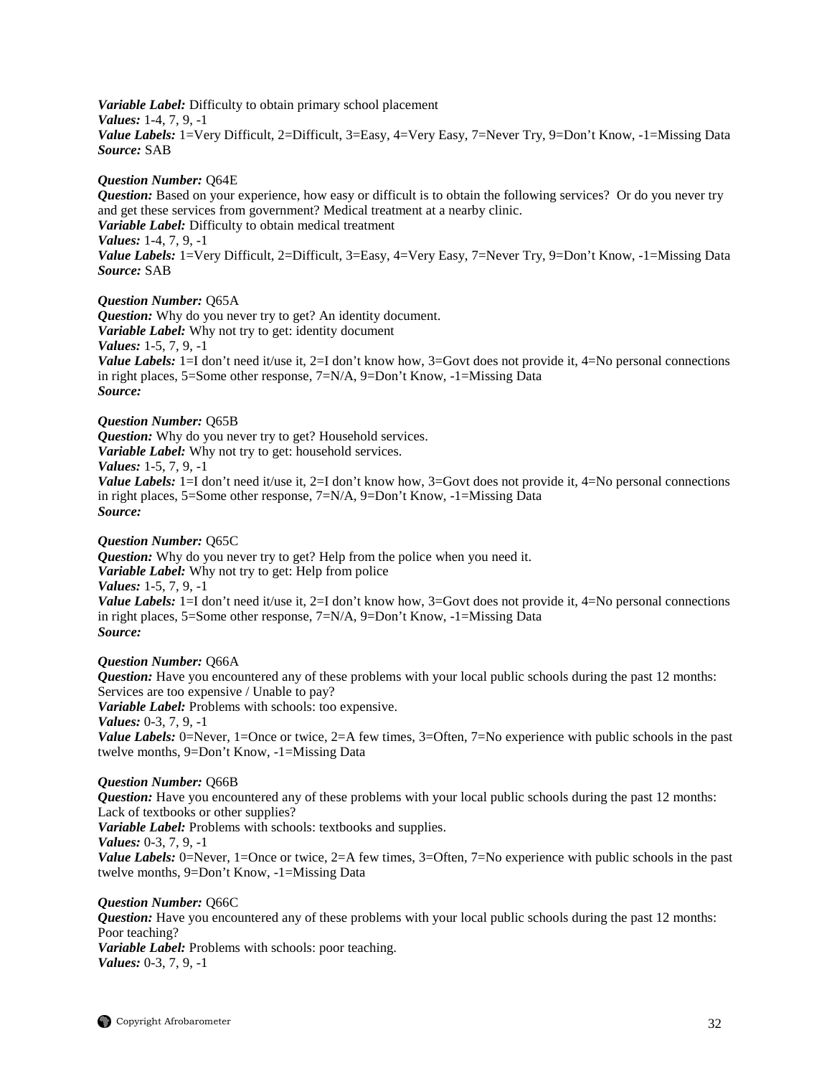*Variable Label:* Difficulty to obtain primary school placement *Values:* 1-4, 7, 9, -1 *Value Labels:* 1=Very Difficult, 2=Difficult, 3=Easy, 4=Very Easy, 7=Never Try, 9=Don't Know, -1=Missing Data *Source:* SAB

#### *Question Number:* Q64E

*Question:* Based on your experience, how easy or difficult is to obtain the following services? Or do you never try and get these services from government? Medical treatment at a nearby clinic. *Variable Label:* Difficulty to obtain medical treatment *Values:* 1-4, 7, 9, -1 *Value Labels:* 1=Very Difficult, 2=Difficult, 3=Easy, 4=Very Easy, 7=Never Try, 9=Don't Know, -1=Missing Data *Source:* SAB

## *Question Number:* Q65A

*Question:* Why do you never try to get? An identity document. *Variable Label:* Why not try to get: identity document *Values:* 1-5, 7, 9, -1 *Value Labels:* 1=I don't need it/use it, 2=I don't know how, 3=Govt does not provide it, 4=No personal connections in right places, 5=Some other response, 7=N/A, 9=Don't Know, -1=Missing Data *Source:*

## *Question Number:* Q65B

*Question:* Why do you never try to get? Household services. *Variable Label:* Why not try to get: household services. *Values:* 1-5, 7, 9, -1 *Value Labels:* 1=I don't need it/use it, 2=I don't know how, 3=Govt does not provide it, 4=No personal connections in right places, 5=Some other response, 7=N/A, 9=Don't Know, -1=Missing Data *Source:*

## *Question Number:* Q65C

*Question:* Why do you never try to get? Help from the police when you need it. *Variable Label:* Why not try to get: Help from police *Values:* 1-5, 7, 9, -1 *Value Labels:* 1=I don't need it/use it, 2=I don't know how, 3=Govt does not provide it, 4=No personal connections in right places, 5=Some other response, 7=N/A, 9=Don't Know, -1=Missing Data *Source:*

## *Question Number:* Q66A

*Question:* Have you encountered any of these problems with your local public schools during the past 12 months: Services are too expensive / Unable to pay?

*Variable Label:* Problems with schools: too expensive.

*Values:* 0-3, 7, 9, -1

*Value Labels:* 0=Never, 1=Once or twice, 2=A few times, 3=Often, 7=No experience with public schools in the past twelve months, 9=Don't Know, -1=Missing Data

## *Question Number:* Q66B

*Question:* Have you encountered any of these problems with your local public schools during the past 12 months: Lack of textbooks or other supplies? *Variable Label:* Problems with schools: textbooks and supplies. *Values:* 0-3, 7, 9, -1 *Value Labels:* 0=Never, 1=Once or twice, 2=A few times, 3=Often, 7=No experience with public schools in the past twelve months, 9=Don't Know, -1=Missing Data

*Question Number:* Q66C *Question:* Have you encountered any of these problems with your local public schools during the past 12 months: Poor teaching? *Variable Label:* Problems with schools: poor teaching. *Values:* 0-3, 7, 9, -1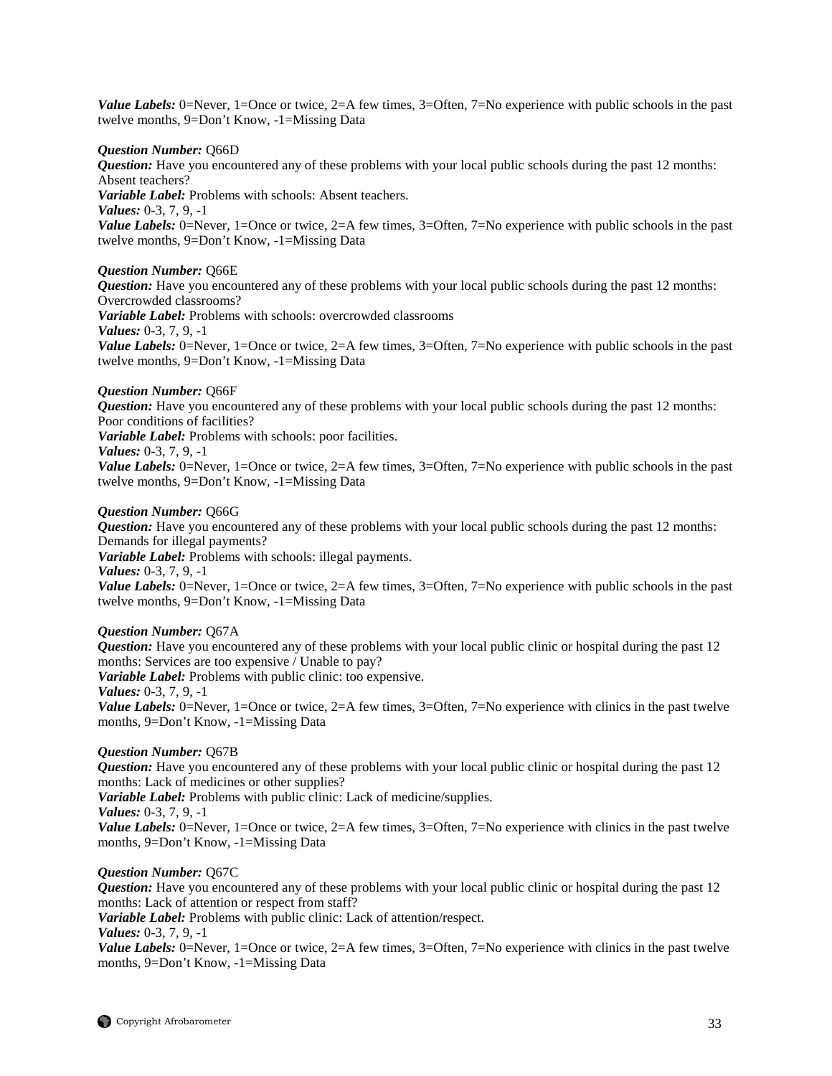*Value Labels:* 0=Never, 1=Once or twice, 2=A few times, 3=Often, 7=No experience with public schools in the past twelve months, 9=Don't Know, -1=Missing Data

#### *Question Number:* Q66D

*Question:* Have you encountered any of these problems with your local public schools during the past 12 months: Absent teachers? *Variable Label:* Problems with schools: Absent teachers. *Values:* 0-3, 7, 9, -1 *Value Labels:* 0=Never, 1=Once or twice, 2=A few times, 3=Often, 7=No experience with public schools in the past twelve months, 9=Don't Know, -1=Missing Data

## *Question Number:* Q66E

*Question:* Have you encountered any of these problems with your local public schools during the past 12 months: Overcrowded classrooms? *Variable Label:* Problems with schools: overcrowded classrooms *Values:* 0-3, 7, 9, -1 *Value Labels:* 0=Never, 1=Once or twice, 2=A few times, 3=Often, 7=No experience with public schools in the past twelve months, 9=Don't Know, -1=Missing Data

## *Question Number:* Q66F

*Question:* Have you encountered any of these problems with your local public schools during the past 12 months: Poor conditions of facilities?

*Variable Label:* Problems with schools: poor facilities.

#### *Values:* 0-3, 7, 9, -1

*Value Labels:* 0=Never, 1=Once or twice, 2=A few times, 3=Often, 7=No experience with public schools in the past twelve months, 9=Don't Know, -1=Missing Data

#### *Question Number:* Q66G

*Question:* Have you encountered any of these problems with your local public schools during the past 12 months: Demands for illegal payments? *Variable Label:* Problems with schools: illegal payments. *Values:* 0-3, 7, 9, -1 *Value Labels:* 0=Never, 1=Once or twice, 2=A few times, 3=Often, 7=No experience with public schools in the past twelve months, 9=Don't Know, -1=Missing Data

## *Question Number:* Q67A

*Question:* Have you encountered any of these problems with your local public clinic or hospital during the past 12 months: Services are too expensive / Unable to pay? *Variable Label:* Problems with public clinic: too expensive. *Values:* 0-3, 7, 9, -1 *Value Labels:* 0=Never, 1=Once or twice, 2=A few times, 3=Often, 7=No experience with clinics in the past twelve

## *Question Number:* Q67B

months, 9=Don't Know, -1=Missing Data

*Question:* Have you encountered any of these problems with your local public clinic or hospital during the past 12 months: Lack of medicines or other supplies?

*Variable Label:* Problems with public clinic: Lack of medicine/supplies.

*Values:* 0-3, 7, 9, -1

*Value Labels:* 0=Never, 1=Once or twice, 2=A few times, 3=Often, 7=No experience with clinics in the past twelve months, 9=Don't Know, -1=Missing Data

## *Question Number:* Q67C

*Question:* Have you encountered any of these problems with your local public clinic or hospital during the past 12 months: Lack of attention or respect from staff?

*Variable Label:* Problems with public clinic: Lack of attention/respect.

## *Values:* 0-3, 7, 9, -1

*Value Labels:* 0=Never, 1=Once or twice, 2=A few times, 3=Often, 7=No experience with clinics in the past twelve months, 9=Don't Know, -1=Missing Data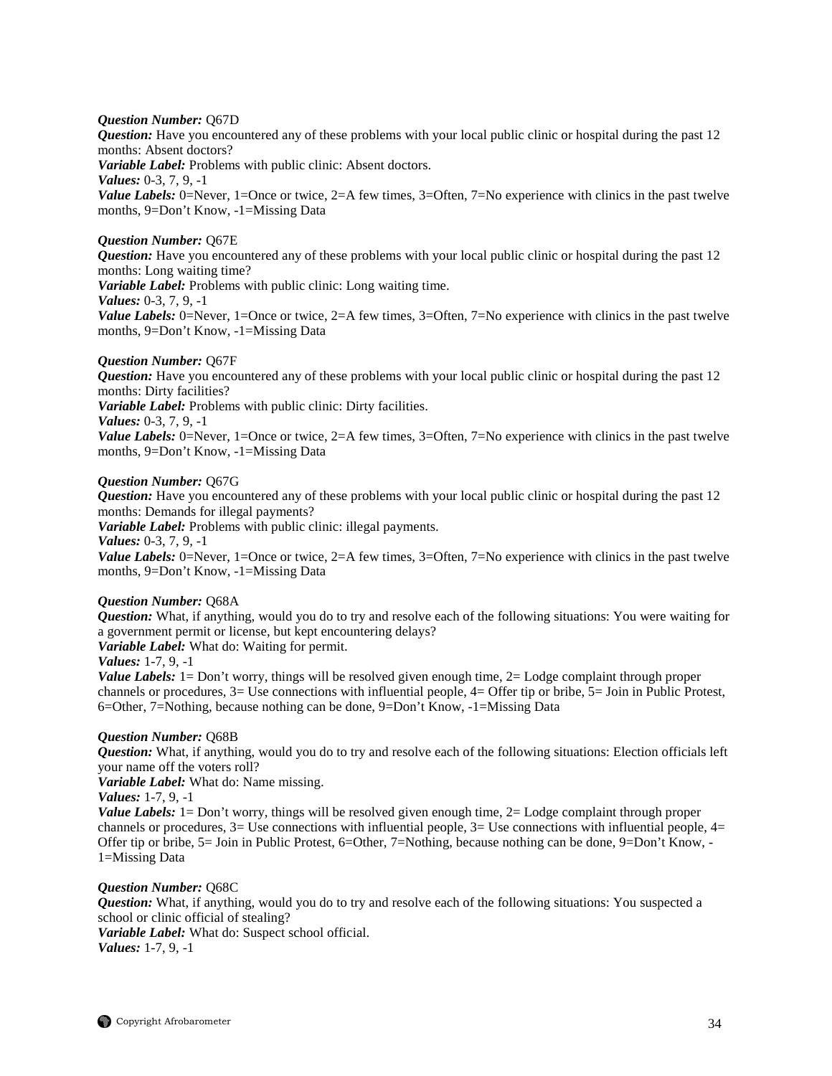## *Question Number:* Q67D

*Question:* Have you encountered any of these problems with your local public clinic or hospital during the past 12 months: Absent doctors?

*Variable Label:* Problems with public clinic: Absent doctors.

*Values:* 0-3, 7, 9, -1

*Value Labels:* 0=Never, 1=Once or twice, 2=A few times, 3=Often, 7=No experience with clinics in the past twelve months, 9=Don't Know, -1=Missing Data

## *Question Number:* Q67E

*Question:* Have you encountered any of these problems with your local public clinic or hospital during the past 12 months: Long waiting time?

*Variable Label:* Problems with public clinic: Long waiting time.

*Values:* 0-3, 7, 9, -1

*Value Labels:* 0=Never, 1=Once or twice, 2=A few times, 3=Often, 7=No experience with clinics in the past twelve months, 9=Don't Know, -1=Missing Data

## *Question Number:* Q67F

*Question:* Have you encountered any of these problems with your local public clinic or hospital during the past 12 months: Dirty facilities? *Variable Label:* Problems with public clinic: Dirty facilities. *Values:* 0-3, 7, 9, -1 *Value Labels:* 0=Never, 1=Once or twice, 2=A few times, 3=Often, 7=No experience with clinics in the past twelve

months, 9=Don't Know, -1=Missing Data

## *Question Number:* Q67G

*Question:* Have you encountered any of these problems with your local public clinic or hospital during the past 12 months: Demands for illegal payments?

*Variable Label:* Problems with public clinic: illegal payments.

*Values:* 0-3, 7, 9, -1

*Value Labels:* 0=Never, 1=Once or twice, 2=A few times, 3=Often, 7=No experience with clinics in the past twelve months, 9=Don't Know, -1=Missing Data

#### *Question Number:* Q68A

*Question:* What, if anything, would you do to try and resolve each of the following situations: You were waiting for a government permit or license, but kept encountering delays?

*Variable Label:* What do: Waiting for permit.

*Values:* 1-7, 9, -1

*Value Labels:* 1 = Don't worry, things will be resolved given enough time, 2 = Lodge complaint through proper channels or procedures, 3= Use connections with influential people, 4= Offer tip or bribe, 5= Join in Public Protest, 6=Other, 7=Nothing, because nothing can be done, 9=Don't Know, -1=Missing Data

#### *Question Number:* Q68B

*Question:* What, if anything, would you do to try and resolve each of the following situations: Election officials left your name off the voters roll?

*Variable Label:* What do: Name missing.

## *Values:* 1-7, 9, -1

*Value Labels:* 1= Don't worry, things will be resolved given enough time, 2= Lodge complaint through proper channels or procedures,  $3=$  Use connections with influential people,  $3=$  Use connections with influential people,  $4=$ Offer tip or bribe, 5= Join in Public Protest, 6=Other, 7=Nothing, because nothing can be done, 9=Don't Know, - 1=Missing Data

#### *Question Number:* Q68C

*Question:* What, if anything, would you do to try and resolve each of the following situations: You suspected a school or clinic official of stealing?

*Variable Label:* What do: Suspect school official. *Values:* 1-7, 9, -1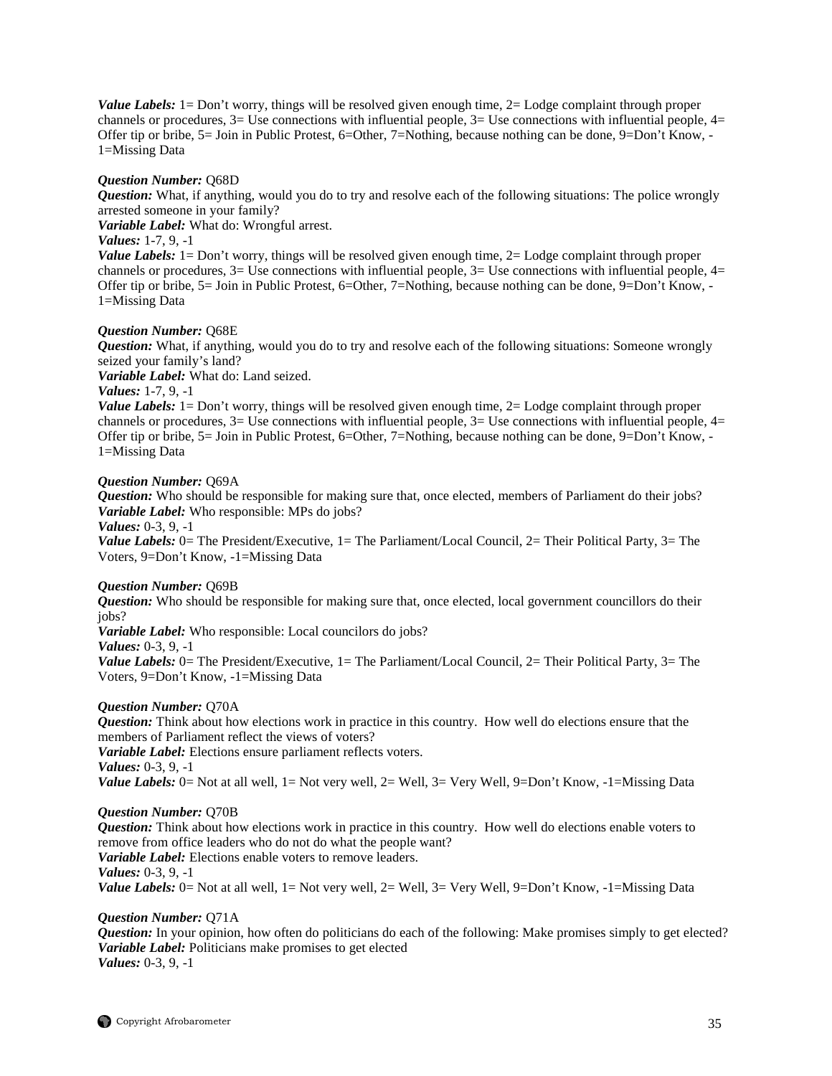*Value Labels:* 1= Don't worry, things will be resolved given enough time, 2= Lodge complaint through proper channels or procedures,  $3=$  Use connections with influential people,  $3=$  Use connections with influential people,  $4=$ Offer tip or bribe, 5= Join in Public Protest, 6=Other, 7=Nothing, because nothing can be done, 9=Don't Know, - 1=Missing Data

#### *Question Number:* Q68D

*Question:* What, if anything, would you do to try and resolve each of the following situations: The police wrongly arrested someone in your family?

*Variable Label:* What do: Wrongful arrest.

## *Values:* 1-7, 9, -1

*Value Labels:* 1= Don't worry, things will be resolved given enough time, 2= Lodge complaint through proper channels or procedures,  $3=$  Use connections with influential people,  $3=$  Use connections with influential people,  $4=$ Offer tip or bribe, 5= Join in Public Protest, 6=Other, 7=Nothing, because nothing can be done, 9=Don't Know, - 1=Missing Data

#### *Question Number:* Q68E

*Question:* What, if anything, would you do to try and resolve each of the following situations: Someone wrongly seized your family's land?

*Variable Label:* What do: Land seized.

## *Values:* 1-7, 9, -1

*Value Labels:* 1 = Don't worry, things will be resolved given enough time, 2 = Lodge complaint through proper channels or procedures,  $3=$  Use connections with influential people,  $3=$  Use connections with influential people,  $4=$ Offer tip or bribe, 5= Join in Public Protest, 6=Other, 7=Nothing, because nothing can be done, 9=Don't Know, - 1=Missing Data

## *Question Number:* Q69A

*Question:* Who should be responsible for making sure that, once elected, members of Parliament do their jobs? *Variable Label:* Who responsible: MPs do jobs?

#### *Values:* 0-3, 9, -1

*Value Labels:* 0 = The President/Executive, 1 = The Parliament/Local Council, 2 = Their Political Party, 3 = The Voters, 9=Don't Know, -1=Missing Data

## *Question Number:* Q69B

*Question:* Who should be responsible for making sure that, once elected, local government councillors do their jobs?

*Variable Label:* Who responsible: Local councilors do jobs?

*Values:* 0-3, 9, -1

*Value Labels:* 0 = The President/Executive, 1 = The Parliament/Local Council, 2 = Their Political Party, 3 = The Voters, 9=Don't Know, -1=Missing Data

## *Question Number:* Q70A

*Question:* Think about how elections work in practice in this country. How well do elections ensure that the members of Parliament reflect the views of voters?

*Variable Label:* Elections ensure parliament reflects voters.

*Values:* 0-3, 9, -1

*Value Labels:* 0 = Not at all well, 1 = Not very well, 2 = Well, 3 = Very Well, 9 = Don't Know, -1 = Missing Data

## *Question Number:* Q70B

*Question:* Think about how elections work in practice in this country. How well do elections enable voters to remove from office leaders who do not do what the people want? *Variable Label:* Elections enable voters to remove leaders. *Values:* 0-3, 9, -1 *Value Labels:* 0 = Not at all well, 1 = Not very well, 2 = Well, 3 = Very Well, 9 = Don't Know, -1 = Missing Data

#### *Question Number:* Q71A

*Question:* In your opinion, how often do politicians do each of the following: Make promises simply to get elected? *Variable Label:* Politicians make promises to get elected *Values:* 0-3, 9, -1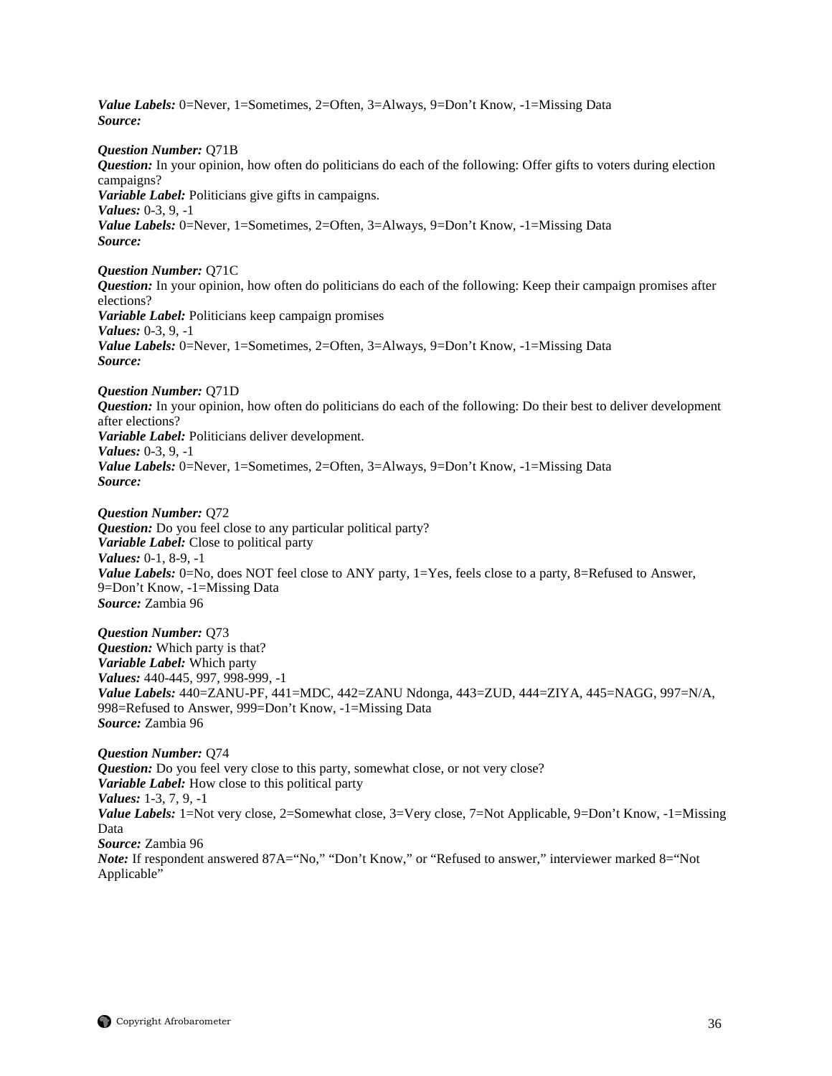*Value Labels:* 0=Never, 1=Sometimes, 2=Often, 3=Always, 9=Don't Know, -1=Missing Data *Source: Question Number:* Q71B *Question:* In your opinion, how often do politicians do each of the following: Offer gifts to voters during election campaigns? *Variable Label:* Politicians give gifts in campaigns. *Values:* 0-3, 9, -1 *Value Labels:* 0=Never, 1=Sometimes, 2=Often, 3=Always, 9=Don't Know, -1=Missing Data *Source: Question Number:* Q71C *Question:* In your opinion, how often do politicians do each of the following: Keep their campaign promises after elections? *Variable Label:* Politicians keep campaign promises *Values:* 0-3, 9, -1 *Value Labels:* 0=Never, 1=Sometimes, 2=Often, 3=Always, 9=Don't Know, -1=Missing Data *Source: Question Number:* Q71D *Question:* In your opinion, how often do politicians do each of the following: Do their best to deliver development after elections? *Variable Label:* Politicians deliver development. *Values:* 0-3, 9, -1 *Value Labels:* 0=Never, 1=Sometimes, 2=Often, 3=Always, 9=Don't Know, -1=Missing Data *Source: Question Number:* Q72 *Question:* Do you feel close to any particular political party? *Variable Label:* Close to political party *Values:* 0-1, 8-9, -1 *Value Labels:* 0=No, does NOT feel close to ANY party, 1=Yes, feels close to a party, 8=Refused to Answer, 9=Don't Know, -1=Missing Data *Source:* Zambia 96 *Question Number:* Q73 *Question:* Which party is that? *Variable Label:* Which party *Values:* 440-445, 997, 998-999, -1 *Value Labels:* 440=ZANU-PF, 441=MDC, 442=ZANU Ndonga, 443=ZUD, 444=ZIYA, 445=NAGG, 997=N/A, 998=Refused to Answer, 999=Don't Know, -1=Missing Data *Source:* Zambia 96 *Question Number:* Q74 *Question:* Do you feel very close to this party, somewhat close, or not very close? *Variable Label:* How close to this political party *Values:* 1-3, 7, 9, -1 *Value Labels:* 1=Not very close, 2=Somewhat close, 3=Very close, 7=Not Applicable, 9=Don't Know, -1=Missing

Data *Source:* Zambia 96

*Note:* If respondent answered 87A="No," "Don't Know," or "Refused to answer," interviewer marked 8="Not Applicable"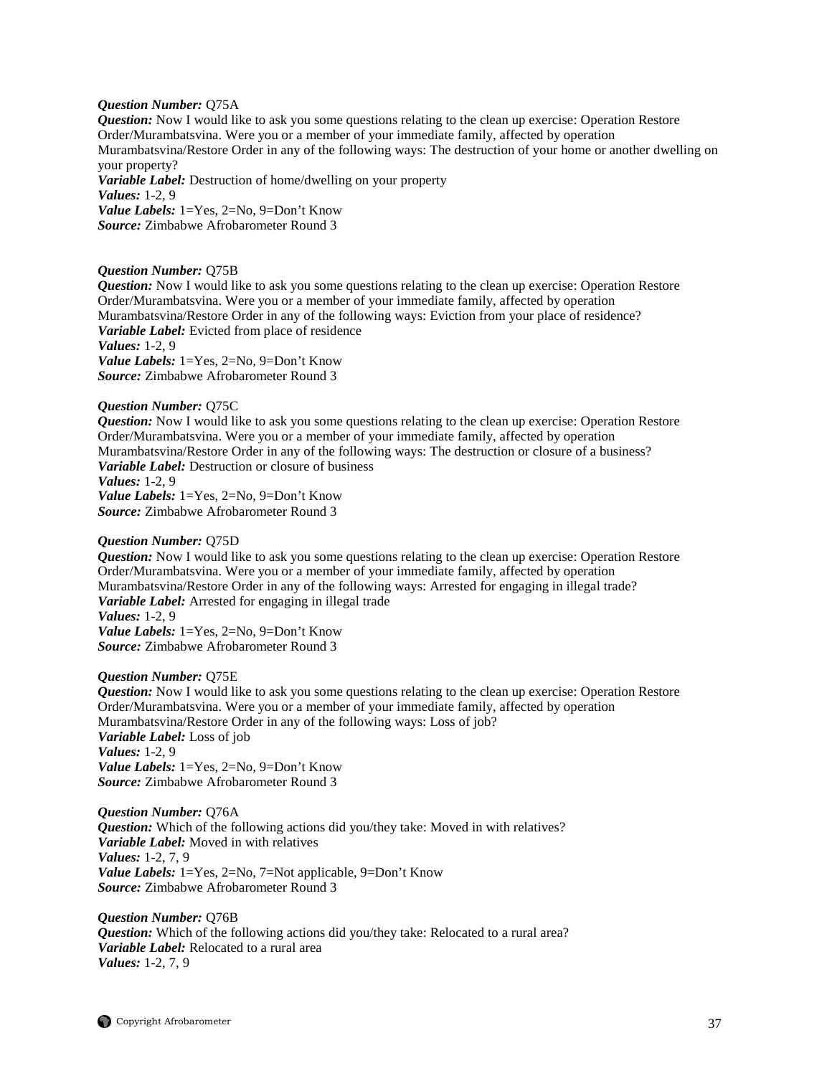#### *Question Number:* Q75A

*Question:* Now I would like to ask you some questions relating to the clean up exercise: Operation Restore Order/Murambatsvina. Were you or a member of your immediate family, affected by operation Murambatsvina/Restore Order in any of the following ways: The destruction of your home or another dwelling on your property? *Variable Label:* Destruction of home/dwelling on your property *Values:* 1-2, 9 *Value Labels:* 1=Yes, 2=No, 9=Don't Know *Source:* Zimbabwe Afrobarometer Round 3

#### *Question Number:* Q75B

*Question:* Now I would like to ask you some questions relating to the clean up exercise: Operation Restore Order/Murambatsvina. Were you or a member of your immediate family, affected by operation Murambatsvina/Restore Order in any of the following ways: Eviction from your place of residence? *Variable Label:* Evicted from place of residence *Values:* 1-2, 9 *Value Labels:* 1=Yes, 2=No, 9=Don't Know *Source:* Zimbabwe Afrobarometer Round 3

#### *Question Number:* Q75C

*Question:* Now I would like to ask you some questions relating to the clean up exercise: Operation Restore Order/Murambatsvina. Were you or a member of your immediate family, affected by operation Murambatsvina/Restore Order in any of the following ways: The destruction or closure of a business? *Variable Label:* Destruction or closure of business *Values:* 1-2, 9 *Value Labels:* 1=Yes, 2=No, 9=Don't Know *Source:* Zimbabwe Afrobarometer Round 3

#### *Question Number:* Q75D

*Question:* Now I would like to ask you some questions relating to the clean up exercise: Operation Restore Order/Murambatsvina. Were you or a member of your immediate family, affected by operation Murambatsvina/Restore Order in any of the following ways: Arrested for engaging in illegal trade? *Variable Label:* Arrested for engaging in illegal trade *Values:* 1-2, 9 *Value Labels:* 1=Yes, 2=No, 9=Don't Know *Source:* Zimbabwe Afrobarometer Round 3

#### *Question Number:* Q75E

*Question:* Now I would like to ask you some questions relating to the clean up exercise: Operation Restore Order/Murambatsvina. Were you or a member of your immediate family, affected by operation Murambatsvina/Restore Order in any of the following ways: Loss of job? *Variable Label:* Loss of job *Values:* 1-2, 9 *Value Labels:* 1=Yes, 2=No, 9=Don't Know *Source:* Zimbabwe Afrobarometer Round 3

*Question Number:* Q76A *Question:* Which of the following actions did you/they take: Moved in with relatives? *Variable Label:* Moved in with relatives *Values:* 1-2, 7, 9 *Value Labels:* 1=Yes, 2=No, 7=Not applicable, 9=Don't Know *Source:* Zimbabwe Afrobarometer Round 3

*Question Number:* Q76B *Question:* Which of the following actions did you/they take: Relocated to a rural area? *Variable Label:* Relocated to a rural area *Values:* 1-2, 7, 9

 $\bigcirc$  Copyright Afrobarometer 37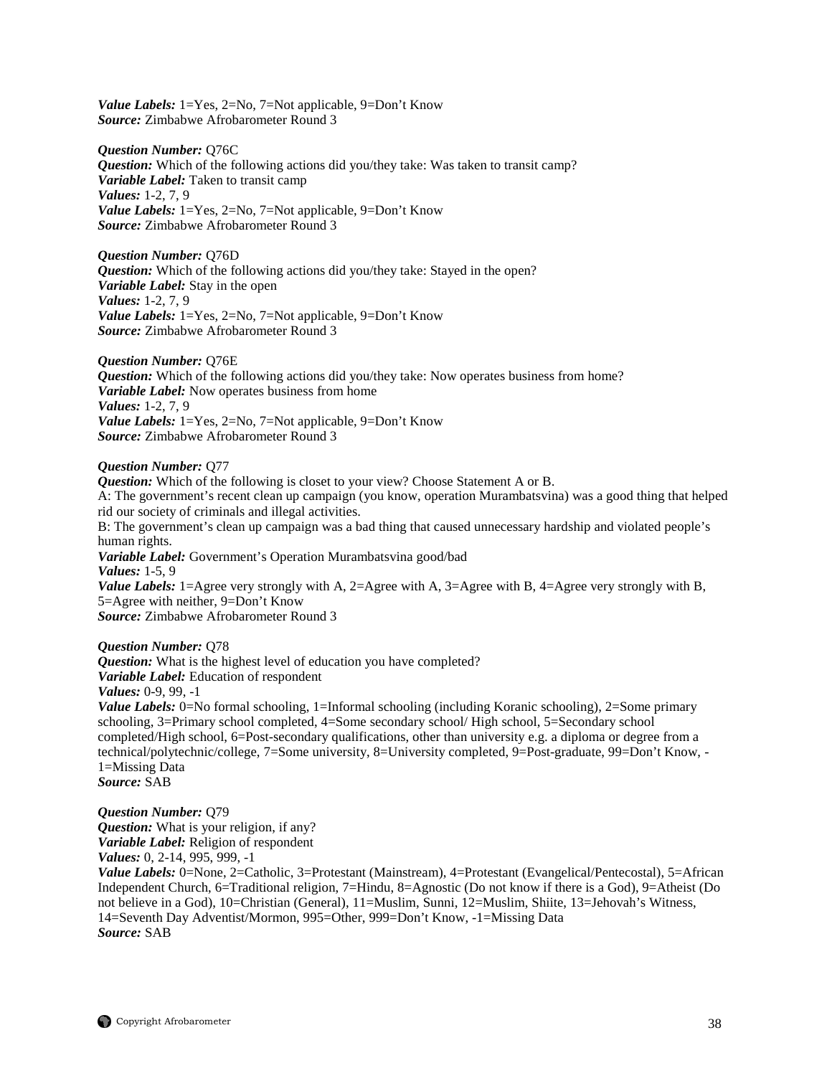*Value Labels:* 1=Yes, 2=No, 7=Not applicable, 9=Don't Know *Source:* Zimbabwe Afrobarometer Round 3

## *Question Number:* Q76C

*Question:* Which of the following actions did you/they take: Was taken to transit camp? *Variable Label:* Taken to transit camp *Values:* 1-2, 7, 9 *Value Labels:* 1=Yes, 2=No, 7=Not applicable, 9=Don't Know *Source:* Zimbabwe Afrobarometer Round 3

*Question Number:* Q76D *Question:* Which of the following actions did you/they take: Stayed in the open? *Variable Label:* Stay in the open *Values:* 1-2, 7, 9 *Value Labels:* 1=Yes, 2=No, 7=Not applicable, 9=Don't Know *Source:* Zimbabwe Afrobarometer Round 3

*Question Number:* Q76E *Question:* Which of the following actions did you/they take: Now operates business from home? *Variable Label:* Now operates business from home *Values:* 1-2, 7, 9 *Value Labels:* 1=Yes, 2=No, 7=Not applicable, 9=Don't Know *Source:* Zimbabwe Afrobarometer Round 3

## *Question Number:* Q77

*Question:* Which of the following is closet to your view? Choose Statement A or B. A: The government's recent clean up campaign (you know, operation Murambatsvina) was a good thing that helped rid our society of criminals and illegal activities. B: The government's clean up campaign was a bad thing that caused unnecessary hardship and violated people's human rights. *Variable Label:* Government's Operation Murambatsvina good/bad *Values:* 1-5, 9 *Value Labels:* 1=Agree very strongly with A, 2=Agree with A, 3=Agree with B, 4=Agree very strongly with B, 5=Agree with neither, 9=Don't Know

*Source:* Zimbabwe Afrobarometer Round 3

*Question Number:* Q78

*Question:* What is the highest level of education you have completed? *Variable Label:* Education of respondent *Values:* 0-9, 99, -1 *Value Labels:* 0=No formal schooling, 1=Informal schooling (including Koranic schooling), 2=Some primary schooling, 3=Primary school completed, 4=Some secondary school/ High school, 5=Secondary school completed/High school, 6=Post-secondary qualifications, other than university e.g. a diploma or degree from a technical/polytechnic/college, 7=Some university, 8=University completed, 9=Post-graduate, 99=Don't Know, - 1=Missing Data *Source:* SAB

*Question Number:* Q79 *Question:* What is your religion, if any? *Variable Label:* Religion of respondent *Values:* 0, 2-14, 995, 999, -1

*Value Labels:* 0=None, 2=Catholic, 3=Protestant (Mainstream), 4=Protestant (Evangelical/Pentecostal), 5=African Independent Church, 6=Traditional religion, 7=Hindu, 8=Agnostic (Do not know if there is a God), 9=Atheist (Do not believe in a God), 10=Christian (General), 11=Muslim, Sunni, 12=Muslim, Shiite, 13=Jehovah's Witness, 14=Seventh Day Adventist/Mormon, 995=Other, 999=Don't Know, -1=Missing Data *Source:* SAB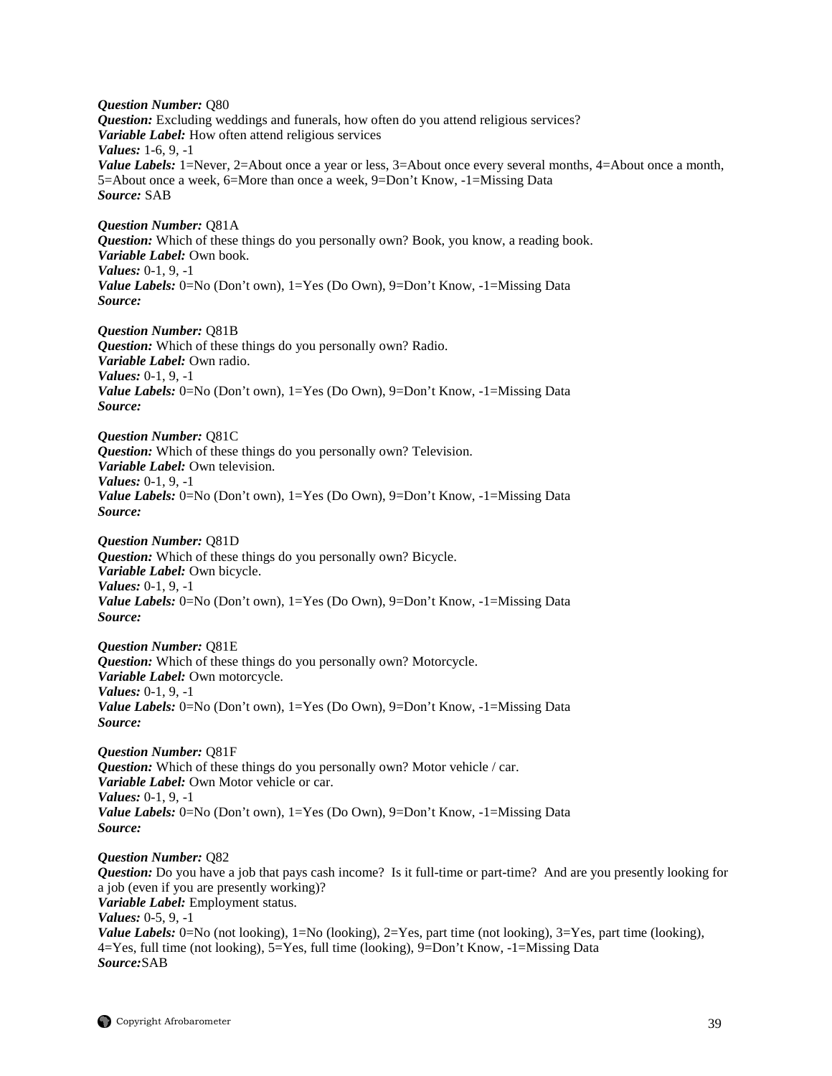*Question Number:* Q80 *Question:* Excluding weddings and funerals, how often do you attend religious services? *Variable Label:* How often attend religious services *Values:* 1-6, 9, -1 *Value Labels:* 1=Never, 2=About once a year or less, 3=About once every several months, 4=About once a month, 5=About once a week, 6=More than once a week, 9=Don't Know, -1=Missing Data *Source:* SAB

*Question Number:* Q81A *Question:* Which of these things do you personally own? Book, you know, a reading book. *Variable Label:* Own book. *Values:* 0-1, 9, -1 *Value Labels:* 0=No (Don't own), 1=Yes (Do Own), 9=Don't Know, -1=Missing Data *Source:*

*Question Number:* Q81B *Question:* Which of these things do you personally own? Radio. *Variable Label:* Own radio. *Values:* 0-1, 9, -1 *Value Labels:* 0=No (Don't own), 1=Yes (Do Own), 9=Don't Know, -1=Missing Data *Source:*

*Question Number:* Q81C *Question:* Which of these things do you personally own? Television. *Variable Label:* Own television. *Values:* 0-1, 9, -1 *Value Labels:* 0=No (Don't own), 1=Yes (Do Own), 9=Don't Know, -1=Missing Data *Source:*

*Question Number:* Q81D *Question:* Which of these things do you personally own? Bicycle. *Variable Label:* Own bicycle. *Values:* 0-1, 9, -1 *Value Labels:* 0=No (Don't own), 1=Yes (Do Own), 9=Don't Know, -1=Missing Data *Source:*

*Question Number:* Q81E *Question:* Which of these things do you personally own? Motorcycle. *Variable Label:* Own motorcycle. *Values:* 0-1, 9, -1 *Value Labels:* 0=No (Don't own), 1=Yes (Do Own), 9=Don't Know, -1=Missing Data *Source:*

*Question Number:* Q81F *Question:* Which of these things do you personally own? Motor vehicle / car. *Variable Label:* Own Motor vehicle or car. *Values:* 0-1, 9, -1 *Value Labels:* 0=No (Don't own), 1=Yes (Do Own), 9=Don't Know, -1=Missing Data *Source:*

*Question Number:* Q82 *Question:* Do you have a job that pays cash income? Is it full-time or part-time? And are you presently looking for a job (even if you are presently working)? *Variable Label:* Employment status. *Values:* 0-5, 9, -1 *Value Labels:* 0=No (not looking), 1=No (looking), 2=Yes, part time (not looking), 3=Yes, part time (looking), 4=Yes, full time (not looking), 5=Yes, full time (looking), 9=Don't Know, -1=Missing Data *Source:*SAB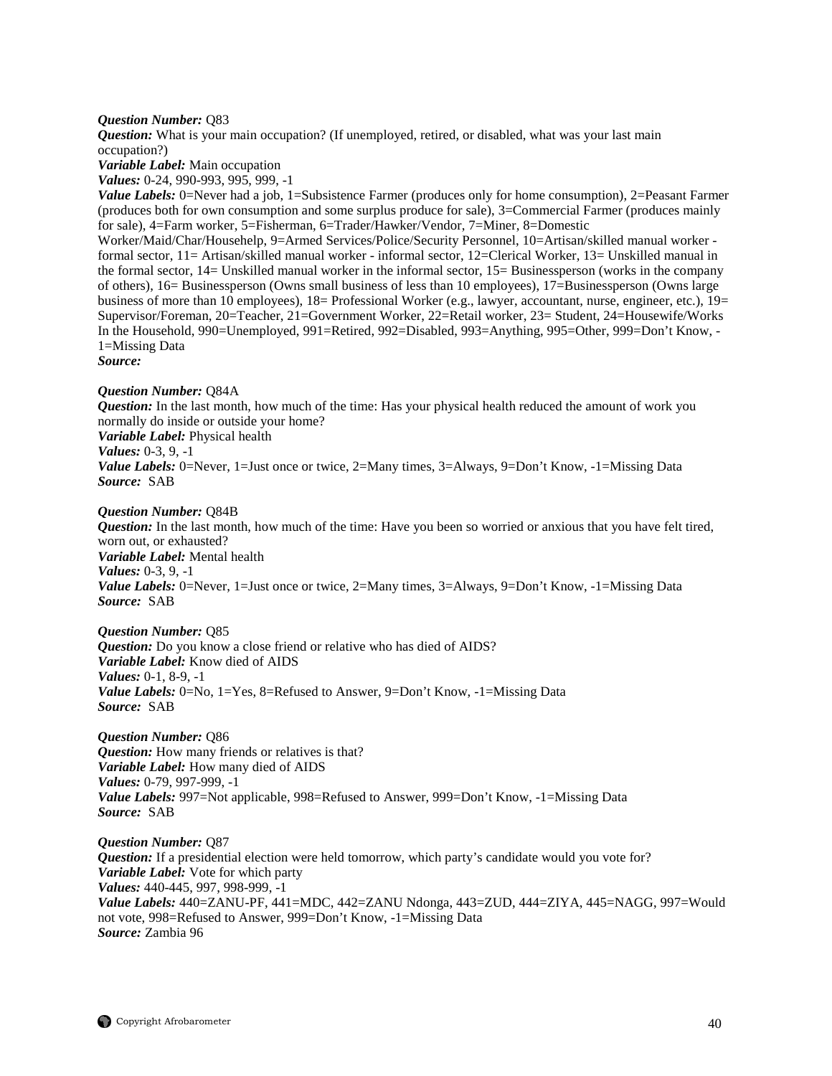## *Question Number:* Q83

*Question:* What is your main occupation? (If unemployed, retired, or disabled, what was your last main occupation?)

*Variable Label:* Main occupation

*Values:* 0-24, 990-993, 995, 999, -1

*Value Labels:* 0=Never had a job, 1=Subsistence Farmer (produces only for home consumption), 2=Peasant Farmer (produces both for own consumption and some surplus produce for sale), 3=Commercial Farmer (produces mainly for sale), 4=Farm worker, 5=Fisherman, 6=Trader/Hawker/Vendor, 7=Miner, 8=Domestic

Worker/Maid/Char/Househelp, 9=Armed Services/Police/Security Personnel, 10=Artisan/skilled manual worker formal sector, 11= Artisan/skilled manual worker - informal sector, 12=Clerical Worker, 13= Unskilled manual in the formal sector, 14= Unskilled manual worker in the informal sector, 15= Businessperson (works in the company of others), 16= Businessperson (Owns small business of less than 10 employees), 17=Businessperson (Owns large business of more than 10 employees),  $18=$  Professional Worker (e.g., lawyer, accountant, nurse, engineer, etc.),  $19=$ Supervisor/Foreman, 20=Teacher, 21=Government Worker, 22=Retail worker, 23= Student, 24=Housewife/Works In the Household, 990=Unemployed, 991=Retired, 992=Disabled, 993=Anything, 995=Other, 999=Don't Know, - 1=Missing Data

*Source:*

#### *Question Number:* Q84A

*Question:* In the last month, how much of the time: Has your physical health reduced the amount of work you normally do inside or outside your home?

*Variable Label:* Physical health

*Values:* 0-3, 9, -1

*Value Labels:* 0=Never, 1=Just once or twice, 2=Many times, 3=Always, 9=Don't Know, -1=Missing Data *Source:* SAB

#### *Question Number:* Q84B

*Question:* In the last month, how much of the time: Have you been so worried or anxious that you have felt tired, worn out, or exhausted? *Variable Label:* Mental health *Values:* 0-3, 9, -1 *Value Labels:* 0=Never, 1=Just once or twice, 2=Many times, 3=Always, 9=Don't Know, -1=Missing Data *Source:* SAB

*Question Number:* Q85 *Question:* Do you know a close friend or relative who has died of AIDS? *Variable Label:* Know died of AIDS *Values:* 0-1, 8-9, -1 *Value Labels:* 0=No, 1=Yes, 8=Refused to Answer, 9=Don't Know, -1=Missing Data *Source:* SAB

*Question Number:* Q86 *Question:* How many friends or relatives is that? *Variable Label:* How many died of AIDS *Values:* 0-79, 997-999, -1 *Value Labels:* 997=Not applicable, 998=Refused to Answer, 999=Don't Know, -1=Missing Data *Source:* SAB

*Question Number:* Q87 *Question:* If a presidential election were held tomorrow, which party's candidate would you vote for? *Variable Label:* Vote for which party *Values:* 440-445, 997, 998-999, -1 *Value Labels:* 440=ZANU-PF, 441=MDC, 442=ZANU Ndonga, 443=ZUD, 444=ZIYA, 445=NAGG, 997=Would not vote, 998=Refused to Answer, 999=Don't Know, -1=Missing Data *Source:* Zambia 96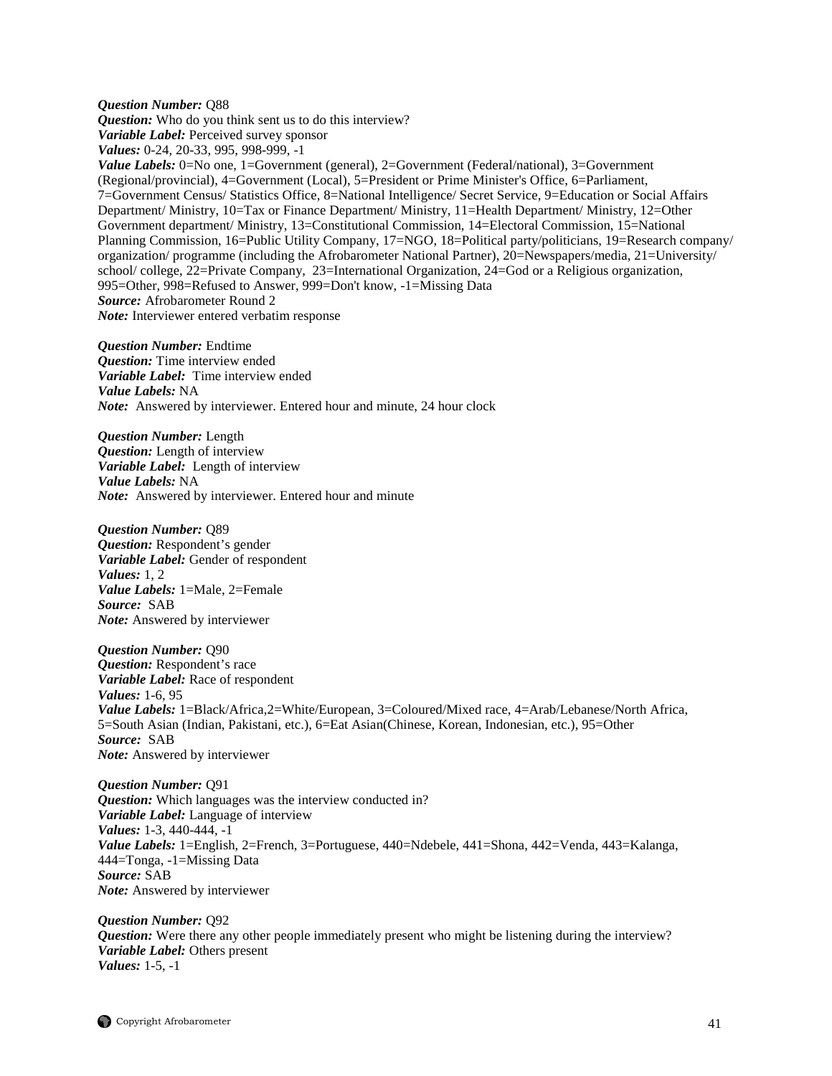*Question Number:* Q88 *Question:* Who do you think sent us to do this interview? *Variable Label:* Perceived survey sponsor *Values:* 0-24, 20-33, 995, 998-999, -1 *Value Labels:* 0=No one, 1=Government (general), 2=Government (Federal/national), 3=Government (Regional/provincial), 4=Government (Local), 5=President or Prime Minister's Office, 6=Parliament, 7=Government Census/ Statistics Office, 8=National Intelligence/ Secret Service, 9=Education or Social Affairs Department/ Ministry, 10=Tax or Finance Department/ Ministry, 11=Health Department/ Ministry, 12=Other Government department/ Ministry, 13=Constitutional Commission, 14=Electoral Commission, 15=National Planning Commission, 16=Public Utility Company, 17=NGO, 18=Political party/politicians, 19=Research company/ organization/ programme (including the Afrobarometer National Partner), 20=Newspapers/media, 21=University/ school/ college, 22=Private Company, 23=International Organization, 24=God or a Religious organization, 995=Other, 998=Refused to Answer, 999=Don't know, -1=Missing Data *Source:* Afrobarometer Round 2 *Note:* Interviewer entered verbatim response

*Question Number:* Endtime *Question:* Time interview ended *Variable Label:* Time interview ended *Value Labels:* NA *Note:* Answered by interviewer. Entered hour and minute, 24 hour clock

*Question Number:* Length *Question:* Length of interview *Variable Label:* Length of interview *Value Labels:* NA *Note:* Answered by interviewer. Entered hour and minute

*Question Number:* Q89 *Question:* Respondent's gender *Variable Label:* Gender of respondent *Values:* 1, 2 *Value Labels:* 1=Male, 2=Female *Source:* SAB *Note:* Answered by interviewer

*Question Number:* Q90 *Question:* Respondent's race *Variable Label:* Race of respondent *Values:* 1-6, 95 *Value Labels:* 1=Black/Africa,2=White/European, 3=Coloured/Mixed race, 4=Arab/Lebanese/North Africa, 5=South Asian (Indian, Pakistani, etc.), 6=Eat Asian(Chinese, Korean, Indonesian, etc.), 95=Other *Source:* SAB *Note:* Answered by interviewer

*Question Number:* Q91 *Question:* Which languages was the interview conducted in? *Variable Label:* Language of interview *Values:* 1-3, 440-444, -1 *Value Labels:* 1=English, 2=French, 3=Portuguese, 440=Ndebele, 441=Shona, 442=Venda, 443=Kalanga, 444=Tonga, -1=Missing Data *Source:* SAB *Note:* Answered by interviewer

*Question Number:* Q92 *Question:* Were there any other people immediately present who might be listening during the interview? *Variable Label:* Others present *Values:* 1-5, -1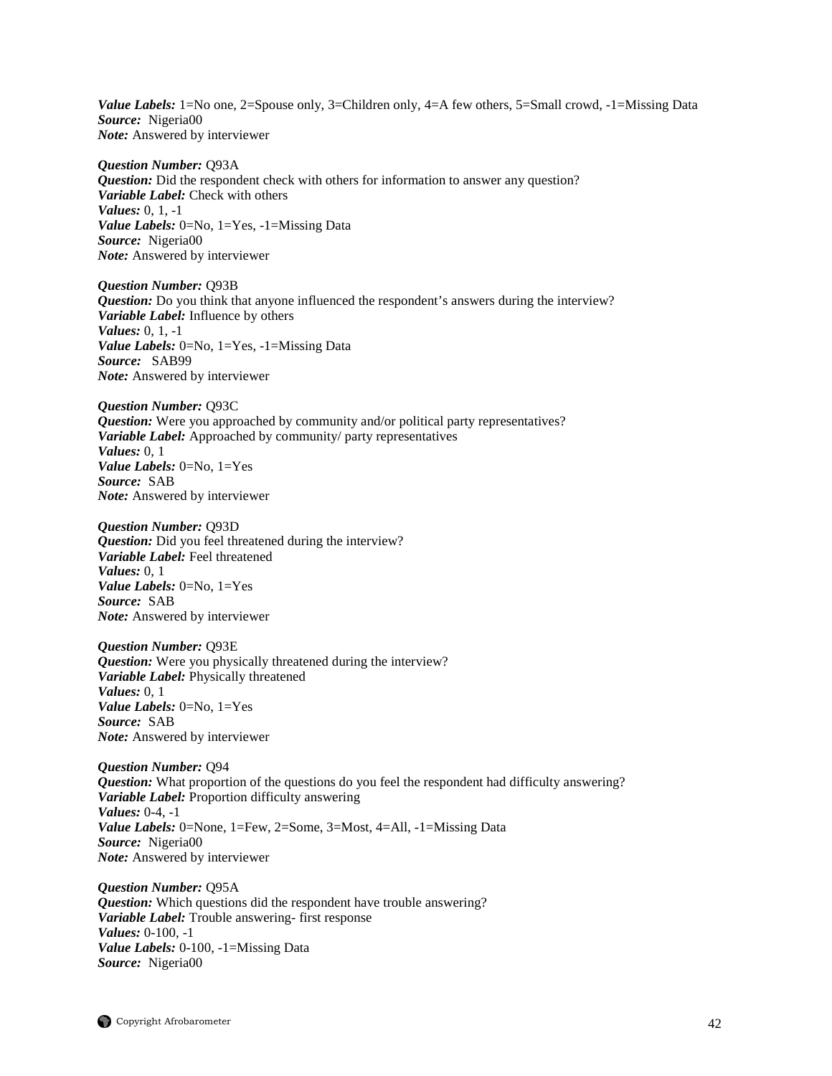*Value Labels:* 1=No one, 2=Spouse only, 3=Children only, 4=A few others, 5=Small crowd, -1=Missing Data *Source:* Nigeria00 *Note:* Answered by interviewer

*Question Number:* Q93A *Question:* Did the respondent check with others for information to answer any question? *Variable Label:* Check with others *Values:* 0, 1, -1 *Value Labels:* 0=No, 1=Yes, -1=Missing Data *Source:* Nigeria00 *Note:* Answered by interviewer

*Question Number:* Q93B *Question:* Do you think that anyone influenced the respondent's answers during the interview? *Variable Label:* Influence by others *Values:* 0, 1, -1 *Value Labels:* 0=No, 1=Yes, -1=Missing Data *Source:* SAB99 *Note:* Answered by interviewer

*Question Number:* Q93C *Question:* Were you approached by community and/or political party representatives? *Variable Label:* Approached by community/ party representatives *Values:* 0, 1 *Value Labels:* 0=No, 1=Yes *Source:* SAB *Note:* Answered by interviewer

*Question Number:* Q93D *Question:* Did you feel threatened during the interview? *Variable Label:* Feel threatened *Values:* 0, 1 *Value Labels:* 0=No, 1=Yes *Source:* SAB *Note:* Answered by interviewer

*Question Number:* Q93E *Question:* Were you physically threatened during the interview? *Variable Label:* Physically threatened *Values:* 0, 1 *Value Labels:* 0=No, 1=Yes *Source:* SAB *Note:* Answered by interviewer

*Question Number:* Q94 *Question:* What proportion of the questions do you feel the respondent had difficulty answering? *Variable Label:* Proportion difficulty answering *Values:* 0-4, -1 *Value Labels:* 0=None, 1=Few, 2=Some, 3=Most, 4=All, -1=Missing Data *Source:* Nigeria00 *Note:* Answered by interviewer

*Question Number:* Q95A *Question:* Which questions did the respondent have trouble answering? *Variable Label:* Trouble answering- first response *Values:* 0-100, -1 *Value Labels:* 0-100, -1=Missing Data *Source:* Nigeria00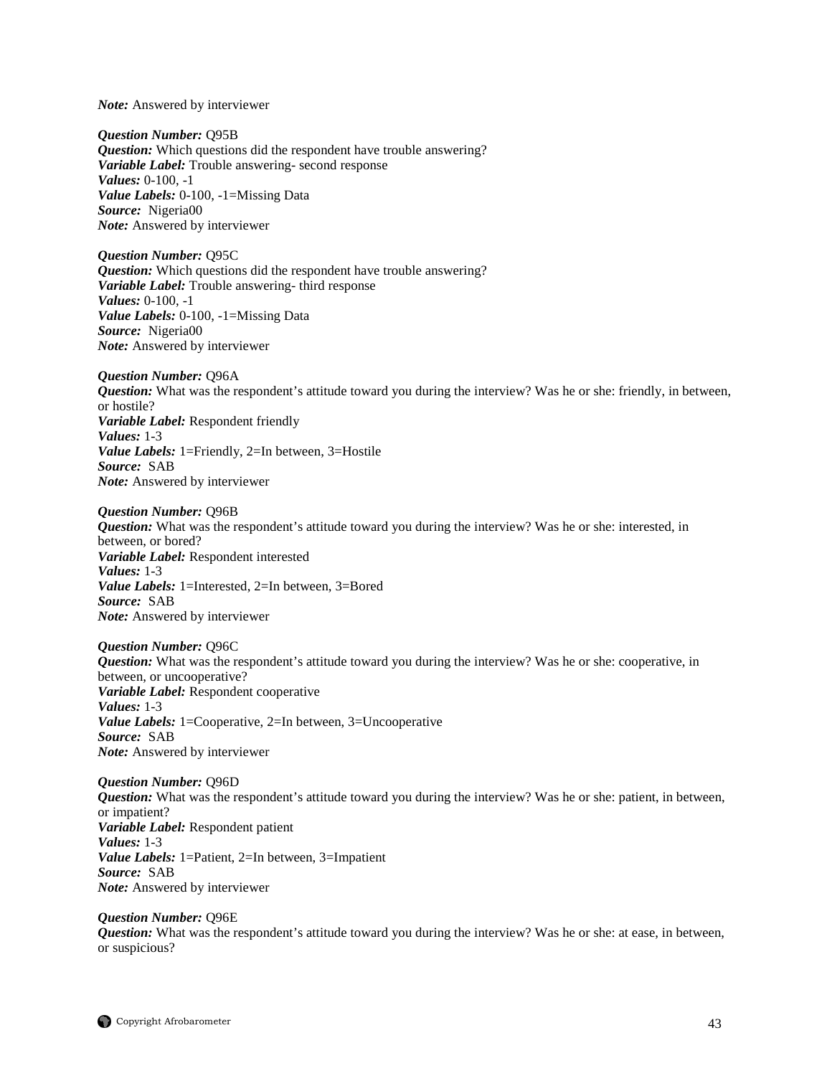*Note:* Answered by interviewer

*Question Number:* Q95B *Question:* Which questions did the respondent have trouble answering? *Variable Label:* Trouble answering- second response *Values:* 0-100, -1 *Value Labels:* 0-100, -1=Missing Data *Source:* Nigeria00 *Note:* Answered by interviewer

*Question Number:* Q95C *Question:* Which questions did the respondent have trouble answering? *Variable Label:* Trouble answering- third response *Values:* 0-100, -1 *Value Labels:* 0-100, -1=Missing Data *Source:* Nigeria00 *Note:* Answered by interviewer

*Question Number:* Q96A *Question:* What was the respondent's attitude toward you during the interview? Was he or she: friendly, in between, or hostile? *Variable Label:* Respondent friendly *Values:* 1-3 *Value Labels:* 1=Friendly, 2=In between, 3=Hostile *Source:* SAB *Note:* Answered by interviewer

*Question Number:* Q96B *Question:* What was the respondent's attitude toward you during the interview? Was he or she: interested, in between, or bored? *Variable Label:* Respondent interested *Values:* 1-3 *Value Labels:* 1=Interested, 2=In between, 3=Bored *Source:* SAB *Note:* Answered by interviewer

*Question Number:* Q96C *Question:* What was the respondent's attitude toward you during the interview? Was he or she: cooperative, in between, or uncooperative? *Variable Label:* Respondent cooperative *Values:* 1-3 *Value Labels:* 1=Cooperative, 2=In between, 3=Uncooperative *Source:* SAB *Note:* Answered by interviewer

*Question Number:* Q96D *Question:* What was the respondent's attitude toward you during the interview? Was he or she: patient, in between, or impatient? *Variable Label:* Respondent patient *Values:* 1-3 *Value Labels:* 1=Patient, 2=In between, 3=Impatient *Source:* SAB *Note:* Answered by interviewer

*Question Number:* Q96E *Question:* What was the respondent's attitude toward you during the interview? Was he or she: at ease, in between, or suspicious?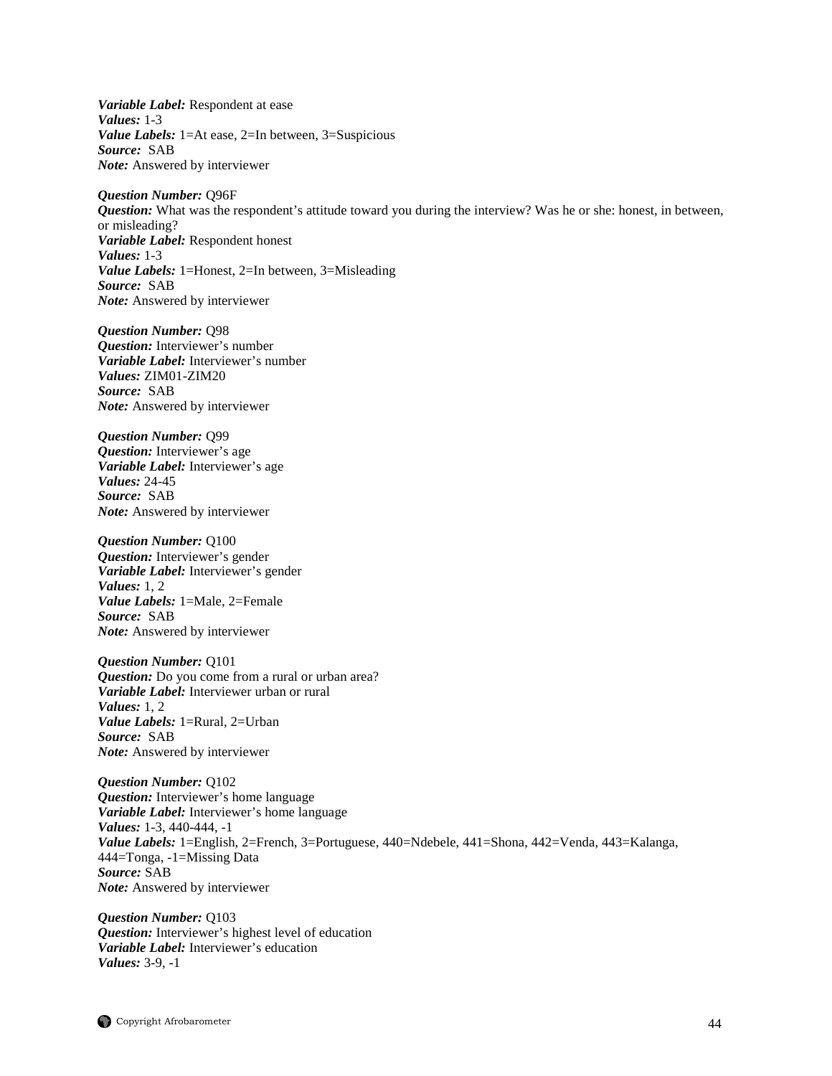*Variable Label:* Respondent at ease *Values:* 1-3 *Value Labels:* 1=At ease, 2=In between, 3=Suspicious *Source:* SAB *Note:* Answered by interviewer

*Question Number:* Q96F *Question:* What was the respondent's attitude toward you during the interview? Was he or she: honest, in between, or misleading? *Variable Label:* Respondent honest *Values:* 1-3 *Value Labels:* 1=Honest, 2=In between, 3=Misleading *Source:* SAB *Note:* Answered by interviewer

*Question Number:* Q98 *Question:* Interviewer's number *Variable Label:* Interviewer's number *Values:* ZIM01-ZIM20 *Source:* SAB *Note:* Answered by interviewer

*Question Number:* Q99 *Question:* Interviewer's age *Variable Label:* Interviewer's age *Values:* 24-45 *Source:* SAB *Note:* Answered by interviewer

*Question Number:* Q100 *Question:* Interviewer's gender *Variable Label:* Interviewer's gender *Values:* 1, 2 *Value Labels:* 1=Male, 2=Female *Source:* SAB *Note:* Answered by interviewer

*Question Number:* Q101 *Question:* Do you come from a rural or urban area? *Variable Label:* Interviewer urban or rural *Values:* 1, 2 *Value Labels:* 1=Rural, 2=Urban *Source:* SAB *Note:* Answered by interviewer

*Question Number:* Q102 *Question:* Interviewer's home language *Variable Label:* Interviewer's home language *Values:* 1-3, 440-444, -1 *Value Labels:* 1=English, 2=French, 3=Portuguese, 440=Ndebele, 441=Shona, 442=Venda, 443=Kalanga, 444=Tonga, -1=Missing Data *Source:* SAB *Note:* Answered by interviewer

*Question Number:* Q103 *Question:* Interviewer's highest level of education *Variable Label:* Interviewer's education *Values:* 3-9, -1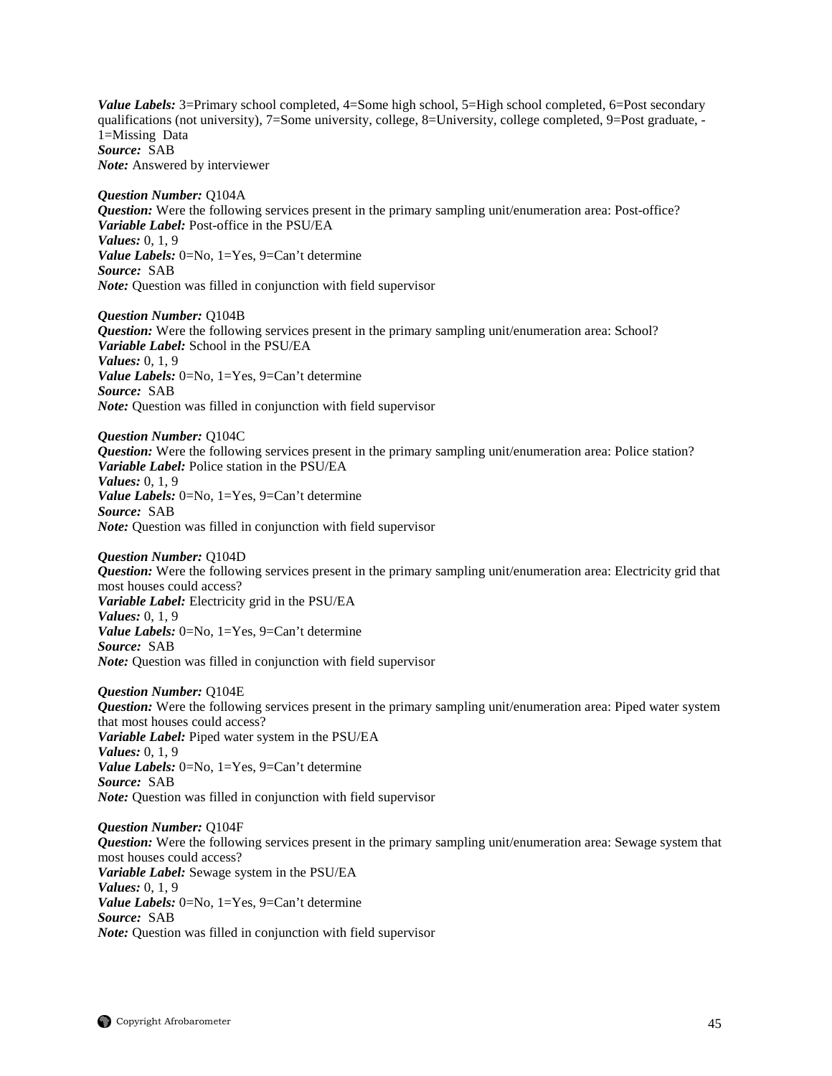*Value Labels:* 3=Primary school completed, 4=Some high school, 5=High school completed, 6=Post secondary qualifications (not university), 7=Some university, college, 8=University, college completed, 9=Post graduate, - 1=Missing Data *Source:* SAB *Note:* Answered by interviewer

*Question Number:* Q104A *Question:* Were the following services present in the primary sampling unit/enumeration area: Post-office? *Variable Label:* Post-office in the PSU/EA *Values:* 0, 1, 9 *Value Labels:* 0=No, 1=Yes, 9=Can't determine *Source:* SAB *Note:* Question was filled in conjunction with field supervisor

*Question Number:* Q104B *Question:* Were the following services present in the primary sampling unit/enumeration area: School? *Variable Label:* School in the PSU/EA *Values:* 0, 1, 9 *Value Labels:* 0=No, 1=Yes, 9=Can't determine *Source:* SAB *Note:* Question was filled in conjunction with field supervisor

*Question Number:* Q104C *Question:* Were the following services present in the primary sampling unit/enumeration area: Police station? *Variable Label:* Police station in the PSU/EA *Values:* 0, 1, 9 *Value Labels:* 0=No, 1=Yes, 9=Can't determine *Source:* SAB *Note:* Question was filled in conjunction with field supervisor

*Question Number:* Q104D *Question:* Were the following services present in the primary sampling unit/enumeration area: Electricity grid that most houses could access? *Variable Label:* Electricity grid in the PSU/EA *Values:* 0, 1, 9 *Value Labels:* 0=No, 1=Yes, 9=Can't determine *Source:* SAB *Note:* Question was filled in conjunction with field supervisor

*Question Number:* Q104E *Question:* Were the following services present in the primary sampling unit/enumeration area: Piped water system that most houses could access? *Variable Label:* Piped water system in the PSU/EA *Values:* 0, 1, 9 *Value Labels:* 0=No, 1=Yes, 9=Can't determine *Source:* SAB *Note:* Question was filled in conjunction with field supervisor

*Question Number:* Q104F *Question:* Were the following services present in the primary sampling unit/enumeration area: Sewage system that most houses could access? *Variable Label:* Sewage system in the PSU/EA *Values:* 0, 1, 9 *Value Labels:* 0=No, 1=Yes, 9=Can't determine *Source:* SAB *Note:* Question was filled in conjunction with field supervisor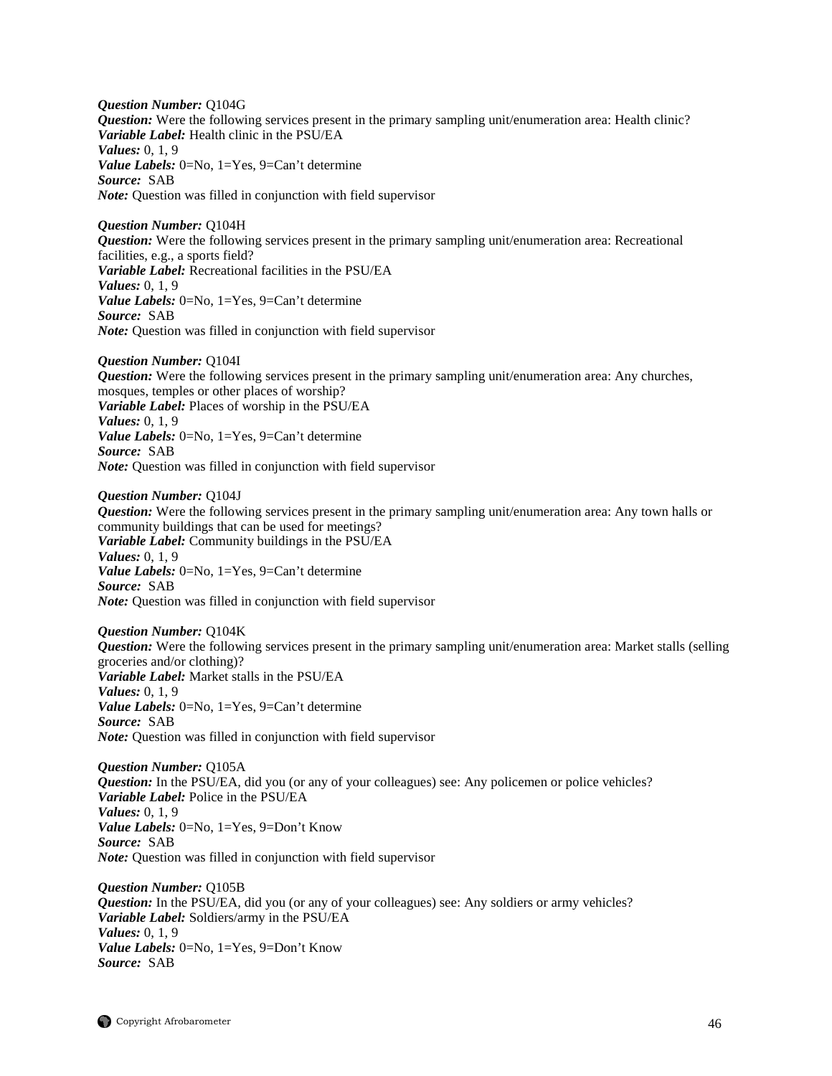*Question Number:* Q104G *Question:* Were the following services present in the primary sampling unit/enumeration area: Health clinic? *Variable Label:* Health clinic in the PSU/EA *Values:* 0, 1, 9 *Value Labels:* 0=No, 1=Yes, 9=Can't determine *Source:* SAB *Note:* Question was filled in conjunction with field supervisor

## *Question Number:* Q104H

*Question:* Were the following services present in the primary sampling unit/enumeration area: Recreational facilities, e.g., a sports field? *Variable Label:* Recreational facilities in the PSU/EA *Values:* 0, 1, 9 *Value Labels:* 0=No, 1=Yes, 9=Can't determine *Source:* SAB *Note:* Question was filled in conjunction with field supervisor

*Question Number:* Q104I *Question:* Were the following services present in the primary sampling unit/enumeration area: Any churches, mosques, temples or other places of worship? *Variable Label:* Places of worship in the PSU/EA *Values:* 0, 1, 9 *Value Labels:* 0=No, 1=Yes, 9=Can't determine *Source:* SAB *Note:* Question was filled in conjunction with field supervisor

## *Question Number:* Q104J

*Question:* Were the following services present in the primary sampling unit/enumeration area: Any town halls or community buildings that can be used for meetings? *Variable Label:* Community buildings in the PSU/EA *Values:* 0, 1, 9 *Value Labels:* 0=No, 1=Yes, 9=Can't determine *Source:* SAB *Note:* Question was filled in conjunction with field supervisor

*Question Number:* Q104K *Question:* Were the following services present in the primary sampling unit/enumeration area: Market stalls (selling groceries and/or clothing)? *Variable Label:* Market stalls in the PSU/EA *Values:* 0, 1, 9 *Value Labels:* 0=No, 1=Yes, 9=Can't determine *Source:* SAB *Note:* Question was filled in conjunction with field supervisor

*Question Number:* Q105A *Question:* In the PSU/EA, did you (or any of your colleagues) see: Any policemen or police vehicles? *Variable Label:* Police in the PSU/EA *Values:* 0, 1, 9 *Value Labels:* 0=No, 1=Yes, 9=Don't Know *Source:* SAB *Note:* Question was filled in conjunction with field supervisor

*Question Number:* Q105B *Question:* In the PSU/EA, did you (or any of your colleagues) see: Any soldiers or army vehicles? *Variable Label:* Soldiers/army in the PSU/EA *Values:* 0, 1, 9 *Value Labels:* 0=No, 1=Yes, 9=Don't Know *Source:* SAB